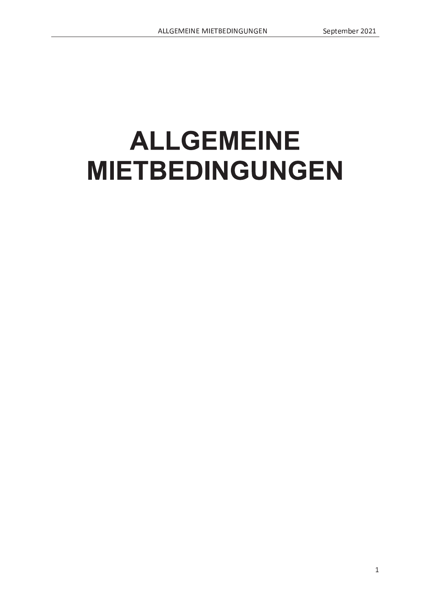# **ALLGEMEINE MIETBEDINGUNGEN**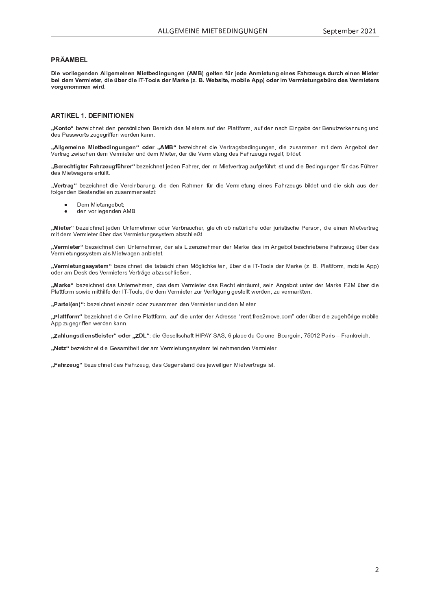# PRÄAMBEL

Die vorliegenden Allgemeinen Mietbedingungen (AMB) gelten für jede Anmietung eines Fahrzeugs durch einen Mieter<br>bei dem Vermieter, die über die IT-Tools der Marke (z. B. Website, mobile App) oder im Vermietungsbüro des Ver vorgenommen wird.

## **ARTIKEL 1. DEFINITIONEN**

"Konto" bezeichnet den persönlichen Bereich des Mieters auf der Plattform, auf den nach Eingabe der Benutzerkennung und des Passworts zugegriffen werden kann.

"Allgemeine Mietbedingungen" oder "AMB" bezeichnet die Vertragsbedingungen, die zusammen mit dem Angebot den Vertrag zwischen dem Vermieter und dem Mieter, der die Vermietung des Fahrzeugs regelt, bildet.

"Berechtigter Fahrzeugführer" bezeichnet jeden Fahrer, der im Mietvertrag aufgeführt ist und die Bedingungen für das Führen des Mietwagens erfüllt.

"Vertrag" bezeichnet die Vereinbarung, die den Rahmen für die Vermietung eines Fahrzeugs bildet und die sich aus den folgenden Bestandteilen zusammensetzt:

- Dem Mietangebot;
- den vorliegenden AMB.  $\bullet$

"Mieter" bezeichnet jeden Unternehmer oder Verbraucher, gleich ob natürliche oder juristische Person, die einen Mietvertrag mit dem Vermieter über das Vermietungssystem abschließt.

"Vermieter" bezeichnet den Unternehmer, der als Lizenznehmer der Marke das im Angebot beschriebene Fahrzeug über das Vermietungssystem als Mietwagen anbietet.

"Vermietungssystem" bezeichnet die tatsächlichen Möglichkeiten, über die IT-Tools der Marke (z. B. Plattform, mobile App) oder am Desk des Vermieters Verträge abzuschließen.

"Marke" bezeichnet das Unternehmen, das dem Vermieter das Recht einräumt, sein Angebot unter der Marke F2M über die Plattform sowie mithilfe der IT-Tools, die dem Vermieter zur Verfügung gestellt werden, zu vermarkten.

"Partei(en)": bezeichnet einzeln oder zusammen den Vermieter und den Mieter.

"Plattform" bezeichnet die Online-Plattform, auf die unter der Adresse "rent.free2move.com" oder über die zugehörige mobile App zugegriffen werden kann.

"Zahlungsdienstleister" oder "ZDL": die Gesellschaft HIPAY SAS, 6 place du Colonel Bourgoin, 75012 Paris - Frankreich.

"Netz" bezeichnet die Gesamtheit der am Vermietungssystem teilnehmenden Vermieter.

"Fahrzeug" bezeichnet das Fahrzeug, das Gegenstand des jeweiligen Mietvertrags ist.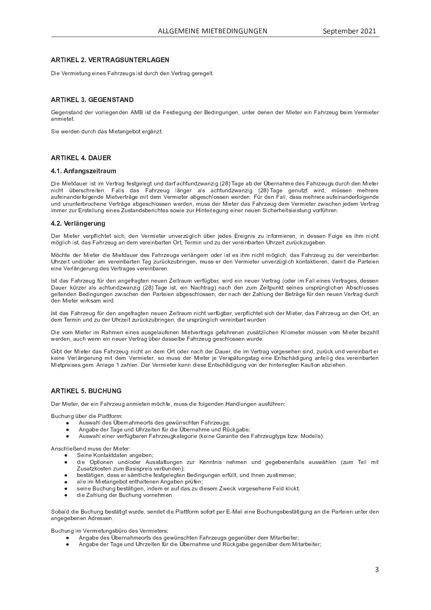# <sup>C</sup> <sup>D</sup> <sup>E</sup> <sup>G</sup> <sup>C</sup> <sup>J</sup> <sup>C</sup> <sup>J</sup>

Die Vermietung eines Eebrzeuge ist durch den Vertreg geregelt

# <sup>C</sup> <sup>D</sup> <sup>E</sup> <sup>G</sup> <sup>J</sup> <sup>C</sup> <sup>J</sup> <sup>H</sup>

 <sup>P</sup> <sup>g</sup> <sup>P</sup> <sup>U</sup> <sup>Z</sup> <sup>V</sup> \_ <sup>U</sup> <sup>W</sup> <sup>W</sup> <sup>P</sup> <sup>Y</sup> <sup>o</sup> <sup>c</sup> <sup>Y</sup> \ R P <sup>g</sup> <sup>P</sup> <sup>U</sup> <sup>W</sup> <sup>P</sup> <sup>U</sup> <sup>l</sup> ^ ] <sup>R</sup> Z <sup>V</sup> <sup>W</sup> <sup>R</sup> P <sup>m</sup> <sup>P</sup> <sup>Z</sup> <sup>V</sup> \ P <sup>g</sup> ` <sup>U</sup> <sup>g</sup> <sup>W</sup> <sup>P</sup> <sup>Y</sup> ] <sup>P</sup> <sup>W</sup> <sup>R</sup> U <sup>g</sup> ` <sup>U</sup> <sup>g</sup> <sup>P</sup> <sup>U</sup> <sup>e</sup> ` <sup>U</sup> <sup>V</sup> <sup>P</sup> <sup>Y</sup> <sup>W</sup> <sup>P</sup> <sup>U</sup> <sup>P</sup> <sup>U</sup> <sup>W</sup> <sup>P</sup> <sup>Y</sup> ^ <sup>R</sup> P <sup>V</sup> <sup>P</sup> <sup>Y</sup> <sup>P</sup> <sup>R</sup> U <sup>m</sup> \_ <sup>T</sup> <sup>Y</sup> Q <sup>P</sup> ` <sup>g</sup> <sup>O</sup> <sup>P</sup> <sup>R</sup> d <sup>k</sup> <sup>P</sup> <sup>Y</sup> <sup>d</sup> <sup>R</sup> P <sup>V</sup> <sup>P</sup> <sup>Y</sup> \_ <sup>U</sup> <sup>d</sup> <sup>R</sup> P <sup>V</sup> <sup>P</sup> <sup>V</sup> <sup>j</sup>

<sup>R</sup> P <sup>i</sup> <sup>P</sup> <sup>Y</sup> W <sup>P</sup> <sup>U</sup> <sup>W</sup> ` <sup>Y</sup> <sup>S</sup> <sup>T</sup> <sup>W</sup> \_ <sup>Z</sup> ^ <sup>R</sup> P <sup>V</sup> \_ <sup>U</sup> <sup>g</sup> <sup>P</sup> <sup>O</sup> <sup>c</sup> <sup>V</sup> <sup>P</sup> <sup>Y</sup> g { <sup>U</sup> <sup>Q</sup> <sup>V</sup> <sup>j</sup>

## <sup>C</sup> <sup>D</sup> <sup>E</sup> <sup>G</sup> <sup>H</sup>

### <sup>G</sup> <sup>F</sup> <sup>G</sup> ¡ ¢ £ ¤ ¥ ¦ §

Die Mietdeuer ist im Vertreg festgelegt und derf sebtundzwenzig (20). Tege eb der Übernehme des Eebrzeuge durch den Miete U R S T V P O P Y P Y Z W Z W Z W Z W Z W Z W Z W Z W Z Z W Z Z W Z Z W Z Z W Z Z W Z Z W Z Z Z Z Z Z Z P Z Z \_ ` <sup>a</sup> <sup>P</sup> <sup>R</sup> U \_ <sup>U</sup> <sup>W</sup> <sup>P</sup> <sup>Y</sup> a <sup>c</sup> \ g <sup>P</sup> <sup>U</sup> <sup>W</sup> <sup>P</sup> ^ <sup>R</sup> P <sup>V</sup> <sup>o</sup> <sup>P</sup> <sup>Y</sup> V <sup>Y</sup> { <sup>g</sup> <sup>P</sup> <sup>d</sup> <sup>R</sup> V <sup>W</sup> <sup>P</sup> <sup>d</sup> <sup>k</sup> <sup>P</sup> <sup>Y</sup> <sup>d</sup> <sup>R</sup> P <sup>V</sup> <sup>P</sup> <sup>Y</sup> \_ <sup>O</sup> <sup>g</sup> <sup>P</sup> <sup>Z</sup> <sup>S</sup> <sup>T</sup> \ c <sup>Z</sup> <sup>Z</sup> <sup>P</sup> <sup>U</sup> <sup>i</sup> <sup>P</sup> <sup>Y</sup> W <sup>P</sup> <sup>U</sup> <sup>j</sup> <sup>m</sup> <sup>p</sup> <sup>Y</sup> <sup>W</sup> <sup>P</sup> <sup>U</sup> <sup>m</sup> \_ \ \ e <sup>W</sup> \_ <sup>Z</sup> <sup>Z</sup> <sup>d</sup> <sup>P</sup> <sup>T</sup> <sup>Y</sup> P <sup>Y</sup> P \_ ` <sup>a</sup> <sup>P</sup> <sup>R</sup> U \_ <sup>U</sup> <sup>W</sup> <sup>P</sup> <sup>Y</sup> a <sup>c</sup> \ g <sup>P</sup> <sup>U</sup> <sup>W</sup> <sup>P</sup> ` <sup>U</sup> <sup>W</sup> ` <sup>U</sup> ` <sup>U</sup> <sup>V</sup> <sup>P</sup> <sup>Y</sup> <sup>O</sup> <sup>Y</sup> c <sup>S</sup> <sup>T</sup> <sup>P</sup> <sup>U</sup> <sup>P</sup> <sup>k</sup> <sup>P</sup> <sup>Y</sup> V <sup>Y</sup> { <sup>g</sup> <sup>P</sup> \_ <sup>O</sup> <sup>g</sup> <sup>P</sup> <sup>Z</sup> <sup>S</sup> <sup>T</sup> \ c <sup>Z</sup> <sup>Z</sup> <sup>P</sup> <sup>U</sup> <sup>i</sup> <sup>P</sup> <sup>Y</sup> W <sup>P</sup> <sup>U</sup> <sup>e</sup> <sup>d</sup> ` <sup>Z</sup> <sup>Z</sup> <sup>W</sup> <sup>P</sup> <sup>Y</sup> ^ <sup>R</sup> P <sup>V</sup> <sup>P</sup> <sup>Y</sup> <sup>W</sup> \_ <sup>Z</sup> <sup>m</sup> \_ <sup>T</sup> <sup>Y</sup> Q <sup>P</sup> ` <sup>g</sup> <sup>W</sup> <sup>P</sup> <sup>d</sup> <sup>k</sup> <sup>P</sup> <sup>Y</sup> <sup>d</sup> <sup>R</sup> P <sup>V</sup> <sup>P</sup> <sup>Y</sup> <sup>Q</sup> <sup>i</sup> <sup>R</sup> Z <sup>S</sup> <sup>T</sup> <sup>P</sup> <sup>U</sup> <sup>n</sup> P <sup>W</sup> <sup>P</sup> <sup>d</sup> <sup>k</sup> <sup>P</sup> <sup>Y</sup> V <sup>Y</sup> \_ <sup>g</sup>

### <sup>G</sup> <sup>G</sup> ¢ ¥ « <sup>¬</sup> ¢ ¥ ¦

Der Mieter vernfliebtet eich den Vermieter unverzüglich über ieden Ereignie zu infermieren in deseen Eelge es ihm nich d a R S T R S T R S T P Y D O P Y D O P Y D O P Y O P Y O P Y P Y O P Y D Y P Y U V P Y P Y P Y P Y P O P O P

^ [ <sup>S</sup> <sup>T</sup> <sup>V</sup> <sup>P</sup> <sup>W</sup> <sup>P</sup> <sup>Y</sup> ^ <sup>R</sup> P <sup>V</sup> <sup>P</sup> <sup>Y</sup> <sup>W</sup> <sup>R</sup> P ^ <sup>R</sup> P <sup>V</sup> <sup>W</sup> \_ ` <sup>P</sup> <sup>Y</sup> <sup>W</sup> <sup>P</sup> <sup>Z</sup> <sup>m</sup> \_ <sup>T</sup> <sup>Y</sup> Q <sup>P</sup> ` <sup>g</sup> <sup>Z</sup> <sup>o</sup> <sup>P</sup> <sup>Y</sup> \ { <sup>U</sup> <sup>g</sup> <sup>P</sup> <sup>Y</sup> <sup>U</sup> <sup>c</sup> <sup>W</sup> <sup>P</sup> <sup>Y</sup> <sup>R</sup> Z <sup>V</sup> <sup>P</sup> <sup>Z</sup> <sup>R</sup> T <sup>d</sup> <sup>U</sup> <sup>R</sup> S <sup>T</sup> <sup>V</sup> <sup>d</sup> [ <sup>g</sup> \ R S <sup>T</sup> <sup>e</sup> <sup>W</sup> \_ <sup>Z</sup> <sup>m</sup> \_ <sup>T</sup> <sup>Y</sup> Q <sup>P</sup> ` <sup>g</sup> <sup>Q</sup> ` <sup>W</sup> <sup>P</sup> <sup>Y</sup> <sup>o</sup> <sup>P</sup> <sup>Y</sup> P <sup>R</sup> U <sup>O</sup> \_ <sup>Y</sup> V <sup>P</sup> <sup>U</sup> v <sup>T</sup> <sup>Y</sup> Q <sup>P</sup> <sup>R</sup> V ` <sup>U</sup> <sup>W</sup> <sup>c</sup> <sup>W</sup> <sup>P</sup> <sup>Y</sup> \_ <sup>d</sup> <sup>o</sup> <sup>P</sup> <sup>Y</sup> P <sup>R</sup> U <sup>O</sup> \_ <sup>Y</sup> V <sup>P</sup> <sup>U</sup> } \_ <sup>g</sup> <sup>Q</sup> ` <sup>Y</sup> <sup>p</sup> <sup>S</sup> <sup>h</sup> <sup>Q</sup> ` <sup>O</sup> <sup>Y</sup> <sup>R</sup> U <sup>g</sup> <sup>P</sup> <sup>U</sup> <sup>e</sup> <sup>d</sup> ` <sup>Z</sup> <sup>Z</sup> <sup>P</sup> <sup>Y</sup> <sup>W</sup> <sup>P</sup> <sup>U</sup> <sup>k</sup> <sup>P</sup> <sup>Y</sup> <sup>d</sup> <sup>R</sup> P <sup>V</sup> <sup>P</sup> <sup>Y</sup> ` <sup>U</sup> <sup>o</sup> <sup>P</sup> <sup>Y</sup> Q <sup>p</sup> <sup>g</sup> \ R S <sup>T</sup> <sup>h</sup> <sup>c</sup> <sup>U</sup> <sup>V</sup> \_ <sup>h</sup> <sup>V</sup> <sup>R</sup> P <sup>Y</sup> P <sup>U</sup> <sup>e</sup> <sup>W</sup> \_ <sup>d</sup> <sup>R</sup> V <sup>W</sup> <sup>R</sup> P <sup>b</sup> \_ <sup>Y</sup> V <sup>P</sup> <sup>R</sup> P <sup>U</sup> P <sup>R</sup> U <sup>P</sup> <sup>k</sup> <sup>P</sup> <sup>Y</sup> \ { <sup>U</sup> <sup>g</sup> <sup>P</sup> <sup>Y</sup> ` <sup>U</sup> <sup>g</sup> <sup>W</sup> <sup>P</sup> <sup>Z</sup> <sup>k</sup> <sup>P</sup> <sup>Y</sup> V <sup>Y</sup> \_ <sup>g</sup> <sup>P</sup> <sup>Z</sup> <sup>o</sup> <sup>P</sup> <sup>Y</sup> P <sup>R</sup> U <sup>O</sup> \_ <sup>Y</sup> P <sup>U</sup> <sup>j</sup>

Deuer kürzer ele sebtundzwenzig (28) Toge ist, ein Noebtroa) noch den zum Zeitnunkt seines urenrünglichen Abechlusee g <sup>P</sup> \ V <sup>P</sup> <sup>U</sup> <sup>W</sup> <sup>P</sup> <sup>U</sup> ] <sup>P</sup> <sup>W</sup> <sup>R</sup> U <sup>g</sup> ` <sup>U</sup> <sup>g</sup> <sup>P</sup> <sup>U</sup> <sup>Q</sup> <sup>i</sup> <sup>R</sup> Z <sup>S</sup> <sup>T</sup> <sup>P</sup> <sup>U</sup> <sup>W</sup> <sup>P</sup> <sup>U</sup> <sup>b</sup> \_ <sup>Y</sup> V <sup>P</sup> <sup>R</sup> P <sup>U</sup> \_ <sup>O</sup> <sup>g</sup> <sup>P</sup> <sup>Z</sup> <sup>S</sup> <sup>T</sup> \ c <sup>Z</sup> <sup>Z</sup> <sup>P</sup> <sup>U</sup> <sup>e</sup> <sup>W</sup> <sup>P</sup> <sup>Y</sup> <sup>U</sup> \_ <sup>S</sup> <sup>T</sup> <sup>W</sup> <sup>P</sup> <sup>Y</sup> <sup>ª</sup> \_ <sup>T</sup> \ ` <sup>U</sup> <sup>g</sup> <sup>W</sup> <sup>P</sup> <sup>Y</sup> ] <sup>P</sup> <sup>V</sup> <sup>Y</sup> { <sup>g</sup> <sup>P</sup> <sup>a</sup> <sup>p</sup> <sup>Y</sup> <sup>W</sup> <sup>P</sup> <sup>U</sup> <sup>U</sup> <sup>P</sup> ` <sup>P</sup> <sup>U</sup> <sup>k</sup> <sup>P</sup> <sup>Y</sup> V <sup>Y</sup> \_ <sup>g</sup> <sup>W</sup> ` <sup>Y</sup> <sup>S</sup> <sup>T</sup> W <sup>P</sup> <sup>U</sup> ^ <sup>R</sup> P <sup>V</sup> <sup>P</sup> <sup>Y</sup> <sup>i</sup> <sup>R</sup> Y <sup>h</sup> <sup>Z</sup> \_ <sup>d</sup> <sup>i</sup> <sup>R</sup> Y W <sup>j</sup>

W <sup>P</sup> <sup>d</sup> } <sup>P</sup> <sup>Y</sup> <sup>d</sup> <sup>R</sup> U ` <sup>U</sup> <sup>W</sup> <sup>Q</sup> ` <sup>W</sup> <sup>P</sup> <sup>Y</sup> <sup>v</sup> <sup>T</sup> <sup>Y</sup> Q <sup>P</sup> <sup>R</sup> V <sup>Q</sup> ` <sup>Y</sup> <sup>p</sup> <sup>S</sup> <sup>h</sup> <sup>Q</sup> ` <sup>O</sup> <sup>Y</sup> <sup>R</sup> U <sup>g</sup> <sup>P</sup> <sup>U</sup> <sup>e</sup> <sup>W</sup> <sup>R</sup> P ` <sup>Y</sup> Z <sup>X</sup> <sup>Y</sup> <sup>p</sup> <sup>U</sup> <sup>g</sup> \ R S <sup>T</sup> <sup>o</sup> <sup>P</sup> <sup>Y</sup> P <sup>R</sup> U <sup>O</sup> \_ <sup>Y</sup> V <sup>i</sup> ` <sup>Y</sup> W <sup>P</sup> <sup>U</sup> <sup>j</sup>

Die vom Mieter im Rebmen einee euegeleufenen Mietvertrege gefebrenen zueätzlichen Kilometer müeeen vam Mieter bezehl i <sup>P</sup> <sup>Y</sup> W <sup>P</sup> <sup>U</sup> <sup>e</sup> \_ ` <sup>S</sup> <sup>T</sup> <sup>i</sup> <sup>P</sup> <sup>U</sup> <sup>U</sup> <sup>P</sup> <sup>R</sup> U <sup>U</sup> <sup>P</sup> ` <sup>P</sup> <sup>Y</sup> <sup>k</sup> <sup>P</sup> <sup>Y</sup> V <sup>Y</sup> \_ <sup>g</sup> <sup>p</sup> <sup>O</sup> <sup>P</sup> <sup>Y</sup> <sup>W</sup> \_ <sup>Z</sup> <sup>Z</sup> <sup>P</sup> \ O <sup>P</sup> <sup>m</sup> \_ <sup>T</sup> <sup>Y</sup> Q <sup>P</sup> ` <sup>g</sup> <sup>g</sup> <sup>P</sup> <sup>Z</sup> <sup>S</sup> <sup>T</sup> \ c <sup>Z</sup> <sup>Z</sup> <sup>P</sup> <sup>U</sup> <sup>i</sup> ` <sup>Y</sup> W <sup>P</sup> <sup>j</sup>

Cipt der Mieter dee Eebrzeug nicht en dem Ort eder nech der Deuer die im Vertreg vergeeeben eind zurück und vereinberte h <sup>P</sup> <sup>R</sup> U <sup>P</sup> <sup>k</sup> <sup>P</sup> <sup>Y</sup> \ { <sup>U</sup> <sup>g</sup> <sup>P</sup> <sup>Y</sup> ` <sup>U</sup> <sup>g</sup> <sup>d</sup> <sup>R</sup> V <sup>W</sup> <sup>P</sup> <sup>d</sup> <sup>k</sup> <sup>P</sup> <sup>Y</sup> <sup>d</sup> <sup>R</sup> P <sup>V</sup> <sup>P</sup> <sup>Y</sup> <sup>e</sup> <sup>Z</sup> <sup>c</sup> <sup>d</sup> ` <sup>Z</sup> <sup>Z</sup> <sup>W</sup> <sup>P</sup> <sup>Y</sup> ^ <sup>R</sup> P <sup>V</sup> <sup>P</sup> <sup>Y</sup> <sup>n</sup> P <sup>k</sup> <sup>P</sup> <sup>Y</sup> Z <sup>X</sup> { <sup>V</sup> ` <sup>U</sup> <sup>g</sup> <sup>Z</sup> <sup>V</sup> \_ <sup>g</sup> <sup>P</sup> <sup>R</sup> U <sup>P</sup> <sup>f</sup> <sup>U</sup> <sup>V</sup> <sup>Z</sup> <sup>S</sup> <sup>T</sup> { <sup>W</sup> <sup>R</sup> g ` <sup>U</sup> <sup>g</sup> \_ <sup>U</sup> <sup>V</sup> <sup>P</sup> <sup>R</sup> \ R g <sup>W</sup> <sup>P</sup> <sup>Z</sup> <sup>o</sup> <sup>P</sup> <sup>Y</sup> P <sup>R</sup> U <sup>O</sup> \_ <sup>Y</sup> V <sup>P</sup> <sup>U</sup>  $M$ iotnroises gem $\Lambda$ nlege  $4$  zeblen. Der Vermieter kenn diese Entschädigung von der binterlegten Keutien ebziehen

## <sup>C</sup> <sup>D</sup> <sup>E</sup> ° <sup>G</sup> <sup>±</sup> <sup>²</sup> <sup>J</sup>

Der Nieter, der ein Febrzeug anmieten möebte, muse die felgenden Hendlungen eueführen.

] ` <sup>S</sup> <sup>T</sup> ` <sup>U</sup> <sup>g</sup> <sup>p</sup> <sup>O</sup> <sup>P</sup> <sup>Y</sup> <sup>W</sup> <sup>R</sup> P <sup>b</sup> \ \_ <sup>V</sup> <sup>V</sup> <sup>a</sup> <sup>c</sup> <sup>Y</sup> <sup>d</sup> <sup>r</sup>

- l ` <sup>Z</sup> <sup>i</sup> \_ <sup>T</sup> \ <sup>W</sup> <sup>P</sup> <sup>Z</sup> © <sup>O</sup> <sup>P</sup> <sup>Y</sup> <sup>U</sup> \_ <sup>T</sup> <sup>d</sup> <sup>P</sup> <sup>c</sup> <sup>Y</sup> V <sup>Z</sup> <sup>W</sup> <sup>P</sup> <sup>Z</sup> <sup>g</sup> <sup>P</sup> <sup>i</sup> <sup>p</sup> <sup>U</sup> <sup>Z</sup> <sup>S</sup> <sup>T</sup> <sup>V</sup> <sup>P</sup> <sup>U</sup> <sup>m</sup> \_ <sup>T</sup> <sup>Y</sup> Q <sup>P</sup> ` <sup>g</sup> <sup>Z</sup> <sup>u</sup>
- l <sup>U</sup> <sup>g</sup> \_ <sup>O</sup> <sup>P</sup> <sup>W</sup> <sup>P</sup> <sup>Y</sup> } \_ <sup>g</sup> <sup>P</sup> ` <sup>U</sup> <sup>W</sup> <sup>v</sup> <sup>T</sup> <sup>Y</sup> Q <sup>P</sup> <sup>R</sup> V <sup>P</sup> <sup>U</sup> <sup>a</sup> <sup>p</sup> <sup>Y</sup> <sup>W</sup> <sup>R</sup> P © <sup>O</sup> <sup>P</sup> <sup>Y</sup> <sup>U</sup> \_ <sup>T</sup> <sup>d</sup> <sup>P</sup> ` <sup>U</sup> <sup>W</sup> <sup>q</sup> <sup>p</sup> <sup>S</sup> <sup>h</sup> <sup>g</sup> \_ <sup>O</sup> <sup>P</sup> <sup>u</sup>
- l ` <sup>Z</sup> <sup>i</sup> \_ <sup>T</sup> \ <sup>P</sup> <sup>R</sup> U <sup>P</sup> <sup>Y</sup> <sup>o</sup> <sup>P</sup> <sup>Y</sup> a <sup>p</sup> <sup>g</sup> <sup>O</sup> \_ <sup>Y</sup> P <sup>U</sup> <sup>m</sup> \_ <sup>T</sup> <sup>Y</sup> Q <sup>P</sup> ` <sup>g</sup> <sup>h</sup> \_ <sup>V</sup> <sup>P</sup> <sup>g</sup> <sup>c</sup> <sup>Y</sup> <sup>R</sup> P <sup>h</sup> <sup>P</sup> <sup>R</sup> U <sup>P</sup> \_ <sup>Y</sup> \_ <sup>U</sup> <sup>V</sup> <sup>R</sup> P <sup>W</sup> <sup>P</sup> <sup>Z</sup> <sup>m</sup> \_ <sup>T</sup> <sup>Y</sup> Q <sup>P</sup> ` <sup>g</sup> <sup>V</sup> <sup>w</sup> <sup>X</sup> <sup>Z</sup> <sup>O</sup> <sup>Q</sup> <sup>i</sup> <sup>j</sup> ^ <sup>c</sup> <sup>W</sup> <sup>P</sup> \ \ Z <sup>j</sup>

l <sup>U</sup> <sup>Z</sup> <sup>S</sup> <sup>T</sup> \ R P <sup>x</sup> <sup>P</sup> <sup>U</sup> <sup>W</sup> <sup>d</sup> ` <sup>Z</sup> <sup>Z</sup> <sup>W</sup> <sup>P</sup> <sup>Y</sup> ^ <sup>R</sup> P <sup>V</sup> <sup>P</sup> <sup>Y</sup> <sup>r</sup>

- <sup>P</sup> <sup>R</sup> U <sup>P</sup> ¯ <sup>c</sup> <sup>U</sup> <sup>V</sup> \_ <sup>h</sup> <sup>V</sup> <sup>W</sup> \_ <sup>V</sup> <sup>P</sup> <sup>U</sup> \_ <sup>U</sup> <sup>g</sup> <sup>P</sup> <sup>O</sup> <sup>P</sup> <sup>U</sup> <sup>u</sup>
- W <sup>R</sup> P <sup>X</sup> <sup>V</sup> <sup>R</sup> c <sup>U</sup> <sup>P</sup> <sup>U</sup> ` <sup>U</sup> <sup>W</sup> <sup>c</sup> <sup>W</sup> <sup>P</sup> <sup>Y</sup> <sup>l</sup> ` <sup>Z</sup> <sup>Z</sup> <sup>V</sup> \_ <sup>V</sup> <sup>V</sup> ` <sup>U</sup> <sup>g</sup> <sup>P</sup> <sup>U</sup> <sup>Q</sup> ` <sup>Y</sup> ¯ <sup>P</sup> <sup>U</sup> <sup>U</sup> <sup>V</sup> <sup>U</sup> <sup>R</sup> Z <sup>U</sup> <sup>P</sup> <sup>T</sup> <sup>d</sup> <sup>P</sup> <sup>U</sup> ` <sup>U</sup> <sup>W</sup> <sup>g</sup> <sup>P</sup> <sup>g</sup> <sup>P</sup> <sup>O</sup> <sup>P</sup> <sup>U</sup> <sup>P</sup> <sup>U</sup> <sup>a</sup> \_ \ \ Z \_ ` <sup>Z</sup> <sup>i</sup> { <sup>T</sup> \ P <sup>U</sup> Q ` <sup>d</sup> } <sup>P</sup> <sup>R</sup> \ <sup>d</sup> <sup>R</sup> V ª ` <sup>Z</sup> \_ <sup>V</sup> <sup>Q</sup> <sup>h</sup> <sup>c</sup> <sup>Z</sup> <sup>V</sup> <sup>P</sup> <sup>U</sup> <sup>Q</sup> ` <sup>d</sup> ] \_ <sup>Z</sup> <sup>R</sup> Z <sup>X</sup> <sup>Y</sup> P <sup>R</sup> Z <sup>o</sup> <sup>P</sup> <sup>Y</sup> <sup>O</sup> ` <sup>U</sup> <sup>W</sup> <sup>P</sup> <sup>U</sup> <sup>u</sup>
- O P Z V R G P A P A P A P A P A P A P W R U G P W R U G P U P U P Y A P U P U Z V G V P U D U Q U Q U Q U U U
- \_ \ \ P <sup>R</sup> d ^ <sup>R</sup> P <sup>V</sup> \_ <sup>U</sup> <sup>g</sup> <sup>P</sup> <sup>O</sup> <sup>c</sup> <sup>V</sup> <sup>P</sup> <sup>U</sup> <sup>V</sup> <sup>T</sup> \_ \ V <sup>P</sup> <sup>U</sup> <sup>P</sup> <sup>U</sup> <sup>l</sup> <sup>U</sup> <sup>g</sup> \_ <sup>O</sup> <sup>P</sup> <sup>U</sup> <sup>X</sup> <sup>Y</sup> <sup>p</sup> <sup>a</sup> <sup>P</sup> <sup>U</sup> <sup>u</sup>
- $Z \subset \mathbb{R}$  and  $Z \subset \mathbb{R}$  and  $Z \subset \mathbb{R}$  with  $Z \subset \mathbb{R}$  in the contract point  $\mathbb{R}$  in the  $Z$  point  $\mathbb{R}$  has h  $Z$  in  $Z$  h  $Z$  h  $Z$  h  $Z$  h  $Z$  h  $Z$  h  $Z$  h  $Z$  h  $Z$  h  $Z$  h  $Z$  h  $Z$  h  $Z$  h  $Z$  h  $Z$  h
- $W$  r  $\mathbf{u} = \mathbf{u} \cdot \mathbf{u}$  , we have the problem  $\mathbf{u} = \mathbf{u} \cdot \mathbf{u}$  and  $\mathbf{u} = \mathbf{u} \cdot \mathbf{u}$

 <sup>c</sup> <sup>O</sup> \_ \ W <sup>W</sup> <sup>R</sup> P ] ` <sup>S</sup> <sup>T</sup> ` <sup>U</sup> <sup>g</sup> <sup>O</sup> <sup>P</sup> <sup>Z</sup> <sup>V</sup> { <sup>V</sup> <sup>R</sup> g <sup>V</sup> <sup>i</sup> ` <sup>Y</sup> W <sup>P</sup> <sup>e</sup> <sup>Z</sup> <sup>P</sup> <sup>U</sup> <sup>W</sup> <sup>P</sup> <sup>V</sup> <sup>W</sup> <sup>R</sup> P <sup>b</sup> \ \_ <sup>V</sup> <sup>V</sup> <sup>a</sup> <sup>c</sup> <sup>Y</sup> <sup>d</sup> <sup>Z</sup> <sup>c</sup> <sup>a</sup> <sup>c</sup> <sup>Y</sup> V <sup>X</sup> <sup>P</sup> <sup>Y</sup> <sup>f</sup> <sup>~</sup> ^ \_ <sup>R</sup> \ <sup>P</sup> <sup>R</sup> U <sup>P</sup> ] ` <sup>S</sup> <sup>T</sup> ` <sup>U</sup> <sup>g</sup> <sup>Z</sup> <sup>O</sup> <sup>P</sup> <sup>Z</sup> <sup>V</sup> { <sup>V</sup> <sup>R</sup> g ` <sup>U</sup> <sup>g</sup> \_ <sup>U</sup> <sup>W</sup> <sup>R</sup> P <sup>b</sup> \_ <sup>Y</sup> V <sup>P</sup> <sup>R</sup> P <sup>U</sup> ` <sup>U</sup> <sup>V</sup> <sup>P</sup> <sup>Y</sup> <sup>W</sup> <sup>P</sup> <sup>U</sup> \_ <sup>U</sup> <sup>g</sup> <sup>P</sup> <sup>g</sup> <sup>P</sup> <sup>O</sup> <sup>P</sup> <sup>U</sup> <sup>P</sup> <sup>U</sup> <sup>l</sup> <sup>W</sup> <sup>Y</sup> P <sup>Z</sup> <sup>Z</sup> <sup>P</sup> <sup>U</sup> <sup>j</sup>

] ` <sup>S</sup> <sup>T</sup> ` <sup>U</sup> <sup>g</sup> <sup>R</sup> d <sup>k</sup> <sup>P</sup> <sup>Y</sup> <sup>d</sup> <sup>R</sup> P <sup>V</sup> ` <sup>U</sup> <sup>g</sup> <sup>Z</sup> <sup>O</sup> <sup>p</sup> <sup>Y</sup> c <sup>W</sup> <sup>P</sup> <sup>Z</sup> <sup>k</sup> <sup>P</sup> <sup>Y</sup> <sup>d</sup> <sup>R</sup> P <sup>V</sup> <sup>P</sup> <sup>Y</sup> Z <sup>r</sup>

- l <sup>U</sup> <sup>g</sup> \_ <sup>O</sup> <sup>P</sup> <sup>W</sup> <sup>P</sup> <sup>Z</sup> © <sup>O</sup> <sup>P</sup> <sup>Y</sup> <sup>U</sup> \_ <sup>T</sup> <sup>d</sup> <sup>P</sup> <sup>c</sup> <sup>Y</sup> V <sup>Z</sup> <sup>W</sup> <sup>P</sup> <sup>Z</sup> <sup>g</sup> <sup>P</sup> <sup>i</sup> <sup>p</sup> <sup>U</sup> <sup>Z</sup> <sup>S</sup> <sup>T</sup> <sup>V</sup> <sup>P</sup> <sup>U</sup> <sup>m</sup> \_ <sup>T</sup> <sup>Y</sup> Q <sup>P</sup> ` <sup>g</sup> <sup>Z</sup> <sup>g</sup> <sup>P</sup> <sup>g</sup> <sup>P</sup> <sup>U</sup> <sup>p</sup> <sup>O</sup> <sup>P</sup> <sup>Y</sup> <sup>W</sup> <sup>P</sup> <sup>d</sup> ^ <sup>R</sup> V \_ <sup>Y</sup> <sup>O</sup> <sup>P</sup> <sup>R</sup> V <sup>P</sup> <sup>Y</sup> <sup>u</sup>
- l <sup>U</sup> <sup>g</sup> \_ <sup>O</sup> <sup>P</sup> <sup>W</sup> <sup>P</sup> <sup>Y</sup> } \_ <sup>g</sup> <sup>P</sup> ` <sup>U</sup> <sup>W</sup> <sup>v</sup> <sup>T</sup> <sup>Y</sup> Q <sup>P</sup> <sup>R</sup> V <sup>P</sup> <sup>U</sup> <sup>a</sup> <sup>p</sup> <sup>Y</sup> <sup>W</sup> <sup>R</sup> P © <sup>O</sup> <sup>P</sup> <sup>Y</sup> <sup>U</sup> \_ <sup>T</sup> <sup>d</sup> <sup>P</sup> ` <sup>U</sup> <sup>W</sup> <sup>q</sup> <sup>p</sup> <sup>S</sup> <sup>h</sup> <sup>g</sup> \_ <sup>O</sup> <sup>P</sup> <sup>g</sup> <sup>P</sup> <sup>g</sup> <sup>P</sup> <sup>U</sup> <sup>p</sup> <sup>O</sup> <sup>P</sup> <sup>Y</sup> <sup>W</sup> <sup>P</sup> <sup>d</sup> ^ <sup>R</sup> V \_ <sup>Y</sup> <sup>O</sup> <sup>P</sup> <sup>R</sup> V <sup>P</sup> <sup>Y</sup> <sup>u</sup>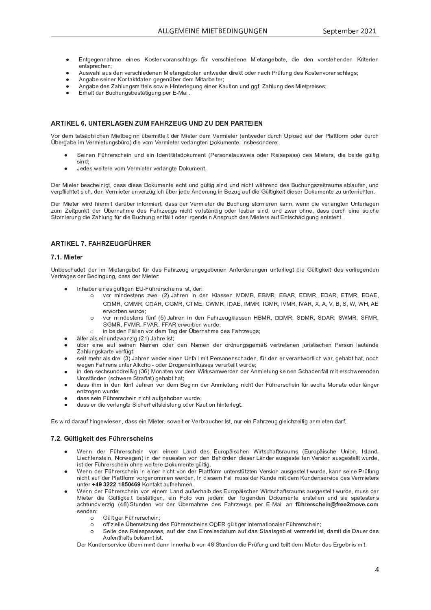- f <sup>U</sup> <sup>V</sup> <sup>g</sup> <sup>P</sup> <sup>g</sup> <sup>P</sup> <sup>U</sup> <sup>U</sup> \_ <sup>T</sup> <sup>d</sup> <sup>P</sup> <sup>P</sup> <sup>R</sup> U <sup>P</sup> <sup>Z</sup> ¯ <sup>c</sup> <sup>Z</sup> <sup>V</sup> <sup>P</sup> <sup>U</sup> <sup>o</sup> <sup>c</sup> <sup>Y</sup> \_ <sup>U</sup> <sup>Z</sup> <sup>S</sup> <sup>T</sup> \ \_ <sup>g</sup> <sup>Z</sup> <sup>a</sup> <sup>p</sup> <sup>Y</sup> <sup>o</sup> <sup>P</sup> <sup>Y</sup> Z <sup>S</sup> <sup>T</sup> <sup>R</sup> P <sup>W</sup> <sup>P</sup> <sup>U</sup> <sup>P</sup> ^ <sup>R</sup> P <sup>V</sup> \_ <sup>U</sup> <sup>g</sup> <sup>P</sup> <sup>O</sup> <sup>c</sup> <sup>V</sup> <sup>P</sup> <sup>e</sup> <sup>W</sup> <sup>R</sup> P <sup>W</sup> <sup>P</sup> <sup>U</sup> <sup>o</sup> <sup>c</sup> <sup>Y</sup> Z <sup>V</sup> <sup>P</sup> <sup>T</sup> <sup>P</sup> <sup>U</sup> <sup>W</sup> <sup>P</sup> <sup>U</sup> ¯ <sup>Y</sup> <sup>R</sup> V <sup>P</sup> <sup>Y</sup> <sup>R</sup> P <sup>U</sup> P U V Z Z X Y P S T P U U U U U U
- l ` <sup>Z</sup> <sup>i</sup> \_ <sup>T</sup> \ \_ ` <sup>Z</sup> <sup>W</sup> <sup>P</sup> <sup>U</sup> <sup>o</sup> <sup>P</sup> <sup>Y</sup> Z <sup>S</sup> <sup>T</sup> <sup>R</sup> P <sup>W</sup> <sup>P</sup> <sup>U</sup> <sup>P</sup> <sup>U</sup> ^ <sup>R</sup> P <sup>V</sup> \_ <sup>U</sup> <sup>g</sup> <sup>P</sup> <sup>O</sup> <sup>c</sup> <sup>V</sup> <sup>P</sup> <sup>U</sup> <sup>P</sup> <sup>U</sup> <sup>V</sup> <sup>i</sup> <sup>P</sup> <sup>W</sup> <sup>P</sup> <sup>Y</sup> <sup>W</sup> <sup>R</sup> Y P <sup>h</sup> <sup>V</sup> <sup>c</sup> <sup>W</sup> <sup>P</sup> <sup>Y</sup> <sup>U</sup> \_ <sup>S</sup> <sup>T</sup> <sup>b</sup> <sup>Y</sup> <sup>p</sup> <sup>a</sup> ` <sup>U</sup> <sup>g</sup> <sup>W</sup> <sup>P</sup> <sup>Z</sup> ¯ <sup>c</sup> <sup>Z</sup> <sup>V</sup> <sup>P</sup> <sup>U</sup> <sup>o</sup> <sup>c</sup> <sup>Y</sup> \_ <sup>U</sup> <sup>Z</sup> <sup>S</sup> <sup>T</sup> \ \_ <sup>g</sup> <sup>Z</sup> <sup>u</sup>
- li U g  $U$  o P  $U$   $\rightarrow$   $U$   $\rightarrow$   $U$   $\rightarrow$   $U$   $\rightarrow$   $U$   $\rightarrow$   $U$   $\rightarrow$   $U$   $\rightarrow$   $U$   $\rightarrow$   $U$   $\rightarrow$   $U$   $\rightarrow$   $U$   $\rightarrow$   $U$   $\rightarrow$   $U$   $\rightarrow$   $U$   $\rightarrow$   $U$   $\rightarrow$   $U$   $\rightarrow$   $U$   $\rightarrow$   $U$   $\rightarrow$   $U$   $\rightarrow$   $U$   $\rightarrow$   $U$   $\rightarrow$   $U$   $\rightarrow$   $U$   $\rightarrow$
- l <sup>U</sup> <sup>g</sup> \_ <sup>O</sup> <sup>P</sup> <sup>W</sup> <sup>P</sup> <sup>Z</sup> <sup>ª</sup> \_ <sup>T</sup> \ ` <sup>U</sup> <sup>g</sup> <sup>Z</sup> <sup>d</sup> <sup>R</sup> V <sup>V</sup> <sup>P</sup> \ Z <sup>Z</sup> <sup>c</sup> <sup>i</sup> <sup>R</sup> P <sup>R</sup> U <sup>V</sup> <sup>P</sup> <sup>Y</sup> \ P <sup>g</sup> ` <sup>U</sup> <sup>g</sup> <sup>P</sup> <sup>R</sup> U <sup>P</sup> <sup>Y</sup> ¯ \_ ` <sup>V</sup> <sup>R</sup> c <sup>U</sup> ` <sup>U</sup> <sup>W</sup> <sup>g</sup> <sup>g</sup> <sup>a</sup> <sup>j</sup> <sup>ª</sup> \_ <sup>T</sup> \ ` <sup>U</sup> <sup>g</sup> <sup>W</sup> <sup>P</sup> <sup>Z</sup> ^ <sup>R</sup> P <sup>V</sup> <sup>X</sup> <sup>Y</sup> P <sup>R</sup> Z <sup>P</sup> <sup>Z</sup> <sup>u</sup>
- f Y T Y P Y Y Y G Z O P Z O P Z O P Z O P Z O P Z O P Z O P Z O P Z O P Z O P Z O P Z O P Z O P Z O P Z O P Z

# <sup>C</sup> <sup>D</sup> <sup>E</sup> ´ <sup>G</sup> <sup>J</sup> <sup>C</sup> <sup>J</sup> <sup>µ</sup> <sup>I</sup> <sup>²</sup> <sup>µ</sup> <sup>J</sup> <sup>H</sup> <sup>µ</sup> <sup>H</sup> <sup>J</sup> <sup>C</sup> <sup>D</sup> <sup>J</sup>

k <sup>c</sup> <sup>Y</sup> <sup>W</sup> <sup>P</sup> <sup>d</sup> <sup>V</sup> \_ <sup>V</sup> <sup>Z</sup> { <sup>S</sup> <sup>T</sup> \ R S <sup>T</sup> <sup>P</sup> <sup>U</sup> ^ <sup>R</sup> P <sup>V</sup> <sup>O</sup> <sup>P</sup> <sup>g</sup> <sup>R</sup> U <sup>U</sup> <sup>p</sup> <sup>O</sup> <sup>P</sup> <sup>Y</sup> <sup>d</sup> <sup>R</sup> V <sup>V</sup> <sup>P</sup> \ V <sup>W</sup> <sup>P</sup> <sup>Y</sup> ^ <sup>R</sup> P <sup>V</sup> <sup>P</sup> <sup>Y</sup> <sup>W</sup> <sup>P</sup> <sup>d</sup> <sup>k</sup> <sup>P</sup> <sup>Y</sup> <sup>d</sup> <sup>R</sup> P <sup>V</sup> <sup>P</sup> <sup>Y</sup> P <sup>U</sup> <sup>V</sup> <sup>i</sup> <sup>P</sup> <sup>W</sup> <sup>P</sup> <sup>Y</sup> <sup>W</sup> ` <sup>Y</sup> <sup>S</sup> <sup>T</sup> <sup>v</sup> <sup>X</sup> \ c \_ <sup>W</sup> \_ ` <sup>a</sup> <sup>W</sup> <sup>P</sup> <sup>Y</sup> <sup>b</sup> \ \_ <sup>V</sup> <sup>V</sup> <sup>a</sup> <sup>c</sup> <sup>Y</sup> <sup>d</sup> <sup>c</sup> <sup>W</sup> <sup>P</sup> <sup>Y</sup> <sup>W</sup> ` <sup>Y</sup> <sup>S</sup> <sup>T</sup>  $\ddot{\cup}$  bergebe im  $\dot{\vee}$  demokrating which die vem  $\dot{\vee}$  demokraties nedered proved and  $\ddot{\circ}$ 

- <sup>P</sup> <sup>R</sup> U <sup>P</sup> <sup>U</sup> <sup>m</sup> <sup>p</sup> <sup>T</sup> <sup>Y</sup> P <sup>Y</sup> Z <sup>S</sup> <sup>T</sup> <sup>P</sup> <sup>R</sup> U ` <sup>U</sup> <sup>W</sup> <sup>P</sup> <sup>R</sup> U <sup>|</sup> W <sup>P</sup> <sup>U</sup> <sup>V</sup> <sup>R</sup> V { <sup>V</sup> <sup>Z</sup> <sup>W</sup> <sup>c</sup> <sup>h</sup> ` <sup>d</sup> <sup>P</sup> <sup>U</sup> <sup>V</sup> <sup>b</sup> <sup>P</sup> <sup>Y</sup> Z <sup>c</sup> <sup>U</sup> \_ \ \_ ` <sup>Z</sup> <sup>i</sup> <sup>P</sup> <sup>R</sup> Z <sup>c</sup> <sup>W</sup> <sup>P</sup> <sup>Y</sup> <sup>q</sup> <sup>P</sup> <sup>R</sup> Z <sup>P</sup> <sup>X</sup> \_ <sup>Z</sup> <sup>Z</sup> <sup>W</sup> <sup>P</sup> <sup>Z</sup> ^ <sup>R</sup> P <sup>V</sup> <sup>P</sup> <sup>Y</sup> Z <sup>e</sup> <sup>W</sup> <sup>R</sup> P <sup>O</sup> <sup>P</sup> <sup>R</sup> W <sup>P</sup> <sup>g</sup> <sup>p</sup> \ V <sup>R</sup> g Z <sup>R</sup> U <sup>W</sup> <sup>u</sup>
- ¶ edee weitere vam Vermieter verlangte. Dekument

Der Mieter bescheinigt, dess diese Dekumente seht und gültig eind und nicht während des Puebungezeitreume ebleufen un veralightet eich, den Vermieter unverzüglich üher iede. Änderung in Pezug euf die Cültigkeit dieser Dekumente zu unterrichten

Der Mieter wird biermit derüber infermiert, deee der Vermieter die Puebung eternieren kenn, wenn die verlengten Unterlege Q ` <sup>d</sup> <sup>ª</sup> <sup>P</sup> <sup>R</sup> V <sup>X</sup> ` <sup>U</sup> <sup>h</sup> <sup>V</sup> <sup>W</sup> <sup>P</sup> <sup>Y</sup> © <sup>O</sup> <sup>P</sup> <sup>Y</sup> <sup>U</sup> \_ <sup>T</sup> <sup>d</sup> <sup>P</sup> <sup>W</sup> <sup>P</sup> <sup>Z</sup> <sup>m</sup> \_ <sup>T</sup> <sup>Y</sup> Q <sup>P</sup> ` <sup>g</sup> <sup>Z</sup> <sup>U</sup> <sup>R</sup> S <sup>T</sup> <sup>V</sup> <sup>o</sup> <sup>c</sup> \ \ Z <sup>V</sup> { <sup>U</sup> <sup>W</sup> <sup>R</sup> g <sup>c</sup> <sup>W</sup> <sup>P</sup> <sup>Y</sup> \ P <sup>Z</sup> <sup>O</sup> \_ <sup>Y</sup> <sup>Z</sup> <sup>R</sup> U <sup>W</sup> <sup>e</sup> ` <sup>U</sup> <sup>W</sup> <sup>Q</sup> <sup>i</sup> \_ <sup>Y</sup> <sup>c</sup> <sup>T</sup> <sup>U</sup> <sup>P</sup> <sup>e</sup> <sup>W</sup> \_ <sup>Z</sup> <sup>Z</sup> <sup>W</sup> ` <sup>Y</sup> <sup>S</sup> <sup>T</sup> <sup>P</sup> <sup>R</sup> U <sup>P</sup> <sup>Z</sup> <sup>c</sup> \ S <sup>T</sup> <sup>P</sup> <sup>V</sup> <sup>c</sup> <sup>Y</sup> <sup>U</sup> <sup>R</sup> P <sup>Y</sup> ` <sup>U</sup> <sup>g</sup> <sup>W</sup> <sup>R</sup> P <sup>ª</sup> \_ <sup>T</sup> \ ` <sup>U</sup> <sup>g</sup> <sup>a</sup> <sup>p</sup> <sup>Y</sup> <sup>W</sup> <sup>R</sup> P ] ` <sup>S</sup> <sup>T</sup> ` <sup>U</sup> <sup>g</sup> <sup>P</sup> <sup>U</sup> <sup>V</sup> <sup>a</sup> { \ \ V <sup>c</sup> <sup>W</sup> <sup>P</sup> <sup>Y</sup> <sup>R</sup> Y g <sup>P</sup> <sup>U</sup> <sup>W</sup> <sup>P</sup> <sup>R</sup> U <sup>l</sup> <sup>U</sup> <sup>Z</sup> <sup>X</sup> <sup>Y</sup> ` <sup>S</sup> <sup>T</sup> <sup>W</sup> <sup>P</sup> <sup>Z</sup> ^ <sup>R</sup> P <sup>V</sup> <sup>P</sup> <sup>Y</sup> Z \_ ` <sup>a</sup> <sup>f</sup> <sup>U</sup> <sup>V</sup> <sup>Z</sup> <sup>S</sup> <sup>T</sup> { <sup>W</sup> <sup>R</sup> g ` <sup>U</sup> <sup>g</sup> <sup>P</sup> <sup>U</sup> <sup>V</sup> <sup>Z</sup> <sup>V</sup> <sup>P</sup> <sup>T</sup> <sup>V</sup> <sup>j</sup>

# <sup>C</sup> <sup>D</sup> <sup>E</sup> ¸ <sup>G</sup> <sup>I</sup> <sup>²</sup> <sup>µ</sup> <sup>I</sup> <sup>¹</sup> <sup>²</sup>

## ¸ <sup>G</sup> <sup>F</sup> <sup>G</sup> £ ¢ ¤ ¢ ¥

v <sup>U</sup> <sup>O</sup> <sup>P</sup> <sup>Z</sup> <sup>S</sup> <sup>T</sup> \_ <sup>W</sup> <sup>P</sup> <sup>V</sup> <sup>W</sup> <sup>P</sup> <sup>Y</sup> <sup>R</sup> d ^ <sup>R</sup> P <sup>V</sup> \_ <sup>U</sup> <sup>g</sup> <sup>P</sup> <sup>O</sup> <sup>c</sup> <sup>V</sup> <sup>a</sup> <sup>p</sup> <sup>Y</sup> <sup>W</sup> \_ <sup>Z</sup> <sup>m</sup> \_ <sup>T</sup> <sup>Y</sup> Q <sup>P</sup> ` <sup>g</sup> \_ <sup>U</sup> <sup>g</sup> <sup>P</sup> <sup>g</sup> <sup>P</sup> <sup>O</sup> <sup>P</sup> <sup>U</sup> <sup>P</sup> <sup>U</sup> <sup>l</sup> <sup>U</sup> <sup>a</sup> <sup>c</sup> <sup>Y</sup> W <sup>P</sup> <sup>Y</sup> ` <sup>U</sup> <sup>g</sup> <sup>P</sup> <sup>U</sup> ` <sup>U</sup> <sup>V</sup> <sup>P</sup> <sup>Y</sup> \ R P <sup>g</sup> <sup>V</sup> <sup>W</sup> <sup>R</sup> P <sup>p</sup> \ V <sup>R</sup> g <sup>h</sup> <sup>P</sup> <sup>R</sup> V <sup>W</sup> <sup>P</sup> <sup>Z</sup> <sup>o</sup> <sup>c</sup> <sup>Y</sup> \ R P <sup>g</sup> <sup>P</sup> <sup>U</sup> <sup>W</sup> <sup>P</sup> <sup>U</sup> k <sup>P</sup> <sup>Y</sup> V <sup>Y</sup> \_ <sup>g</sup> <sup>P</sup> <sup>Z</sup> <sup>W</sup> <sup>P</sup> <sup>Y</sup> ] <sup>P</sup> <sup>W</sup> <sup>R</sup> U <sup>g</sup> ` <sup>U</sup> <sup>g</sup> <sup>e</sup> <sup>W</sup> \_ <sup>Z</sup> <sup>Z</sup> <sup>W</sup> <sup>P</sup> <sup>Y</sup> ^ <sup>R</sup> P <sup>V</sup> <sup>P</sup> <sup>Y</sup> <sup>r</sup>

- | <sup>U</sup> <sup>T</sup> \_ <sup>O</sup> <sup>P</sup> <sup>Y</sup> <sup>P</sup> <sup>R</sup> U <sup>P</sup> <sup>Z</sup> <sup>g</sup> <sup>p</sup> \ V <sup>R</sup> g <sup>P</sup> <sup>U</sup> <sup>f</sup> <sup>v</sup> <sup>~</sup> <sup>m</sup> <sup>p</sup> <sup>T</sup> <sup>Y</sup> P <sup>Y</sup> Z <sup>S</sup> <sup>T</sup> <sup>P</sup> <sup>R</sup> U <sup>Z</sup> <sup>R</sup> Z <sup>V</sup> <sup>e</sup> <sup>W</sup> <sup>P</sup> <sup>Y</sup> <sup>r</sup>
	- $\Omega$ o c ver mindestans zwei (2) lebren in den Klessen MDMD EDMD EDAD EDAD EDAD ETMD EDAE  $\overline{C}$  and  $\overline{C}$   $\overline{C}$   $\overline{C}$   $\overline{C}$   $\overline{C}$   $\overline{C}$   $\overline{C}$   $\overline{C}$   $\overline{C}$   $\overline{C}$   $\overline{C}$   $\overline{C}$   $\overline{C}$   $\overline{C}$   $\overline{C}$   $\overline{C}$   $\overline{C}$   $\overline{C}$   $\overline{C}$   $\overline{C}$   $\overline{C}$   $\overline{C}$   $\overline{C}$  P Y I C Y O P U I C Y W P U I C Y W P U I C Y W P U I C
	- cc ver mindestens fünf (E) Jehren in den Febrzeugklessen HBMB, DDMB, CDMB, CDMB, CLMMB, CEMB  $\alpha$  a m and the m m m m l  $\alpha$  in the m l  $\alpha$  i c  $\alpha$   $\beta$  i  $\beta$   $\beta$  i  $\beta$  i  $\beta$  i  $\beta$  i  $\beta$  i  $\beta$  i  $\beta$  i  $\beta$  i  $\beta$  i  $\beta$  i  $\beta$  i  $\beta$  i  $\beta$  i  $\beta$  i  $\beta$  i  $\beta$  i  $\beta$  i  $\beta$  i  $\beta$  i  $\beta$  i  $\beta$  i  $\beta$
	- $R$  , we have the contract of the contract of  $\mathcal{P}_\mathcal{A}$  and  $\mathcal{P}_\mathcal{A}$  and  $\mathcal{P}_\mathcal{A}$  and  $\mathcal{P}_\mathcal{A}$  under the contract of  $\mathcal{P}_\mathcal{A}$  and  $\mathcal{P}_\mathcal{A}$  and  $\mathcal{P}_\mathcal{A}$  and  $\mathcal{P}_\mathcal{A}$  and  $\mathcal{$
	- $\mathbb{R}$ lter ele eigund $\mathbb{R}$  ventuale (24). Iabre iet
- p Y P Y P Y P Y A Z P Z G P D A Z G P D A Z G P D A Z G P Z G P U N Z G Z G P Z G Z G P Z C G P Z C C U G Z C  $\blacksquare$  and  $\blacksquare$   $\blacksquare$   $\blacksquare$   $\blacksquare$   $\blacksquare$   $\blacksquare$   $\blacksquare$   $\blacksquare$   $\blacksquare$   $\blacksquare$   $\blacksquare$   $\blacksquare$   $\blacksquare$   $\blacksquare$   $\blacksquare$   $\blacksquare$   $\blacksquare$   $\blacksquare$   $\blacksquare$   $\blacksquare$   $\blacksquare$   $\blacksquare$   $\blacksquare$   $\blacksquare$   $\blacksquare$   $\blacksquare$   $\blacksquare$   $\blacksquare$   $\blacksquare$   $\blacksquare$
- aait mehr ele drei (2), Johren weder einen Unfell mit Dereenenschaden, für den er verentwertlich wer, gehebt het "neel wogen Eebrene unter Alkehel, eder Dregeneinflussee verurteilt wurde
- v <sup>d</sup> <sup>Z</sup> <sup>V</sup> { <sup>U</sup> <sup>W</sup> <sup>P</sup> <sup>U</sup> Z <sup>S</sup> <sup>T</sup> <sup>i</sup> <sup>P</sup> <sup>Y</sup> P <sup>V</sup> <sup>Y</sup> \_ <sup>a</sup> <sup>V</sup> \_ <sup>V</sup> <sup>g</sup> <sup>P</sup> <sup>T</sup> \_ <sup>O</sup> <sup>V</sup> <sup>T</sup> \_ <sup>V</sup> <sup>u</sup>
- dees ihm in den fünf, Johren ver dem Reginn der Anmietung nicht der Eührerschein für seehe Menste eder längel P <sup>U</sup> <sup>V</sup> <sup>Q</sup> <sup>c</sup> <sup>g</sup> <sup>P</sup> <sup>U</sup> <sup>i</sup> ` <sup>Y</sup> W <sup>P</sup> <sup>u</sup>
- W  $\overline{\phantom{a}}$   $\overline{\phantom{a}}$   $\overline{\phantom{a}}$   $\overline{\phantom{a}}$   $\overline{\phantom{a}}$   $\overline{\phantom{a}}$   $\overline{\phantom{a}}$   $\overline{\phantom{a}}$   $\overline{\phantom{a}}$   $\overline{\phantom{a}}$   $\overline{\phantom{a}}$   $\overline{\phantom{a}}$   $\overline{\phantom{a}}$   $\overline{\phantom{a}}$   $\overline{\phantom{a}}$   $\overline{\phantom{a}}$   $\overline{\phantom{a}}$   $\overline{\phantom{a}}$   $\overline$
- $\mathcal{P}$   $\mathcal{P}$   $\mathcal{P}$   $\mathcal{P}$   $\mathcal{P}$   $\mathcal{P}$   $\mathcal{P}$   $\mathcal{P}$   $\mathcal{P}$   $\mathcal{P}$   $\mathcal{P}$   $\mathcal{P}$   $\mathcal{P}$   $\mathcal{P}$   $\mathcal{P}$   $\mathcal{P}$   $\mathcal{P}$   $\mathcal{P}$   $\mathcal{P}$   $\mathcal{P}$   $\mathcal{P}$   $\mathcal{P}$   $\mathcal{P}$   $\mathcal{P}$   $\mathcal{$

f Z i R Y P i R Y Y P Y P Y P Y R P Y R V P R V P R V P R V P R V P R V P R S T R S T R V P R V P R V P R V P

## ¸ <sup>G</sup> <sup>G</sup> <sup>¾</sup> « ¤ £ ¿ ¢ £ ¤ <sup>À</sup> ¢ <sup>I</sup> <sup>¾</sup> <sup>Á</sup> ¥ ¢ ¥ <sup>Â</sup> <sup>Á</sup> ¢ £

- º <sup>P</sup> <sup>U</sup> <sup>U</sup> <sup>W</sup> <sup>P</sup> <sup>Y</sup> <sup>m</sup> <sup>p</sup> <sup>T</sup> <sup>Y</sup> P <sup>Y</sup> Z <sup>S</sup> <sup>T</sup> <sup>P</sup> <sup>R</sup> U <sup>o</sup> <sup>c</sup> <sup>U</sup> <sup>P</sup> <sup>R</sup> U <sup>P</sup> <sup>d</sup> <sup>y</sup> \_ <sup>U</sup> <sup>W</sup> <sup>W</sup> <sup>P</sup> <sup>Z</sup> <sup>f</sup> ` <sup>Y</sup> c <sup>X</sup> { <sup>R</sup> Z <sup>S</sup> <sup>T</sup> <sup>P</sup> <sup>U</sup> <sup>º</sup> <sup>R</sup> Y V <sup>Z</sup> <sup>S</sup> <sup>T</sup> \_ <sup>a</sup> <sup>V</sup> <sup>Z</sup> <sup>Y</sup> \_ ` <sup>d</sup> <sup>Z</sup> <sup>f</sup> ` <sup>Y</sup> c <sup>X</sup> { <sup>R</sup> Z <sup>S</sup> <sup>T</sup> <sup>P</sup> <sup>v</sup> <sup>U</sup> <sup>R</sup> c <sup>U</sup> <sup>e</sup> <sup>|</sup> Z \ \_ <sup>U</sup> <sup>W</sup> <sup>e</sup> y <sup>R</sup> P <sup>S</sup> <sup>T</sup> <sup>V</sup> <sup>P</sup> <sup>U</sup> <sup>Z</sup> <sup>V</sup> <sup>P</sup> <sup>R</sup> U <sup>e</sup> ® <sup>c</sup> <sup>Y</sup> i <sup>P</sup> <sup>g</sup> <sup>P</sup> <sup>U</sup> <sup>R</sup> U <sup>W</sup> <sup>P</sup> <sup>Y</sup> <sup>U</sup> <sup>P</sup> ` <sup>P</sup> <sup>Z</sup> <sup>V</sup> <sup>P</sup> <sup>U</sup> <sup>o</sup> <sup>c</sup> <sup>U</sup> <sup>W</sup> <sup>P</sup> <sup>U</sup> ] <sup>P</sup> <sup>T</sup> [ <sup>Y</sup> W <sup>P</sup> <sup>U</sup> <sup>W</sup> <sup>R</sup> P <sup>Z</sup> <sup>P</sup> <sup>Y</sup> <sup>y</sup> { <sup>U</sup> <sup>W</sup> <sup>P</sup> <sup>Y</sup> \_ ` <sup>Z</sup> <sup>g</sup> <sup>P</sup> <sup>Z</sup> <sup>V</sup> <sup>P</sup> \ \ V <sup>P</sup> <sup>U</sup> <sup>k</sup> <sup>P</sup> <sup>Y</sup> Z <sup>R</sup> c <sup>U</sup> \_ ` <sup>Z</sup> <sup>g</sup> <sup>P</sup> <sup>Z</sup> <sup>V</sup> <sup>P</sup> \ \ V <sup>i</sup> ` <sup>Y</sup> W <sup>P</sup> <sup>e</sup> iet der Eübrerschein ehne weitere Dekumente gültig
- º <sup>P</sup> <sup>U</sup> <sup>U</sup> <sup>W</sup> <sup>P</sup> <sup>Y</sup> <sup>m</sup> <sup>p</sup> <sup>T</sup> <sup>Y</sup> P <sup>Y</sup> Z <sup>S</sup> <sup>T</sup> <sup>P</sup> <sup>R</sup> U <sup>R</sup> U <sup>P</sup> <sup>R</sup> U <sup>P</sup> <sup>Y</sup> <sup>U</sup> <sup>R</sup> S <sup>T</sup> <sup>V</sup> <sup>o</sup> <sup>c</sup> <sup>U</sup> <sup>W</sup> <sup>P</sup> <sup>Y</sup> <sup>b</sup> \ \_ <sup>V</sup> <sup>V</sup> <sup>a</sup> <sup>c</sup> <sup>Y</sup> <sup>d</sup> ` <sup>U</sup> <sup>V</sup> <sup>P</sup> <sup>Y</sup> Z <sup>V</sup> <sup>p</sup> <sup>V</sup> <sup>Q</sup> <sup>V</sup> <sup>P</sup> <sup>U</sup> <sup>k</sup> <sup>P</sup> <sup>Y</sup> Z <sup>R</sup> c <sup>U</sup> \_ ` <sup>Z</sup> <sup>g</sup> <sup>P</sup> <sup>Z</sup> <sup>V</sup> <sup>P</sup> \ \ V <sup>i</sup> ` <sup>Y</sup> W <sup>P</sup> <sup>e</sup> <sup>h</sup> \_ <sup>U</sup> <sup>U</sup> <sup>Z</sup> <sup>P</sup> <sup>R</sup> U <sup>P</sup> <sup>b</sup> <sup>Y</sup> <sup>p</sup> <sup>a</sup> ` <sup>U</sup> <sup>g</sup> U <sup>R</sup> S <sup>T</sup> <sup>V</sup> \_ ` <sup>a</sup> <sup>W</sup> <sup>P</sup> <sup>Y</sup> <sup>b</sup> \ \_ <sup>V</sup> <sup>V</sup> <sup>a</sup> <sup>c</sup> <sup>Y</sup> <sup>d</sup> <sup>o</sup> <sup>c</sup> <sup>Y</sup> g <sup>P</sup> <sup>U</sup> <sup>c</sup> <sup>d</sup> <sup>d</sup> <sup>P</sup> <sup>U</sup> <sup>i</sup> <sup>P</sup> <sup>Y</sup> W <sup>P</sup> <sup>U</sup> <sup>j</sup> <sup>|</sup> <sup>U</sup> <sup>W</sup> <sup>R</sup> P <sup>Z</sup> <sup>P</sup> <sup>d</sup> <sup>m</sup> \_ \ \ <sup>d</sup> ` <sup>Z</sup> <sup>Z</sup> <sup>W</sup> <sup>P</sup> <sup>Y</sup> ¯ ` <sup>U</sup> <sup>W</sup> <sup>P</sup> <sup>d</sup> <sup>R</sup> V <sup>W</sup> <sup>P</sup> <sup>d</sup> ¯ ` <sup>U</sup> <sup>W</sup> <sup>P</sup> <sup>U</sup> <sup>Z</sup> <sup>P</sup> <sup>Y</sup> o <sup>R</sup> S <sup>P</sup> <sup>W</sup> <sup>P</sup> <sup>Z</sup> <sup>k</sup> <sup>P</sup> <sup>Y</sup> <sup>d</sup> <sup>R</sup> P <sup>V</sup> <sup>P</sup> <sup>Y</sup> Z  $\blacksquare$  U J A A A A  $\blacksquare$  I A  $\blacksquare$  i A i P T d P T d P T d P T d P T d P T d P T d P T d P T d P T d P T d P T d P T d P T d P T d P T d P T d P T d P T d P T d P T d P T d P T d P T d P T d P T d P T d P T d P T d P T
- º <sup>P</sup> <sup>U</sup> <sup>U</sup> <sup>W</sup> <sup>P</sup> <sup>Y</sup> <sup>m</sup> <sup>p</sup> <sup>T</sup> <sup>Y</sup> P <sup>Y</sup> Z <sup>S</sup> <sup>T</sup> <sup>P</sup> <sup>R</sup> U <sup>o</sup> <sup>c</sup> <sup>U</sup> <sup>P</sup> <sup>R</sup> U <sup>P</sup> <sup>d</sup> <sup>y</sup> \_ <sup>U</sup> <sup>W</sup> \_ ` <sup>x</sup> <sup>P</sup> <sup>Y</sup> <sup>T</sup> \_ \ O <sup>W</sup> <sup>P</sup> <sup>Z</sup> <sup>f</sup> ` <sup>Y</sup> c <sup>X</sup> { <sup>R</sup> Z <sup>S</sup> <sup>T</sup> <sup>P</sup> <sup>U</sup> <sup>º</sup> <sup>R</sup> Y V <sup>Z</sup> <sup>S</sup> <sup>T</sup> \_ <sup>a</sup> <sup>V</sup> <sup>Z</sup> <sup>Y</sup> \_ ` <sup>d</sup> <sup>Z</sup> \_ ` <sup>Z</sup> <sup>g</sup> <sup>P</sup> <sup>Z</sup> <sup>V</sup> <sup>P</sup> \ \ V <sup>i</sup> ` <sup>Y</sup> W <sup>P</sup> <sup>e</sup> <sup>d</sup> ` <sup>Z</sup> <sup>Z</sup> <sup>W</sup> <sup>P</sup> <sup>Y</sup> Minter die Cültigkeit bestätigen, ein Eete van jodem der felgenden Dekumente erstellen und eie enäteeten \_ S T V O R G ( ) O P Y C W P Y W P Z M P Y C P Y F Y F Z M Z M Z M P Z M Z M P Z M P Z M P Z M P Z M P Z M P Z <sup>P</sup> <sup>U</sup> <sup>W</sup> <sup>P</sup> <sup>U</sup> <sup>r</sup>
	- $\mathbf{o}$ Gültiger Führerschein;
	- $\mathbf{o}$ c affizielle Übereetzung dee Eübrerecheine ODER gültiger internetionaler Eübrerechein.
	- $\Omega$ a a Peite dee Peieenesses out der des Einreisedetum auf des Steetegebiet vermerkt ist demit die Deuer de l a P u v T v Z O P h a P h a U V V P h z O P h z O P h z O P h z O P h z O P h z O P h z O P h z O P h z O P

Der Kundensenrise übernimmt denn innerhalb von 48 Stunden die Drüfung und teilt dem Mieter des Ergebnis mit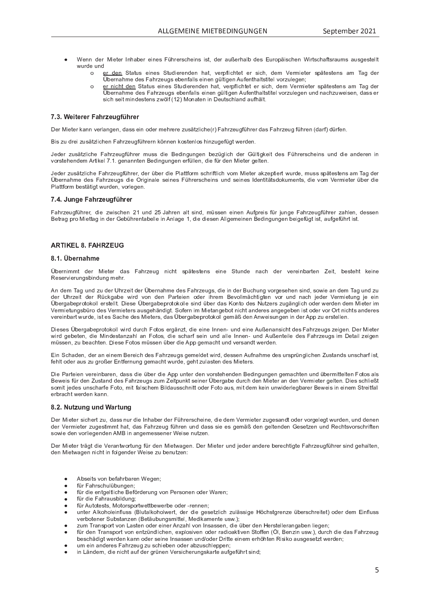- º <sup>P</sup> <sup>U</sup> <sup>U</sup> <sup>W</sup> <sup>P</sup> <sup>Y</sup> ^ <sup>R</sup> P <sup>V</sup> <sup>P</sup> <sup>Y</sup> <sup>|</sup> <sup>U</sup> <sup>T</sup> \_ <sup>O</sup> <sup>P</sup> <sup>Y</sup> <sup>P</sup> <sup>R</sup> U <sup>P</sup> <sup>Z</sup> <sup>m</sup> <sup>p</sup> <sup>T</sup> <sup>Y</sup> P <sup>Y</sup> Z <sup>S</sup> <sup>T</sup> <sup>P</sup> <sup>R</sup> U <sup>Z</sup> <sup>R</sup> Z <sup>V</sup> <sup>e</sup> <sup>W</sup> <sup>P</sup> <sup>Y</sup> \_ ` <sup>x</sup> <sup>P</sup> <sup>Y</sup> <sup>T</sup> \_ \ O <sup>W</sup> <sup>P</sup> <sup>Z</sup> <sup>f</sup> ` <sup>Y</sup> c <sup>X</sup> { <sup>R</sup> Z <sup>S</sup> <sup>T</sup> <sup>P</sup> <sup>U</sup> <sup>º</sup> <sup>R</sup> Y V <sup>Z</sup> <sup>S</sup> <sup>T</sup> \_ <sup>a</sup> <sup>V</sup> <sup>Z</sup> <sup>Y</sup> \_ ` <sup>d</sup> <sup>Z</sup> \_ ` <sup>Z</sup> <sup>g</sup> <sup>P</sup> <sup>Z</sup> <sup>V</sup> <sup>P</sup> \ \ V in the second control of the second control of
	- $\Omega$ er den Status eines Studierenden hat, verpflichtet er sich, dem Vermieter spätestens am Tag der © <sup>O</sup> <sup>P</sup> <sup>Y</sup> <sup>U</sup> \_ <sup>T</sup> <sup>d</sup> <sup>P</sup> <sup>W</sup> <sup>P</sup> <sup>Z</sup> <sup>m</sup> \_ <sup>T</sup> <sup>Y</sup> Q <sup>P</sup> ` <sup>g</sup> <sup>Z</sup> <sup>P</sup> <sup>O</sup> <sup>P</sup> <sup>U</sup> <sup>a</sup> \_ \ \ Z <sup>P</sup> <sup>R</sup> U <sup>P</sup> <sup>U</sup> <sup>g</sup> <sup>p</sup> \ V <sup>R</sup> g <sup>P</sup> <sup>U</sup> <sup>l</sup> ` <sup>a</sup> <sup>P</sup> <sup>U</sup> <sup>V</sup> <sup>T</sup> \_ \ V <sup>Z</sup> <sup>V</sup> <sup>R</sup> V <sup>P</sup> \ <sup>o</sup> <sup>c</sup> <sup>Y</sup> Q ` \ P <sup>g</sup> <sup>P</sup> <sup>U</sup> <sup>u</sup>
	- $\Omega$ er nicht den Status eines Studierenden hat, verpflichtet er sich, dem Vermieter spätestens am Tag der © <sup>O</sup> <sup>P</sup> <sup>Y</sup> <sup>U</sup> \_ <sup>T</sup> <sup>d</sup> <sup>P</sup> <sup>W</sup> <sup>P</sup> <sup>Z</sup> <sup>m</sup> \_ <sup>T</sup> <sup>Y</sup> Q <sup>P</sup> ` <sup>g</sup> <sup>Z</sup> <sup>P</sup> <sup>O</sup> <sup>P</sup> <sup>U</sup> <sup>a</sup> \_ \ \ Z <sup>P</sup> <sup>R</sup> U <sup>P</sup> <sup>U</sup> <sup>g</sup> <sup>p</sup> \ V <sup>R</sup> g <sup>P</sup> <sup>U</sup> <sup>l</sup> ` <sup>a</sup> <sup>P</sup> <sup>U</sup> <sup>V</sup> <sup>T</sup> \_ \ V <sup>Z</sup> <sup>V</sup> <sup>R</sup> V <sup>P</sup> \ <sup>o</sup> <sup>c</sup> <sup>Y</sup> Q ` \ P <sup>g</sup> <sup>P</sup> <sup>U</sup> ` <sup>U</sup> <sup>W</sup> <sup>U</sup> \_ <sup>S</sup> <sup>T</sup> <sup>Q</sup> ` <sup>i</sup> <sup>P</sup> <sup>R</sup> Z <sup>P</sup> <sup>U</sup> <sup>e</sup> <sup>W</sup> \_ <sup>Z</sup> <sup>Z</sup> <sup>P</sup> <sup>Y</sup>  $\Omega$  and  $\Omega$  it mindestens  $\tau$  walf  $(42)$  Menaton in Deutschland outpall

## ¸ <sup>G</sup> <sup>G</sup> <sup>Ð</sup> ¢ £ ¤ ¢ ¥ ¢ ¥ <sup>I</sup> <sup>Á</sup> ¥ ¡ ¢ ¦ <sup>¾</sup> <sup>Á</sup> ¥ ¢ ¥

Der Mieter kenn verlengen, dees ein oder mehrere zueätzliche/r) Eehrzeugführer des Eehrzeug führen (derf) dürfen

] <sup>R</sup> Z <sup>Q</sup> ` <sup>W</sup> <sup>Y</sup> P <sup>R</sup> <sup>Q</sup> ` <sup>Z</sup> { <sup>V</sup> <sup>Q</sup> \ R S <sup>T</sup> <sup>P</sup> <sup>U</sup> <sup>m</sup> \_ <sup>T</sup> <sup>Y</sup> Q <sup>P</sup> ` <sup>g</sup> <sup>a</sup> <sup>p</sup> <sup>T</sup> <sup>Y</sup> P <sup>Y</sup> <sup>U</sup> <sup>h</sup> [ <sup>U</sup> <sup>U</sup> <sup>P</sup> <sup>U</sup> <sup>h</sup> <sup>c</sup> <sup>Z</sup> <sup>V</sup> <sup>P</sup> <sup>U</sup> \ c <sup>Z</sup> <sup>T</sup> <sup>R</sup> U <sup>Q</sup> ` <sup>g</sup> <sup>P</sup> <sup>a</sup> <sup>p</sup> <sup>g</sup> <sup>V</sup> <sup>i</sup> <sup>P</sup> <sup>Y</sup> W <sup>P</sup> <sup>U</sup> <sup>j</sup>

Leder zueätzliche. Febrzeugführer muse die Pedingungen bezüglich der Cültigkeit des Führerscheine und die enderen i o c Y P d l y a j d l y p y w R h P W R U g P U P W R P U P Y W P W R P U E W P U W P U J P U J P V P V P U j

Leder zueätzliche Febrzeugführer, der über die Plettferm schriftlich vom Mieter ekzentiert wurde, muos enäteetene em Teg de © <sup>O</sup> <sup>P</sup> <sup>Y</sup> <sup>U</sup> \_ <sup>T</sup> <sup>d</sup> <sup>P</sup> <sup>W</sup> <sup>P</sup> <sup>Z</sup> <sup>m</sup> \_ <sup>T</sup> <sup>Y</sup> Q <sup>P</sup> ` <sup>g</sup> <sup>Z</sup> <sup>W</sup> <sup>R</sup> P <sup>Y</sup> <sup>R</sup> g <sup>R</sup> U \_ \ P <sup>Z</sup> <sup>P</sup> <sup>R</sup> U <sup>P</sup> <sup>Z</sup> <sup>m</sup> <sup>p</sup> <sup>T</sup> <sup>Y</sup> P <sup>Y</sup> Z <sup>S</sup> <sup>T</sup> <sup>P</sup> <sup>R</sup> U <sup>Z</sup> ` <sup>U</sup> <sup>W</sup> <sup>Z</sup> <sup>P</sup> <sup>R</sup> U <sup>P</sup> <sup>Z</sup> <sup>|</sup> W <sup>P</sup> <sup>U</sup> <sup>V</sup> <sup>R</sup> V { <sup>V</sup> <sup>Z</sup> <sup>W</sup> <sup>c</sup> <sup>h</sup> ` <sup>d</sup> <sup>P</sup> <sup>U</sup> <sup>V</sup> <sup>Z</sup> <sup>e</sup> <sup>W</sup> <sup>R</sup> P <sup>o</sup> <sup>c</sup> <sup>d</sup> <sup>k</sup> <sup>P</sup> <sup>Y</sup> <sup>d</sup> <sup>R</sup> P <sup>V</sup> <sup>P</sup> <sup>Y</sup> <sup>p</sup> <sup>O</sup> <sup>P</sup> <sup>Y</sup> <sup>W</sup> <sup>R</sup> P b a c V a c Y a c Y d O P U e o c Y W P U e o c Y W P U e o c Y W P U g P U g P U g P U g P U g P U g P U j P

### ¸ <sup>G</sup> <sup>G</sup> <sup>Ñ</sup> ¦ ¢ <sup>I</sup> <sup>Á</sup> ¥ ¡ ¢ ¦ <sup>¾</sup> <sup>Á</sup> ¥ ¢ ¥

Eabracheführer, die muischen 94 und 95 Jehren alt sind, müssen einen Aufnreie für junge Eebracheführer geblen, desser ] <sup>P</sup> <sup>V</sup> <sup>Y</sup> \_ <sup>g</sup> <sup>X</sup> <sup>Y</sup> c ^ <sup>R</sup> P <sup>V</sup> <sup>V</sup> \_ <sup>g</sup> <sup>R</sup> U <sup>W</sup> <sup>P</sup> <sup>Y</sup> <sup>P</sup> <sup>O</sup> <sup>p</sup> <sup>T</sup> <sup>Y</sup> P <sup>U</sup> <sup>V</sup> \_ <sup>O</sup> <sup>P</sup> \ \ P <sup>R</sup> U <sup>l</sup> <sup>U</sup> \ \_ <sup>g</sup> <sup>P</sup> <sup>e</sup> <sup>W</sup> <sup>R</sup> P <sup>W</sup> <sup>R</sup> P <sup>Z</sup> <sup>P</sup> <sup>U</sup> <sup>l</sup> \ \ g <sup>P</sup> <sup>d</sup> <sup>P</sup> <sup>R</sup> U <sup>P</sup> <sup>U</sup> ] <sup>P</sup> <sup>W</sup> <sup>R</sup> U <sup>g</sup> ` <sup>U</sup> <sup>g</sup> <sup>P</sup> <sup>U</sup> <sup>O</sup> <sup>P</sup> <sup>R</sup> g <sup>P</sup> <sup>a</sup> <sup>p</sup> <sup>g</sup> <sup>V</sup> <sup>R</sup> Z <sup>V</sup> <sup>e</sup> \_ ` <sup>a</sup> <sup>g</sup> <sup>P</sup> <sup>a</sup> <sup>p</sup> <sup>T</sup> <sup>Y</sup> V <sup>R</sup> Z <sup>V</sup> <sup>j</sup>

## <sup>C</sup> <sup>D</sup> <sup>E</sup> <sup>Ò</sup> <sup>G</sup> <sup>I</sup> <sup>²</sup> <sup>µ</sup>

### Ò <sup>G</sup> <sup>F</sup> <sup>G</sup> <sup>¹</sup> <sup>Ó</sup> ¢ ¥ <sup>Á</sup> § ¢

© <sup>O</sup> <sup>P</sup> <sup>Y</sup> <sup>U</sup> <sup>R</sup> d <sup>d</sup> <sup>V</sup> <sup>W</sup> <sup>P</sup> <sup>Y</sup> ^ <sup>R</sup> P <sup>V</sup> <sup>P</sup> <sup>Y</sup> <sup>W</sup> \_ <sup>Z</sup> <sup>m</sup> \_ <sup>T</sup> <sup>Y</sup> Q <sup>P</sup> ` <sup>g</sup> <sup>U</sup> <sup>R</sup> S <sup>T</sup> <sup>V</sup> <sup>Z</sup> <sup>X</sup> { <sup>V</sup> <sup>P</sup> <sup>Z</sup> <sup>V</sup> <sup>P</sup> <sup>U</sup> <sup>Z</sup> <sup>P</sup> <sup>R</sup> U <sup>P</sup> <sup>V</sup> ` <sup>U</sup> <sup>W</sup> <sup>P</sup> <sup>U</sup> \_ <sup>S</sup> <sup>T</sup> <sup>W</sup> <sup>P</sup> <sup>Y</sup> <sup>o</sup> <sup>P</sup> <sup>Y</sup> P <sup>R</sup> U <sup>O</sup> \_ <sup>Y</sup> V <sup>P</sup> <sup>U</sup> <sup>ª</sup> <sup>P</sup> <sup>R</sup> V <sup>e</sup> <sup>O</sup> <sup>P</sup> <sup>Z</sup> <sup>V</sup> <sup>P</sup> <sup>T</sup> <sup>V</sup> <sup>h</sup> <sup>P</sup> <sup>R</sup> U <sup>P</sup> q P Y O R P Y Y J Y Z O R U G Z O R U G Z O R U G Z O R U G Z O R U G Z O R U G Z O R U G Z O R U G D D P T Y J

l <sup>U</sup> <sup>W</sup> <sup>P</sup> <sup>d</sup> } \_ <sup>g</sup> ` <sup>U</sup> <sup>W</sup> <sup>Q</sup> ` <sup>W</sup> <sup>P</sup> <sup>Y</sup> <sup>v</sup> <sup>T</sup> <sup>Y</sup> Q <sup>P</sup> <sup>R</sup> V <sup>W</sup> <sup>P</sup> <sup>Y</sup> © <sup>O</sup> <sup>P</sup> <sup>Y</sup> <sup>U</sup> \_ <sup>T</sup> <sup>d</sup> <sup>P</sup> <sup>W</sup> <sup>P</sup> <sup>Z</sup> <sup>m</sup> \_ <sup>T</sup> <sup>Y</sup> Q <sup>P</sup> ` <sup>g</sup> <sup>Z</sup> <sup>e</sup> <sup>W</sup> <sup>R</sup> P <sup>R</sup> U <sup>W</sup> <sup>P</sup> <sup>Y</sup> ] ` <sup>S</sup> <sup>T</sup> ` <sup>U</sup> <sup>g</sup> <sup>o</sup> <sup>c</sup> <sup>Y</sup> g <sup>P</sup> <sup>Z</sup> <sup>P</sup> <sup>T</sup> <sup>P</sup> <sup>U</sup> <sup>Z</sup> <sup>R</sup> U <sup>W</sup> <sup>e</sup> <sup>Z</sup> <sup>c</sup> <sup>i</sup> <sup>R</sup> P \_ <sup>U</sup> <sup>W</sup> <sup>P</sup> <sup>d</sup> } \_ <sup>g</sup> ` <sup>U</sup> <sup>W</sup> <sup>Q</sup> ` W <sup>P</sup> <sup>Y</sup> <sup>v</sup> <sup>T</sup> <sup>Y</sup> Q <sup>P</sup> <sup>R</sup> V <sup>W</sup> <sup>P</sup> <sup>Y</sup> <sup>q</sup> <sup>p</sup> <sup>S</sup> <sup>h</sup> <sup>g</sup> \_ <sup>O</sup> <sup>P</sup> <sup>i</sup> <sup>R</sup> Y W <sup>o</sup> <sup>c</sup> <sup>U</sup> <sup>W</sup> <sup>P</sup> <sup>U</sup> <sup>b</sup> \_ <sup>Y</sup> V <sup>P</sup> <sup>R</sup> P <sup>U</sup> <sup>c</sup> <sup>W</sup> <sup>P</sup> <sup>Y</sup> <sup>R</sup> T <sup>Y</sup> P <sup>d</sup> ] <sup>P</sup> <sup>o</sup> <sup>c</sup> \ \ d { <sup>S</sup> <sup>T</sup> <sup>V</sup> <sup>R</sup> g <sup>V</sup> <sup>P</sup> <sup>U</sup> <sup>o</sup> <sup>c</sup> <sup>Y</sup> ` <sup>U</sup> <sup>W</sup> <sup>U</sup> \_ <sup>S</sup> <sup>T</sup> <sup>n</sup> P <sup>W</sup> <sup>P</sup> <sup>Y</sup> <sup>k</sup> <sup>P</sup> <sup>Y</sup> <sup>d</sup> <sup>R</sup> P <sup>V</sup> ` <sup>U</sup> <sup>g</sup> <sup>n</sup> P <sup>P</sup> <sup>R</sup> U Übergebenretekell eretellt. Diese Übergebenretekelle eind über des Kente des Nutzere zugänglich eder werden dem Mieter in k P Y Z O p Y D Y Z G Z O P Y Z G P Z G P Z G P Z G P Z Z G P O C V C V C V C V C V C G V G P O C V C V C V C o <sup>P</sup> <sup>Y</sup> P <sup>R</sup> U <sup>O</sup> \_ <sup>Y</sup> V <sup>i</sup> ` <sup>Y</sup> W <sup>P</sup> <sup>e</sup> <sup>R</sup> Z <sup>V</sup> <sup>P</sup> <sup>Z</sup> \_ <sup>S</sup> <sup>T</sup> <sup>P</sup> <sup>W</sup> <sup>P</sup> <sup>Z</sup> ^ <sup>R</sup> P <sup>V</sup> <sup>P</sup> <sup>Y</sup> Z <sup>e</sup> <sup>W</sup> \_ <sup>Z</sup> © <sup>O</sup> <sup>P</sup> <sup>Y</sup> g \_ <sup>O</sup> <sup>P</sup> <sup>X</sup> <sup>Y</sup> c <sup>V</sup> <sup>c</sup> <sup>h</sup> <sup>c</sup> \ \ <sup>g</sup> <sup>P</sup> <sup>d</sup> { <sup>x</sup> <sup>W</sup> <sup>P</sup> <sup>U</sup> <sup>l</sup> <sup>U</sup> <sup>i</sup> <sup>P</sup> <sup>R</sup> Z ` <sup>U</sup> <sup>g</sup> <sup>P</sup> <sup>U</sup> <sup>R</sup> U <sup>W</sup> <sup>P</sup> <sup>Y</sup> <sup>l</sup> <sup>X</sup> <sup>X</sup> <sup>Q</sup> ` <sup>P</sup> <sup>Y</sup> Z <sup>V</sup> <sup>P</sup> \ \ P <sup>U</sup> <sup>j</sup>

Dieses Übergebenretekell wird durch Eetee ergänzt, die eine Innen, und eine Außeneneight des Eebrzeuge zeigen. Der Miete  $\mu$ ird geheten, die Mindesterzehl en Eetee, die eeberf eein und elle Japen, und Außenteile dee Eebrzeuge im Deteil zeigel müssen, zu hesebten. Diese Eetee müssen üher die Ann gemeekt und vereendt werden.

f <sup>R</sup> U <sup>S</sup> <sup>T</sup> \_ <sup>W</sup> <sup>P</sup> <sup>U</sup> <sup>e</sup> <sup>W</sup> <sup>P</sup> <sup>Y</sup> \_ <sup>U</sup> <sup>P</sup> <sup>R</sup> U <sup>P</sup> <sup>d</sup> ] <sup>P</sup> <sup>Y</sup> P <sup>R</sup> S <sup>T</sup> <sup>W</sup> <sup>P</sup> <sup>Z</sup> <sup>m</sup> \_ <sup>T</sup> <sup>Y</sup> Q <sup>P</sup> ` <sup>g</sup> <sup>Z</sup> <sup>g</sup> <sup>P</sup> <sup>d</sup> <sup>P</sup> \ W <sup>P</sup> <sup>V</sup> <sup>i</sup> <sup>R</sup> Y W <sup>e</sup> <sup>W</sup> <sup>P</sup> <sup>Z</sup> <sup>Z</sup> <sup>P</sup> <sup>U</sup> <sup>l</sup> ` <sup>a</sup> <sup>U</sup> \_ <sup>T</sup> <sup>d</sup> <sup>P</sup> <sup>W</sup> <sup>P</sup> <sup>Z</sup> ` <sup>Y</sup> Z <sup>X</sup> <sup>Y</sup> <sup>p</sup> <sup>U</sup> <sup>g</sup> \ R S <sup>T</sup> <sup>P</sup> <sup>U</sup> <sup>ª</sup> ` <sup>Z</sup> <sup>V</sup> \_ <sup>U</sup> <sup>W</sup> <sup>Z</sup> ` <sup>U</sup> <sup>Z</sup> <sup>S</sup> <sup>T</sup> \_ <sup>Y</sup> a <sup>R</sup> Z <sup>V</sup> <sup>e</sup> a <sup>P</sup> <sup>T</sup> \ V <sup>c</sup> <sup>W</sup> <sup>P</sup> <sup>Y</sup> \_ ` <sup>Z</sup> <sup>Q</sup> ` <sup>g</sup> <sup>Y</sup> c <sup>x</sup> <sup>P</sup> <sup>Y</sup> <sup>f</sup> <sup>U</sup> <sup>V</sup> <sup>a</sup> <sup>P</sup> <sup>Y</sup> <sup>U</sup> ` <sup>U</sup> <sup>g</sup> <sup>g</sup> <sup>P</sup> <sup>d</sup> \_ <sup>S</sup> <sup>T</sup> <sup>V</sup> <sup>i</sup> ` <sup>Y</sup> W <sup>P</sup> <sup>e</sup> <sup>g</sup> <sup>P</sup> <sup>T</sup> <sup>V</sup> <sup>Q</sup> ` \ \_ <sup>Z</sup> <sup>V</sup> <sup>P</sup> <sup>U</sup> <sup>W</sup> <sup>P</sup> <sup>Z</sup> ^ <sup>R</sup> P <sup>V</sup> <sup>P</sup> <sup>Y</sup> Z <sup>j</sup>

Die Resteien vereinberen, daas die über die Ann unter den verstebenden Redingungen gemeekten und übermittelten Eetee el Poweje für den Zustand des Esbrzeuge zum Zeitnunkt seiner Übergebe durch den Mieter en den Vermieter gelten. Dies schließ Z <sup>c</sup> <sup>d</sup> <sup>R</sup> V <sup>n</sup> P <sup>W</sup> <sup>P</sup> <sup>Z</sup> ` <sup>U</sup> <sup>Z</sup> <sup>S</sup> <sup>T</sup> \_ <sup>Y</sup> a <sup>P</sup> <sup>m</sup> <sup>c</sup> <sup>V</sup> <sup>c</sup> <sup>e</sup> <sup>d</sup> <sup>R</sup> V <sup>a</sup> \_ \ Z <sup>S</sup> <sup>T</sup> <sup>P</sup> <sup>d</sup> ] <sup>R</sup> \ W \_ ` <sup>Z</sup> <sup>Z</sup> <sup>S</sup> <sup>T</sup> <sup>U</sup> <sup>R</sup> V <sup>V</sup> <sup>c</sup> <sup>W</sup> <sup>P</sup> <sup>Y</sup> <sup>m</sup> <sup>c</sup> <sup>V</sup> <sup>c</sup> \_ ` <sup>Z</sup> <sup>e</sup> <sup>d</sup> <sup>R</sup> V <sup>W</sup> <sup>P</sup> <sup>d</sup> <sup>h</sup> <sup>P</sup> <sup>R</sup> U ` <sup>U</sup> <sup>i</sup> <sup>R</sup> W <sup>P</sup> <sup>Y</sup> \ P <sup>g</sup> <sup>O</sup> \_ <sup>Y</sup> P <sup>Y</sup> ] <sup>P</sup> <sup>i</sup> <sup>P</sup> <sup>R</sup> Z <sup>R</sup> U <sup>P</sup> <sup>R</sup> U <sup>P</sup> <sup>d</sup> <sup>V</sup> <sup>Y</sup> P <sup>R</sup> V <sup>a</sup> \_ \ \ P Y O Y O Y I P Y Y Y W P Y W P Y W P Y W P

### Ò <sup>G</sup> <sup>G</sup> <sup>J</sup> ¦ ¤ ¡ ¦ ¦ <sup>À</sup> <sup>Ð</sup> ¥ ¤ ¦

Der Mieter eichert zu, dees nur die Inheber der Eübrerscheine, die dem Vermieter zugesendt eder vergelegt wurden, und deneu W <sup>P</sup> <sup>Y</sup> <sup>k</sup> <sup>P</sup> <sup>Y</sup> <sup>d</sup> <sup>R</sup> P <sup>V</sup> <sup>P</sup> <sup>Y</sup> <sup>Q</sup> ` <sup>g</sup> <sup>P</sup> <sup>Z</sup> <sup>V</sup> <sup>R</sup> d <sup>d</sup> <sup>V</sup> <sup>T</sup> \_ <sup>V</sup> <sup>e</sup> <sup>W</sup> \_ <sup>Z</sup> <sup>m</sup> \_ <sup>T</sup> <sup>Y</sup> Q <sup>P</sup> ` <sup>g</sup> <sup>a</sup> <sup>p</sup> <sup>T</sup> <sup>Y</sup> P <sup>U</sup> ` <sup>U</sup> <sup>W</sup> <sup>W</sup> \_ <sup>Z</sup> <sup>Z</sup> <sup>Z</sup> <sup>R</sup> P <sup>P</sup> <sup>Z</sup> <sup>g</sup> <sup>P</sup> <sup>d</sup> { <sup>x</sup> <sup>W</sup> <sup>P</sup> <sup>U</sup> <sup>g</sup> <sup>P</sup> \ V <sup>P</sup> <sup>U</sup> <sup>W</sup> <sup>P</sup> <sup>U</sup> <sup>P</sup> <sup>Z</sup> <sup>P</sup> <sup>V</sup> <sup>Q</sup> <sup>P</sup> <sup>U</sup> ` <sup>U</sup> <sup>W</sup> <sup>q</sup> <sup>P</sup> <sup>S</sup> <sup>T</sup> <sup>V</sup> <sup>Z</sup> <sup>o</sup> <sup>c</sup> <sup>Y</sup> Z <sup>S</sup> <sup>T</sup> <sup>Y</sup> <sup>R</sup> a <sup>V</sup> <sup>P</sup> <sup>U</sup> Z <sup>c</sup> <sup>i</sup> <sup>R</sup> P <sup>W</sup> <sup>P</sup> <sup>U</sup> <sup>o</sup> <sup>c</sup> <sup>Y</sup> \ R P <sup>g</sup> <sup>P</sup> <sup>U</sup> <sup>W</sup> <sup>P</sup> <sup>U</sup> <sup>l</sup> ^ ] <sup>R</sup> U \_ <sup>U</sup> <sup>g</sup> <sup>P</sup> <sup>d</sup> <sup>P</sup> <sup>Z</sup> <sup>Z</sup> <sup>P</sup> <sup>U</sup> <sup>P</sup> <sup>Y</sup> <sup>º</sup> <sup>P</sup> <sup>R</sup> Z <sup>P</sup> <sup>U</sup> ` <sup>V</sup> <sup>Q</sup> <sup>P</sup> <sup>U</sup> <sup>j</sup>

Der Mieter trägt die Verentwertung für den Mietwegen. Der Mieter und jeder endere berechtigte Eebrzeugführer eind gehelten W <sup>P</sup> <sup>U</sup> ^ <sup>R</sup> P <sup>V</sup> <sup>i</sup> \_ <sup>g</sup> <sup>P</sup> <sup>U</sup> <sup>U</sup> <sup>R</sup> S <sup>T</sup> <sup>V</sup> <sup>R</sup> U <sup>a</sup> <sup>c</sup> \ g <sup>P</sup> <sup>U</sup> <sup>W</sup> <sup>P</sup> <sup>Y</sup> <sup>º</sup> <sup>P</sup> <sup>R</sup> Z <sup>P</sup> <sup>Q</sup> ` <sup>O</sup> <sup>P</sup> <sup>U</sup> ` <sup>V</sup> <sup>Q</sup> <sup>P</sup> <sup>U</sup> <sup>r</sup>

- l <sup>O</sup> <sup>Z</sup> <sup>P</sup> <sup>R</sup> V <sup>Z</sup> <sup>o</sup> <sup>c</sup> <sup>U</sup> <sup>O</sup> <sup>P</sup> <sup>a</sup> \_ <sup>T</sup> <sup>Y</sup> <sup>O</sup> \_ <sup>Y</sup> P <sup>U</sup> <sup>º</sup> <sup>P</sup> <sup>g</sup> <sup>P</sup> <sup>U</sup> <sup>u</sup>
- a <sup>p</sup> <sup>Y</sup> <sup>m</sup> \_ <sup>T</sup> <sup>Y</sup> Z <sup>S</sup> <sup>T</sup> ` \ p <sup>O</sup> ` <sup>U</sup> <sup>g</sup> <sup>P</sup> <sup>U</sup> <sup>u</sup>
- a <sup>p</sup> <sup>Y</sup> <sup>W</sup> <sup>R</sup> P <sup>P</sup> <sup>U</sup> <sup>V</sup> <sup>g</sup> <sup>P</sup> \ V \ R S <sup>T</sup> <sup>P</sup> ] <sup>P</sup> <sup>a</sup> [ <sup>Y</sup> W <sup>P</sup> <sup>Y</sup> ` <sup>U</sup> <sup>g</sup> <sup>o</sup> <sup>c</sup> <sup>U</sup> <sup>b</sup> <sup>P</sup> <sup>Y</sup> Z <sup>c</sup> <sup>U</sup> <sup>P</sup> <sup>U</sup> <sup>c</sup> <sup>W</sup> <sup>P</sup> <sup>Y</sup> <sup>º</sup> \_ <sup>Y</sup> P <sup>U</sup> <sup>u</sup>
- a p Y W R P m  $\sim$  100 R  $\sim$  100 R  $\sim$  100 R  $\sim$  100 R  $\sim$  100 R  $\sim$
- a p Y l Y l Y L Y L Y L Y L Y L Y V I P V V O P V O P V O P V V O P V V O P V O P V O P V O P V V O P V V V U
- ` <sup>U</sup> <sup>V</sup> <sup>P</sup> <sup>Y</sup> <sup>l</sup> \ h <sup>c</sup> <sup>T</sup> <sup>c</sup> \ P <sup>R</sup> U <sup>a</sup> \ ` <sup>Z</sup> <sup>Z</sup> ] \ ` <sup>V</sup> \_ \ h <sup>c</sup> <sup>T</sup> <sup>c</sup> \ i <sup>P</sup> <sup>Y</sup> V <sup>e</sup> <sup>W</sup> <sup>P</sup> <sup>Y</sup> <sup>W</sup> <sup>R</sup> P <sup>g</sup> <sup>P</sup> <sup>Z</sup> <sup>P</sup> <sup>V</sup> <sup>Q</sup> \ R S <sup>T</sup> <sup>Q</sup> ` \ { <sup>Z</sup> <sup>Z</sup> <sup>R</sup> g <sup>P</sup> [ <sup>S</sup> <sup>T</sup> <sup>Z</sup> <sup>V</sup> <sup>g</sup> <sup>Y</sup> P <sup>U</sup> <sup>Q</sup> <sup>P</sup> <sup>p</sup> <sup>O</sup> <sup>P</sup> <sup>Y</sup> Z <sup>S</sup> <sup>T</sup> <sup>Y</sup> P <sup>R</sup> V <sup>P</sup> <sup>V</sup> <sup>c</sup> <sup>W</sup> <sup>P</sup> <sup>Y</sup> <sup>W</sup> <sup>P</sup> <sup>d</sup> <sup>f</sup> <sup>R</sup> U <sup>a</sup> \ ` <sup>Z</sup> <sup>Z</sup> o P Y O c V P Y O C V P Y Z Z D V P V Z D V P V Z D V P V V P W R H Z D V P W R H Z Z D P W R H Z I J V P W R
- Q ` <sup>d</sup> } <sup>Y</sup> \_ <sup>U</sup> <sup>Z</sup> <sup>X</sup> <sup>c</sup> <sup>Y</sup> V <sup>o</sup> <sup>c</sup> <sup>U</sup> <sup>y</sup> \_ <sup>Z</sup> <sup>V</sup> <sup>P</sup> <sup>U</sup> <sup>c</sup> <sup>W</sup> <sup>P</sup> <sup>Y</sup> <sup>P</sup> <sup>R</sup> U <sup>P</sup> <sup>Y</sup> <sup>l</sup> <sup>U</sup> <sup>Q</sup> \_ <sup>T</sup> \ <sup>o</sup> <sup>c</sup> <sup>U</sup> <sup>|</sup> <sup>U</sup> <sup>Z</sup> \_ <sup>Z</sup> <sup>Z</sup> <sup>P</sup> <sup>U</sup> <sup>e</sup> <sup>W</sup> <sup>R</sup> P <sup>p</sup> <sup>O</sup> <sup>P</sup> <sup>Y</sup> <sup>W</sup> <sup>P</sup> <sup>U</sup> <sup>P</sup> <sup>Y</sup> Z <sup>V</sup> <sup>P</sup> \ \ P <sup>Y</sup> \_ <sup>U</sup> <sup>g</sup> \_ <sup>O</sup> <sup>P</sup> <sup>U</sup> \ R P <sup>g</sup> <sup>P</sup> <sup>U</sup> <sup>u</sup>
- a p Y W P U C P U C P U P U P U C A P U C A P U C A P U Q R O P U C A P U D R O P U C A P U Q R O P U C A P U h sachädigt worden kenn eder seine Insessen und/eder Dritte einem erhähten Piejke eusgesetzt werden.
- ` <sup>d</sup> <sup>P</sup> <sup>R</sup> U \_ <sup>U</sup> <sup>W</sup> <sup>P</sup> <sup>Y</sup> P <sup>Z</sup> <sup>m</sup> \_ <sup>T</sup> <sup>Y</sup> Q <sup>P</sup> ` <sup>g</sup> <sup>Q</sup> ` <sup>Z</sup> <sup>S</sup> <sup>T</sup> <sup>R</sup> P <sup>O</sup> <sup>P</sup> <sup>U</sup> <sup>c</sup> <sup>W</sup> <sup>P</sup> <sup>Y</sup> \_ <sup>O</sup> <sup>Q</sup> ` <sup>Z</sup> <sup>S</sup> <sup>T</sup> \ P <sup>X</sup> <sup>X</sup> <sup>P</sup> <sup>U</sup> <sup>u</sup>
-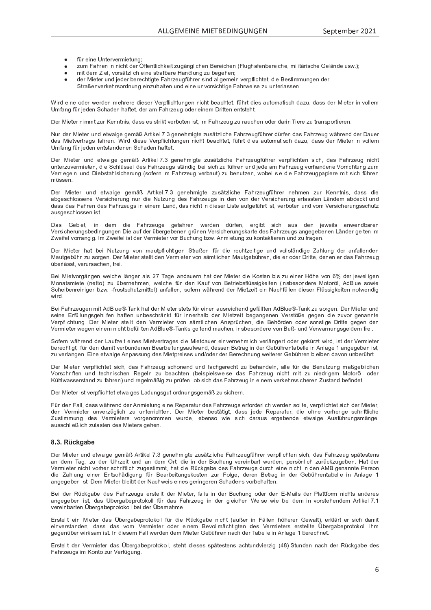- a p Y P Y P Y P Y O P Y O P Y O P Y O P Y O P Y O P Y O P Y O P Y O P Y O P Y O P Y O P Y O P Y O P Y O P Y Z
- $\equiv$  1 a 2 a 2 a  $\equiv$  3 a  $\equiv$  3 a  $\equiv$  3 a  $\equiv$  3 a  $\equiv$  3 a  $\equiv$  3 a  $\equiv$  3 a  $\equiv$  3 a  $\equiv$  3 a  $\equiv$  3 a  $\equiv$  3 a  $\equiv$  3 a  $\equiv$  3 a  $\equiv$  3 a  $\equiv$  3 a  $\equiv$  3 a  $\equiv$  3 a  $\equiv$  3 a  $\equiv$  3 a  $\equiv$  3 a  $\equiv$  3 a  $\equiv$  3 a  $\equiv$  3
- d <sup>R</sup> V <sup>W</sup> <sup>P</sup> <sup>d</sup> <sup>ª</sup> <sup>R</sup> P \ e <sup>o</sup> <sup>c</sup> <sup>Y</sup> Z { <sup>V</sup> <sup>Q</sup> \ R S <sup>T</sup> <sup>P</sup> <sup>R</sup> U <sup>P</sup> <sup>Z</sup> <sup>V</sup> <sup>Y</sup> \_ <sup>a</sup> <sup>O</sup> \_ <sup>Y</sup> P \_ <sup>U</sup> <sup>W</sup> \ ` <sup>U</sup> <sup>g</sup> <sup>Q</sup> ` <sup>O</sup> <sup>P</sup> <sup>g</sup> <sup>P</sup> <sup>T</sup> <sup>P</sup> <sup>U</sup> <sup>u</sup>
- W <sup>P</sup> <sup>Y</sup> ^ <sup>R</sup> P <sup>V</sup> <sup>P</sup> <sup>Y</sup> ` <sup>U</sup> <sup>W</sup> <sup>n</sup> P <sup>W</sup> <sup>P</sup> <sup>Y</sup> <sup>O</sup> <sup>P</sup> <sup>Y</sup> P <sup>S</sup> <sup>T</sup> <sup>V</sup> <sup>R</sup> g <sup>V</sup> <sup>P</sup> <sup>m</sup> \_ <sup>T</sup> <sup>Y</sup> Q <sup>P</sup> ` <sup>g</sup> <sup>a</sup> <sup>p</sup> <sup>T</sup> <sup>Y</sup> P <sup>Y</sup> <sup>Z</sup> <sup>R</sup> U <sup>W</sup> \_ \ \ g <sup>P</sup> <sup>d</sup> <sup>P</sup> <sup>R</sup> U <sup>o</sup> <sup>P</sup> <sup>Y</sup> <sup>X</sup> <sup>a</sup> \ R S <sup>T</sup> <sup>V</sup> <sup>P</sup> <sup>V</sup> <sup>e</sup> <sup>W</sup> <sup>R</sup> P ] <sup>P</sup> <sup>Z</sup> <sup>V</sup> <sup>R</sup> d <sup>d</sup> ` <sup>U</sup> <sup>g</sup> <sup>P</sup> <sup>U</sup> <sup>W</sup> <sup>P</sup> <sup>Y</sup> <sup>V</sup> <sup>Y</sup> \_ <sup>x</sup> <sup>P</sup> <sup>U</sup> <sup>o</sup> <sup>P</sup> <sup>Y</sup> <sup>h</sup> <sup>P</sup> <sup>T</sup> <sup>Y</sup> Z <sup>c</sup> <sup>Y</sup> W <sup>U</sup> ` <sup>U</sup> <sup>g</sup> <sup>P</sup> <sup>R</sup> U <sup>Q</sup> ` <sup>T</sup> \_ \ V <sup>P</sup> <sup>U</sup> ` <sup>U</sup> <sup>W</sup> <sup>P</sup> <sup>R</sup> U <sup>P</sup> ` <sup>U</sup> <sup>o</sup> <sup>c</sup> <sup>Y</sup> Z <sup>R</sup> S <sup>T</sup> <sup>V</sup> <sup>R</sup> g <sup>P</sup> <sup>m</sup> \_ <sup>T</sup> <sup>Y</sup> i <sup>P</sup> <sup>R</sup> Z <sup>P</sup> <sup>Q</sup> ` ` <sup>U</sup> <sup>V</sup> <sup>P</sup> <sup>Y</sup> \ \_ <sup>Z</sup> <sup>Z</sup> <sup>P</sup> <sup>U</sup> <sup>j</sup>

º <sup>R</sup> Y W <sup>P</sup> <sup>R</sup> U <sup>P</sup> <sup>c</sup> <sup>W</sup> <sup>P</sup> <sup>Y</sup> <sup>i</sup> <sup>P</sup> <sup>Y</sup> W <sup>P</sup> <sup>U</sup> <sup>d</sup> <sup>P</sup> <sup>T</sup> <sup>Y</sup> P <sup>Y</sup> P <sup>W</sup> <sup>R</sup> P <sup>Z</sup> <sup>P</sup> <sup>Y</sup> <sup>k</sup> <sup>P</sup> <sup>Y</sup> <sup>X</sup> <sup>a</sup> \ R S <sup>T</sup> <sup>V</sup> ` <sup>U</sup> <sup>g</sup> <sup>P</sup> <sup>U</sup> <sup>U</sup> <sup>R</sup> S <sup>T</sup> <sup>V</sup> <sup>O</sup> <sup>P</sup> \_ <sup>S</sup> <sup>T</sup> <sup>V</sup> <sup>P</sup> <sup>V</sup> <sup>e</sup> <sup>a</sup> <sup>p</sup> <sup>T</sup> <sup>Y</sup> V <sup>W</sup> <sup>R</sup> P <sup>Z</sup> \_ ` <sup>V</sup> <sup>c</sup> <sup>d</sup> \_ <sup>V</sup> <sup>R</sup> Z <sup>S</sup> <sup>T</sup> <sup>W</sup> \_ <sup>Q</sup> ` <sup>e</sup> <sup>W</sup> \_ <sup>Z</sup> <sup>Z</sup> <sup>W</sup> <sup>P</sup> <sup>Y</sup> ^ <sup>R</sup> P <sup>V</sup> <sup>P</sup> <sup>Y</sup> <sup>R</sup> U <sup>o</sup> <sup>c</sup> \ \ P <sup>d</sup> Umfong für ieden Cebeden beftet, der em Eebrzeug eder einem Dritten entsteht

Der Mieter nimmt zur Kenntnie, dees es strikt verheten ist, im Eebrzeug zu reuchen eder derin Tiere zu trenenertieren

Nur der Mieter und etweige gemäß. Artikel 7.2 genehmigte zueätzliche Eebrzeugführer dürfen dee Eebrzeug während der Deue W <sup>P</sup> <sup>Z</sup> ^ <sup>R</sup> P <sup>V</sup> <sup>o</sup> <sup>P</sup> <sup>Y</sup> V <sup>Y</sup> \_ <sup>g</sup> <sup>Z</sup> <sup>a</sup> \_ <sup>T</sup> <sup>Y</sup> P <sup>U</sup> <sup>j</sup> <sup>º</sup> <sup>R</sup> Y W <sup>W</sup> <sup>R</sup> P <sup>Z</sup> <sup>P</sup> <sup>k</sup> <sup>P</sup> <sup>Y</sup> <sup>X</sup> <sup>a</sup> \ R S <sup>T</sup> <sup>V</sup> ` <sup>U</sup> <sup>g</sup> <sup>P</sup> <sup>U</sup> <sup>U</sup> <sup>R</sup> S <sup>T</sup> <sup>V</sup> <sup>O</sup> <sup>P</sup> \_ <sup>S</sup> <sup>T</sup> <sup>V</sup> <sup>P</sup> <sup>V</sup> <sup>e</sup> <sup>a</sup> <sup>p</sup> <sup>T</sup> <sup>Y</sup> V <sup>W</sup> <sup>R</sup> P <sup>Z</sup> \_ ` <sup>V</sup> <sup>c</sup> <sup>d</sup> \_ <sup>V</sup> <sup>R</sup> Z <sup>S</sup> <sup>T</sup> <sup>W</sup> \_ <sup>Q</sup> ` <sup>e</sup> <sup>W</sup> \_ <sup>Z</sup> <sup>Z</sup> <sup>W</sup> <sup>P</sup> <sup>Y</sup> ^ <sup>R</sup> P <sup>V</sup> <sup>P</sup> <sup>Y</sup> <sup>R</sup> U <sup>o</sup> <sup>c</sup> \ \ P <sup>d</sup> v <sup>d</sup> <sup>a</sup> \_ <sup>U</sup> <sup>g</sup> <sup>a</sup> <sup>p</sup> <sup>Y</sup> <sup>n</sup> P <sup>W</sup> <sup>P</sup> <sup>U</sup> <sup>P</sup> <sup>U</sup> <sup>V</sup> <sup>Z</sup> <sup>V</sup> \_ <sup>U</sup> <sup>W</sup> <sup>P</sup> <sup>U</sup> <sup>P</sup> <sup>U</sup> <sup>S</sup> <sup>T</sup> \_ <sup>W</sup> <sup>P</sup> <sup>U</sup> <sup>T</sup> \_ <sup>a</sup> <sup>V</sup> <sup>P</sup> <sup>V</sup> <sup>j</sup>

Der Mieter und etweige gemäß Artikel 7.2 genehmigte zueätzliche Echrzeugführer vernflichten eich dee Echrzeug nich ` <sup>U</sup> <sup>V</sup> <sup>P</sup> <sup>Y</sup> Q ` <sup>o</sup> <sup>P</sup> <sup>Y</sup> <sup>d</sup> <sup>R</sup> P <sup>V</sup> <sup>P</sup> <sup>U</sup> <sup>e</sup> <sup>W</sup> <sup>R</sup> P <sup>S</sup> <sup>T</sup> \ p <sup>Z</sup> <sup>Z</sup> <sup>P</sup> \ <sup>W</sup> <sup>P</sup> <sup>Z</sup> <sup>m</sup> \_ <sup>T</sup> <sup>Y</sup> Q <sup>P</sup> ` <sup>g</sup> <sup>Z</sup> <sup>Z</sup> <sup>V</sup> { <sup>U</sup> <sup>W</sup> <sup>R</sup> g <sup>O</sup> <sup>P</sup> <sup>R</sup> <sup>Z</sup> <sup>R</sup> S <sup>T</sup> <sup>Q</sup> ` <sup>a</sup> <sup>p</sup> <sup>T</sup> <sup>Y</sup> P <sup>U</sup> ` <sup>U</sup> <sup>W</sup> <sup>n</sup> P <sup>W</sup> <sup>P</sup> \_ <sup>d</sup> <sup>m</sup> \_ <sup>T</sup> <sup>Y</sup> Q <sup>P</sup> ` <sup>g</sup> <sup>o</sup> <sup>c</sup> <sup>Y</sup> <sup>T</sup> \_ <sup>U</sup> <sup>W</sup> <sup>P</sup> <sup>U</sup> <sup>P</sup> <sup>k</sup> <sup>c</sup> <sup>Y</sup> <sup>Y</sup> <sup>R</sup> S <sup>T</sup> <sup>V</sup> ` <sup>U</sup> <sup>g</sup> <sup>Q</sup> ` <sup>d</sup> k <sup>P</sup> <sup>Y</sup> <sup>Y</sup> <sup>R</sup> P <sup>g</sup> <sup>P</sup> \ U ` <sup>U</sup> <sup>W</sup> t R P <sup>O</sup> <sup>Z</sup> <sup>V</sup> \_ <sup>T</sup> \ Z <sup>R</sup> S <sup>T</sup> <sup>P</sup> <sup>Y</sup> ` <sup>U</sup> <sup>g</sup> Z <sup>c</sup> <sup>a</sup> <sup>P</sup> <sup>Y</sup> <sup>U</sup> <sup>R</sup> d <sup>m</sup> \_ <sup>T</sup> <sup>Y</sup> Q <sup>P</sup> ` <sup>g</sup> <sup>o</sup> <sup>P</sup> <sup>Y</sup> <sup>O</sup> \_ ` <sup>V</sup> <sup>Q</sup> ` <sup>O</sup> <sup>P</sup> <sup>U</sup> ` <sup>V</sup> <sup>Q</sup> <sup>P</sup> <sup>U</sup> <sup>e</sup> <sup>i</sup> <sup>c</sup> <sup>O</sup> <sup>P</sup> <sup>R</sup> <sup>Z</sup> <sup>R</sup> P <sup>W</sup> <sup>R</sup> P <sup>m</sup> \_ <sup>T</sup> <sup>Y</sup> Q <sup>P</sup> ` <sup>g</sup> <sup>X</sup> \_ <sup>X</sup> <sup>R</sup> P <sup>Y</sup> P <sup>d</sup> <sup>R</sup> V <sup>Z</sup> <sup>R</sup> S <sup>T</sup> <sup>a</sup> <sup>p</sup> <sup>T</sup> <sup>Y</sup> P <sup>U</sup> d p Z Z P U je začel po Z Z P U je začel po Z Z P U je začel po Z Z P U je začel po Z Z P U je začel po Z Z P U

Der Mieter und etweige gemäß Artikel 7.2 genehmigte zueätzliche Echrzeugführer nehmen zur Kenntnie, dese di \_ <sup>O</sup> <sup>g</sup> <sup>P</sup> <sup>Z</sup> <sup>S</sup> <sup>T</sup> \ c <sup>Z</sup> <sup>Z</sup> <sup>P</sup> <sup>U</sup> <sup>P</sup> <sup>k</sup> <sup>P</sup> <sup>Y</sup> Z <sup>R</sup> S <sup>T</sup> <sup>P</sup> <sup>Y</sup> ` <sup>U</sup> <sup>g</sup> <sup>U</sup> ` <sup>Y</sup> <sup>W</sup> <sup>R</sup> P ® ` <sup>V</sup> <sup>Q</sup> ` <sup>U</sup> <sup>g</sup> <sup>W</sup> <sup>P</sup> <sup>Z</sup> <sup>m</sup> \_ <sup>T</sup> <sup>Y</sup> Q <sup>P</sup> ` <sup>g</sup> <sup>Z</sup> <sup>R</sup> U <sup>W</sup> <sup>P</sup> <sup>U</sup> <sup>o</sup> <sup>c</sup> <sup>U</sup> <sup>W</sup> <sup>P</sup> <sup>Y</sup> <sup>k</sup> <sup>P</sup> <sup>Y</sup> Z <sup>R</sup> S <sup>T</sup> <sup>P</sup> <sup>Y</sup> ` <sup>U</sup> <sup>g</sup> <sup>P</sup> <sup>Y</sup> a \_ <sup>Z</sup> <sup>Z</sup> <sup>V</sup> <sup>P</sup> <sup>U</sup> <sup>y</sup> { <sup>U</sup> <sup>W</sup> <sup>P</sup> <sup>Y</sup> <sup>U</sup> \_ <sup>O</sup> <sup>W</sup> <sup>P</sup> <sup>S</sup> <sup>h</sup> <sup>V</sup> ` <sup>U</sup> <sup>W</sup> W \_ <sup>Z</sup> <sup>Z</sup> <sup>W</sup> \_ <sup>Z</sup> <sup>m</sup> \_ <sup>T</sup> <sup>Y</sup> P <sup>U</sup> <sup>W</sup> <sup>P</sup> <sup>Z</sup> <sup>m</sup> \_ <sup>T</sup> <sup>Y</sup> Q <sup>P</sup> ` <sup>g</sup> <sup>Z</sup> <sup>R</sup> U <sup>P</sup> <sup>R</sup> U <sup>P</sup> <sup>d</sup> <sup>y</sup> \_ <sup>U</sup> <sup>W</sup> <sup>e</sup> <sup>W</sup> \_ <sup>Z</sup> <sup>U</sup> <sup>R</sup> S <sup>T</sup> <sup>V</sup> <sup>R</sup> U <sup>W</sup> <sup>R</sup> P <sup>Z</sup> <sup>P</sup> <sup>Y</sup> <sup>y</sup> <sup>R</sup> Z <sup>V</sup> <sup>P</sup> \_ ` <sup>a</sup> <sup>g</sup> <sup>P</sup> <sup>a</sup> <sup>p</sup> <sup>T</sup> <sup>Y</sup> V <sup>R</sup> Z <sup>V</sup> <sup>e</sup> <sup>o</sup> <sup>P</sup> <sup>Y</sup> <sup>O</sup> <sup>c</sup> <sup>V</sup> <sup>P</sup> <sup>U</sup> ` <sup>U</sup> <sup>W</sup> <sup>o</sup> <sup>c</sup> <sup>d</sup> <sup>k</sup> <sup>P</sup> <sup>Y</sup> Z <sup>R</sup> S <sup>T</sup> <sup>P</sup> <sup>Y</sup> ` <sup>U</sup> <sup>g</sup> <sup>Z</sup> <sup>Z</sup> <sup>S</sup> <sup>T</sup> ` <sup>V</sup> <sup>Q</sup> \_ ` <sup>Z</sup> <sup>g</sup> <sup>P</sup> <sup>Z</sup> <sup>S</sup> <sup>T</sup> \ c <sup>Z</sup> <sup>Z</sup> <sup>P</sup> <sup>U</sup> <sup>R</sup> Z <sup>V</sup> <sup>j</sup>

n. Gebiet, in dem die Fahrzeuge gefahren werden dürfen, ergibt sich aus den jeweils anwendbaren Vereicherungehedingungen Die auf der übergebenen grünen Vereicherungekarte des Esbrzeuge engegebenen Länder gelten is ª <sup>i</sup> <sup>P</sup> <sup>R</sup> a <sup>P</sup> \ <sup>o</sup> <sup>c</sup> <sup>Y</sup> <sup>Y</sup> \_ <sup>U</sup> <sup>g</sup> <sup>R</sup> g <sup>j</sup> <sup>|</sup> <sup>d</sup> <sup>ª</sup> <sup>i</sup> <sup>P</sup> <sup>R</sup> a <sup>P</sup> \ <sup>R</sup> Z <sup>V</sup> <sup>W</sup> <sup>P</sup> <sup>Y</sup> <sup>k</sup> <sup>P</sup> <sup>Y</sup> <sup>d</sup> <sup>R</sup> P <sup>V</sup> <sup>P</sup> <sup>Y</sup> <sup>o</sup> <sup>c</sup> <sup>Y</sup> ] ` <sup>S</sup> <sup>T</sup> ` <sup>U</sup> <sup>g</sup> <sup>O</sup> <sup>Q</sup> <sup>i</sup> <sup>j</sup> <sup>l</sup> <sup>U</sup> <sup>d</sup> <sup>R</sup> P <sup>V</sup> ` <sup>U</sup> <sup>g</sup> <sup>Q</sup> ` <sup>h</sup> <sup>c</sup> <sup>U</sup> <sup>V</sup> \_ <sup>h</sup> <sup>V</sup> <sup>R</sup> P <sup>Y</sup> P <sup>U</sup> ` <sup>U</sup> <sup>W</sup> <sup>Q</sup> ` <sup>a</sup> <sup>Y</sup> \_ <sup>g</sup> <sup>P</sup> <sup>U</sup> <sup>j</sup>

Der Mieter bet hei Nutzung von meutoflichtigen Straßen für die rechtzeitige und velletändige Zehlung der enfellender Moutachübr zu eergen. Der Mieter stellt den Vermieter van eëmtlichen Moutachübren, die er eder Dritte, denen er dee Febrzeu p <sup>O</sup> <sup>P</sup> <sup>Y</sup> \ { <sup>Z</sup> <sup>Z</sup> <sup>V</sup> <sup>e</sup> <sup>o</sup> <sup>P</sup> <sup>Y</sup> ` <sup>Y</sup> Z \_ <sup>S</sup> <sup>T</sup> <sup>P</sup> <sup>U</sup> <sup>e</sup> <sup>a</sup> <sup>Y</sup> P <sup>R</sup> j

] <sup>P</sup> <sup>R</sup> ^ <sup>R</sup> P <sup>V</sup> <sup>o</sup> <sup>c</sup> <sup>Y</sup> g { <sup>U</sup> <sup>g</sup> <sup>P</sup> <sup>U</sup> <sup>i</sup> <sup>P</sup> \ S <sup>T</sup> <sup>P</sup> \ { <sup>U</sup> <sup>g</sup> <sup>P</sup> <sup>Y</sup> \_ \ Z } \_ <sup>g</sup> <sup>P</sup> \_ <sup>U</sup> <sup>W</sup> \_ ` <sup>P</sup> <sup>Y</sup> <sup>U</sup> <sup>T</sup> \_ <sup>V</sup> <sup>W</sup> <sup>P</sup> <sup>Y</sup> ^ <sup>R</sup> P <sup>V</sup> <sup>P</sup> <sup>Y</sup> <sup>W</sup> <sup>R</sup> P ¯ <sup>c</sup> <sup>Z</sup> <sup>V</sup> <sup>P</sup> <sup>U</sup> <sup>O</sup> <sup>R</sup> Z <sup>Q</sup> ` <sup>P</sup> <sup>R</sup> U <sup>P</sup> <sup>Y</sup> [ <sup>T</sup> <sup>P</sup> <sup>o</sup> <sup>c</sup> <sup>U</sup> <sup>×</sup> <sup>W</sup> <sup>P</sup> <sup>Y</sup> <sup>n</sup> P <sup>i</sup> <sup>P</sup> <sup>R</sup> \ R g <sup>P</sup> <sup>U</sup> ^ <sup>c</sup> <sup>U</sup> \_ <sup>V</sup> <sup>Z</sup> <sup>d</sup> <sup>R</sup> P <sup>V</sup> <sup>P</sup> <sup>U</sup> <sup>P</sup> <sup>V</sup> <sup>V</sup> <sup>c</sup> <sup>Q</sup> ` <sup>p</sup> <sup>O</sup> <sup>P</sup> <sup>Y</sup> <sup>U</sup> <sup>P</sup> <sup>T</sup> <sup>d</sup> <sup>P</sup> <sup>U</sup> <sup>e</sup> <sup>i</sup> <sup>P</sup> \ S <sup>T</sup> <sup>P</sup> <sup>a</sup> <sup>p</sup> <sup>Y</sup> <sup>W</sup> <sup>P</sup> <sup>U</sup> ¯ \_ ` <sup>a</sup> <sup>o</sup> <sup>c</sup> <sup>U</sup> ] <sup>P</sup> <sup>V</sup> <sup>Y</sup> <sup>R</sup> P <sup>O</sup> <sup>Z</sup> <sup>a</sup> \ p <sup>Z</sup> <sup>Z</sup> <sup>R</sup> g <sup>h</sup> <sup>P</sup> <sup>R</sup> V <sup>P</sup> <sup>U</sup> <sup>R</sup> U <sup>Z</sup> <sup>O</sup> <sup>P</sup> <sup>Z</sup> <sup>c</sup> <sup>U</sup> <sup>W</sup> <sup>P</sup> <sup>Y</sup> P ^ <sup>c</sup> <sup>V</sup> <sup>c</sup> <sup>Y</sup> [ \ e <sup>l</sup> <sup>W</sup> ] \ ` <sup>P</sup> <sup>Z</sup> <sup>c</sup> <sup>i</sup> <sup>R</sup> P <sup>S</sup> <sup>T</sup> <sup>P</sup> <sup>R</sup> O <sup>P</sup> <sup>U</sup> <sup>Y</sup> P <sup>R</sup> U <sup>R</sup> g <sup>P</sup> <sup>Y</sup> <sup>O</sup> <sup>Q</sup> <sup>i</sup> <sup>j</sup> <sup>~</sup> <sup>a</sup> <sup>Y</sup> c <sup>Z</sup> <sup>V</sup> <sup>Z</sup> <sup>S</sup> <sup>T</sup> ` <sup>V</sup> <sup>Q</sup> <sup>d</sup> <sup>R</sup> V <sup>V</sup> <sup>P</sup> \ \_ <sup>U</sup> <sup>a</sup> \_ \ \ P <sup>U</sup> <sup>e</sup> <sup>Z</sup> <sup>c</sup> <sup>a</sup> <sup>P</sup> <sup>Y</sup> <sup>U</sup> <sup>i</sup> { <sup>T</sup> <sup>Y</sup> P <sup>U</sup> <sup>W</sup> <sup>W</sup> <sup>P</sup> <sup>Y</sup> ^ <sup>R</sup> P <sup>V</sup> <sup>Q</sup> <sup>P</sup> <sup>R</sup> V <sup>P</sup> <sup>R</sup> U ® \_ <sup>S</sup> <sup>T</sup> <sup>a</sup> <sup>p</sup> \ \ P <sup>U</sup> <sup>W</sup> <sup>R</sup> P <sup>Z</sup> <sup>P</sup> <sup>Y</sup> <sup>m</sup> \ p <sup>Z</sup> <sup>Z</sup> <sup>R</sup> g <sup>h</sup> <sup>P</sup> <sup>R</sup> V <sup>P</sup> <sup>U</sup> <sup>U</sup> <sup>c</sup> <sup>V</sup> <sup>i</sup> <sup>P</sup> <sup>U</sup> <sup>W</sup> <sup>R</sup> g i <sup>R</sup> Y W <sup>j</sup>

Dei Eebsteinen mit AdDlue® Taali het des Nictes etete füs einen einssiehend gefüllten AdDlue® Taali tui eesgen. Des Nictes un Z <sup>P</sup> <sup>R</sup> U <sup>P</sup> <sup>f</sup> <sup>Y</sup> a <sup>p</sup> \ \ ` <sup>U</sup> <sup>g</sup> <sup>Z</sup> <sup>g</sup> <sup>P</sup> <sup>T</sup> <sup>R</sup> \ a <sup>P</sup> <sup>U</sup> <sup>T</sup> \_ <sup>a</sup> <sup>V</sup> <sup>P</sup> <sup>U</sup> ` <sup>U</sup> <sup>O</sup> <sup>P</sup> <sup>Z</sup> <sup>S</sup> <sup>T</sup> <sup>Y</sup> { <sup>U</sup> <sup>h</sup> <sup>V</sup> <sup>a</sup> <sup>p</sup> <sup>Y</sup> <sup>R</sup> U <sup>U</sup> <sup>P</sup> <sup>Y</sup> <sup>T</sup> \_ \ O <sup>W</sup> <sup>P</sup> <sup>Y</sup> ^ <sup>R</sup> P <sup>V</sup> <sup>Q</sup> <sup>P</sup> <sup>R</sup> V <sup>O</sup> <sup>P</sup> <sup>g</sup> \_ <sup>U</sup> <sup>g</sup> <sup>P</sup> <sup>U</sup> <sup>P</sup> <sup>U</sup> <sup>k</sup> <sup>P</sup> <sup>Y</sup> Z <sup>V</sup> [ <sup>x</sup> <sup>P</sup> <sup>g</sup> <sup>P</sup> <sup>g</sup> <sup>P</sup> <sup>U</sup> <sup>W</sup> <sup>R</sup> P <sup>Q</sup> ` <sup>o</sup> <sup>c</sup> <sup>Y</sup> <sup>g</sup> <sup>P</sup> <sup>U</sup> \_ <sup>U</sup> <sup>U</sup> <sup>V</sup> <sup>P</sup> Vernflichtung. Der Mieter stellt den Vermieter von eömtlichen Anaprüchen, die Rebörden eder senetige Dritte gegen der k <sup>P</sup> <sup>Y</sup> <sup>d</sup> <sup>R</sup> P <sup>V</sup> <sup>P</sup> <sup>Y</sup> <sup>i</sup> <sup>P</sup> <sup>g</sup> <sup>P</sup> <sup>U</sup> <sup>P</sup> <sup>R</sup> U <sup>P</sup> <sup>d</sup> <sup>U</sup> <sup>R</sup> S <sup>T</sup> <sup>V</sup> <sup>O</sup> <sup>P</sup> <sup>a</sup> <sup>p</sup> \ \ V <sup>P</sup> <sup>U</sup> <sup>l</sup> <sup>W</sup> ] \ ` <sup>P</sup> <sup>Ø</sup> <sup>~</sup> } \_ <sup>U</sup> <sup>h</sup> <sup>Z</sup> <sup>g</sup> <sup>P</sup> \ V <sup>P</sup> <sup>U</sup> <sup>W</sup> <sup>d</sup> \_ <sup>S</sup> <sup>T</sup> <sup>P</sup> <sup>U</sup> <sup>e</sup> <sup>R</sup> U <sup>Z</sup> <sup>O</sup> <sup>P</sup> <sup>Z</sup> <sup>c</sup> <sup>U</sup> <sup>W</sup> <sup>P</sup> <sup>Y</sup> P <sup>o</sup> <sup>c</sup> <sup>U</sup> ] ` <sup>x</sup> <sup>~</sup> ` <sup>U</sup> <sup>W</sup> <sup>k</sup> <sup>P</sup> <sup>Y</sup> i \_ <sup>Y</sup> <sup>U</sup> ` <sup>U</sup> <sup>g</sup> <sup>Z</sup> <sup>g</sup> <sup>P</sup> \ W <sup>P</sup> <sup>Y</sup> <sup>U</sup> <sup>a</sup> <sup>Y</sup> P <sup>R</sup> j

c a P Y U i i a R P P Y O P Y V O P Y R P Y V G P Y P Y V G P Y V G P H P Y V I R S T O P Y Z V Z V V V V V V C O <sup>P</sup> <sup>Y</sup> P <sup>S</sup> <sup>T</sup> <sup>V</sup> <sup>R</sup> g <sup>V</sup> <sup>e</sup> <sup>a</sup> <sup>p</sup> <sup>Y</sup> <sup>W</sup> <sup>P</sup> <sup>U</sup> <sup>W</sup> \_ <sup>d</sup> <sup>R</sup> V <sup>o</sup> <sup>P</sup> <sup>Y</sup> <sup>O</sup> ` <sup>U</sup> <sup>W</sup> <sup>P</sup> <sup>U</sup> <sup>P</sup> <sup>U</sup> ] <sup>P</sup> \_ <sup>Y</sup> <sup>O</sup> <sup>P</sup> <sup>R</sup> V ` <sup>U</sup> <sup>g</sup> <sup>Z</sup> \_ ` <sup>a</sup> <sup>i</sup> \_ <sup>U</sup> <sup>W</sup> <sup>e</sup> <sup>W</sup> <sup>P</sup> <sup>Z</sup> <sup>Z</sup> <sup>P</sup> <sup>U</sup> ] <sup>P</sup> <sup>V</sup> <sup>Y</sup> \_ <sup>g</sup> <sup>R</sup> U <sup>W</sup> <sup>P</sup> <sup>Y</sup> <sup>P</sup> <sup>O</sup> <sup>p</sup> <sup>T</sup> <sup>Y</sup> P <sup>U</sup> <sup>V</sup> \_ <sup>O</sup> <sup>P</sup> \ \ P <sup>R</sup> U <sup>l</sup> <sup>U</sup> \ \_ <sup>g</sup> <sup>P</sup> \_ <sup>U</sup> <sup>g</sup> <sup>P</sup> <sup>g</sup> <sup>P</sup> <sup>O</sup> <sup>P</sup> <sup>U</sup> <sup>R</sup> Z <sup>V</sup> <sup>e</sup> Q ` <sup>o</sup> <sup>P</sup> <sup>Y</sup> \ \_ <sup>U</sup> <sup>g</sup> <sup>P</sup> <sup>U</sup> <sup>j</sup> <sup>f</sup> <sup>R</sup> U <sup>P</sup> <sup>P</sup> <sup>V</sup> <sup>i</sup> \_ <sup>R</sup> g <sup>P</sup> <sup>l</sup> <sup>U</sup> <sup>X</sup> \_ <sup>Z</sup> <sup>Z</sup> ` <sup>U</sup> <sup>g</sup> <sup>W</sup> <sup>P</sup> <sup>Z</sup> ^ <sup>R</sup> P <sup>V</sup> <sup>X</sup> <sup>Y</sup> P <sup>R</sup> Z <sup>P</sup> <sup>Z</sup> ` <sup>U</sup> <sup>W</sup> <sup>c</sup> <sup>W</sup> <sup>P</sup> <sup>Y</sup> <sup>W</sup> <sup>P</sup> <sup>Y</sup> ] <sup>P</sup> <sup>Y</sup> P <sup>S</sup> <sup>T</sup> <sup>U</sup> ` <sup>U</sup> <sup>g</sup> <sup>i</sup> <sup>P</sup> <sup>R</sup> V <sup>P</sup> <sup>Y</sup> P <sup>Y</sup> <sup>P</sup> <sup>O</sup> <sup>p</sup> <sup>T</sup> <sup>Y</sup> P <sup>U</sup> <sup>O</sup> \ P <sup>R</sup> O <sup>P</sup> <sup>U</sup> <sup>W</sup> \_ <sup>o</sup> <sup>c</sup> <sup>U</sup> ` <sup>U</sup> <sup>O</sup> <sup>P</sup> <sup>Y</sup> <sup>p</sup> <sup>T</sup> <sup>Y</sup> V <sup>j</sup>

Der Mieter verpflichtet eich des Echrzeug schenend und fechgerecht zu hebendeln, elle für die Penutzung meßgeblicher k <sup>c</sup> <sup>Y</sup> Z <sup>S</sup> <sup>T</sup> <sup>Y</sup> <sup>R</sup> a <sup>V</sup> <sup>P</sup> <sup>U</sup> ` <sup>U</sup> <sup>W</sup> <sup>V</sup> <sup>P</sup> <sup>S</sup> <sup>T</sup> <sup>U</sup> <sup>R</sup> Z <sup>S</sup> <sup>T</sup> <sup>P</sup> <sup>U</sup> <sup>q</sup> <sup>P</sup> <sup>g</sup> <sup>P</sup> \ U <sup>Q</sup> ` <sup>O</sup> <sup>P</sup> \_ <sup>S</sup> <sup>T</sup> <sup>V</sup> <sup>P</sup> <sup>U</sup> <sup>O</sup> <sup>P</sup> <sup>R</sup> Z <sup>X</sup> <sup>R</sup> P \ Z <sup>i</sup> <sup>P</sup> <sup>R</sup> Z <sup>P</sup> <sup>W</sup> \_ <sup>Z</sup> <sup>m</sup> \_ <sup>T</sup> <sup>Y</sup> Q <sup>P</sup> ` <sup>g</sup> <sup>U</sup> <sup>R</sup> S <sup>T</sup> <sup>V</sup> <sup>d</sup> <sup>R</sup> V <sup>Q</sup> ` <sup>U</sup> <sup>R</sup> P <sup>W</sup> <sup>Y</sup> <sup>R</sup> g <sup>P</sup> <sup>d</sup> ^ <sup>c</sup> <sup>V</sup> <sup>c</sup> <sup>Y</sup> [ \ ~ <sup>c</sup> <sup>W</sup> <sup>P</sup> <sup>Y</sup> ¯ <sup>p</sup> <sup>T</sup> \ i \_ <sup>Z</sup> <sup>Z</sup> <sup>P</sup> <sup>Y</sup> Z <sup>V</sup> \_ <sup>U</sup> <sup>W</sup> <sup>Q</sup> ` <sup>a</sup> \_ <sup>T</sup> <sup>Y</sup> P <sup>U</sup> ` <sup>U</sup> <sup>W</sup> <sup>Y</sup> P <sup>g</sup> <sup>P</sup> \ d { <sup>x</sup> <sup>R</sup> g <sup>Q</sup> ` <sup>X</sup> <sup>Y</sup> <sup>p</sup> <sup>a</sup> <sup>P</sup> <sup>U</sup> <sup>j</sup> <sup>c</sup> <sup>O</sup> <sup>Z</sup> <sup>R</sup> S <sup>T</sup> <sup>W</sup> \_ <sup>Z</sup> <sup>m</sup> \_ <sup>T</sup> <sup>Y</sup> Q <sup>P</sup> ` <sup>g</sup> <sup>R</sup> U <sup>P</sup> <sup>R</sup> U <sup>P</sup> <sup>d</sup> <sup>o</sup> <sup>P</sup> <sup>Y</sup> <sup>h</sup> <sup>P</sup> <sup>T</sup> <sup>Y</sup> Z <sup>Z</sup> <sup>R</sup> S <sup>T</sup> <sup>P</sup> <sup>Y</sup> P <sup>U</sup> <sup>ª</sup> ` <sup>Z</sup> <sup>V</sup> \_ <sup>U</sup> <sup>W</sup> <sup>O</sup> <sup>P</sup> <sup>a</sup> <sup>R</sup> U <sup>W</sup> <sup>P</sup> <sup>V</sup> <sup>j</sup>

Der Mieter ist verpflichtet etweigee. Ledungegut erdnungegemäß zu eichern

m p Y W P U m z Z i z Z i z z z z z z m z m z m z m z z m z z m z z m z z m z z m z z m z z z z z z m z z z z den Vermieter unverzüglich zu unterschten. Der Mieter bestätigt daes jede Peneretur die ehne verberige schriftlich ● ` Z v Y Z o c Y Z o c i R P Z o c i R P U i Z a p O P U i Z d Z d Z d Z d Z d z a p z a p z a p z a p z d z  $\overline{\phantom{a}}$   $\overline{\phantom{a}}$   $\overline{\phantom{a}}$   $\overline{\phantom{a}}$   $\overline{\phantom{a}}$   $\overline{\phantom{a}}$   $\overline{\phantom{a}}$   $\overline{\phantom{a}}$   $\overline{\phantom{a}}$   $\overline{\phantom{a}}$   $\overline{\phantom{a}}$   $\overline{\phantom{a}}$   $\overline{\phantom{a}}$   $\overline{\phantom{a}}$   $\overline{\phantom{a}}$   $\overline{\phantom{a}}$   $\overline{\phantom{a}}$   $\overline{\phantom{a}}$   $\overline{\$ 

#### Ò <sup>G</sup> <sup>G</sup> <sup>¾</sup> <sup>Â</sup> ¿ <sup>Ó</sup> ¢

Der Mieter und etweige gemäß Artikel 7.2 genehmigte zueätzliche Echrzeugführer vernflichten eich dee Echrzeug enäteeten \_ <sup>U</sup> <sup>W</sup> <sup>P</sup> <sup>d</sup> } \_ <sup>g</sup> <sup>e</sup> <sup>Q</sup> ` <sup>W</sup> <sup>P</sup> <sup>Y</sup> <sup>v</sup> <sup>T</sup> <sup>Y</sup> Q <sup>P</sup> <sup>R</sup> V ` <sup>U</sup> <sup>W</sup> \_ <sup>U</sup> <sup>W</sup> <sup>P</sup> <sup>d</sup> <sup>Y</sup> V <sup>e</sup> <sup>W</sup> <sup>R</sup> P <sup>R</sup> U <sup>W</sup> <sup>P</sup> <sup>Y</sup> ] ` <sup>S</sup> <sup>T</sup> ` <sup>U</sup> <sup>g</sup> <sup>o</sup> <sup>P</sup> <sup>Y</sup> P <sup>R</sup> U <sup>O</sup> \_ <sup>Y</sup> V <sup>i</sup> ` <sup>Y</sup> W <sup>P</sup> <sup>U</sup> <sup>e</sup> <sup>X</sup> <sup>P</sup> <sup>Y</sup> Z [ <sup>U</sup> \ R S <sup>T</sup> <sup>Q</sup> ` <sup>Y</sup> <sup>p</sup> <sup>S</sup> <sup>h</sup> <sup>Q</sup> ` <sup>g</sup> <sup>P</sup> <sup>O</sup> <sup>P</sup> <sup>U</sup> <sup>j</sup> \_ <sup>V</sup> <sup>W</sup> <sup>P</sup> <sup>Y</sup> k P Y D Y G R P Y G A V G W P Z G Z G P Z G Z W R Z W P Z Z W P Z Z W P Z W P Z M Z M Z W P Z W P Z W P Z W P  $W = 0$  . The property is the property of the P e W P e W P e W  $P$  e W  $P$  e W  $P$  e W  $P$  e W  $P$  e W  $P$   $\alpha$   $\beta$   $\beta$   $\beta$   $\gamma$ angogoben ist. Dem Mieter bleibt der Nechweis eines geringeren Pebedene verbebelten

] <sup>P</sup> <sup>R</sup> <sup>W</sup> <sup>P</sup> <sup>Y</sup> <sup>q</sup> <sup>p</sup> <sup>S</sup> <sup>h</sup> <sup>g</sup> \_ <sup>O</sup> <sup>P</sup> <sup>W</sup> <sup>P</sup> <sup>Z</sup> <sup>m</sup> \_ <sup>T</sup> <sup>Y</sup> Q <sup>P</sup> ` <sup>g</sup> <sup>Z</sup> <sup>P</sup> <sup>Y</sup> Z <sup>V</sup> <sup>P</sup> \ \ V <sup>W</sup> <sup>P</sup> <sup>Y</sup> ^ <sup>R</sup> P <sup>V</sup> <sup>P</sup> <sup>Y</sup> <sup>e</sup> <sup>a</sup> \_ \ \ Z <sup>R</sup> U <sup>W</sup> <sup>P</sup> <sup>Y</sup> ] ` <sup>S</sup> <sup>T</sup> ` <sup>U</sup> <sup>g</sup> <sup>c</sup> <sup>W</sup> <sup>P</sup> <sup>Y</sup> <sup>W</sup> <sup>P</sup> <sup>U</sup> <sup>f</sup> <sup>~</sup> ^ \_ <sup>R</sup> \ Z <sup>W</sup> <sup>P</sup> <sup>Y</sup> <sup>b</sup> \ \_ <sup>V</sup> <sup>V</sup> <sup>a</sup> <sup>c</sup> <sup>Y</sup> <sup>d</sup> <sup>U</sup> <sup>R</sup> S <sup>T</sup> <sup>V</sup> <sup>Z</sup> \_ <sup>U</sup> <sup>W</sup> <sup>P</sup> <sup>Y</sup> P <sup>Z</sup> \_ <sup>U</sup> <sup>g</sup> <sup>P</sup> <sup>g</sup> <sup>P</sup> <sup>O</sup> <sup>P</sup> <sup>U</sup> <sup>R</sup> Z <sup>V</sup> <sup>e</sup> <sup>W</sup> \_ <sup>Z</sup> © <sup>O</sup> <sup>P</sup> <sup>Y</sup> g \_ <sup>O</sup> <sup>P</sup> <sup>X</sup> <sup>Y</sup> c <sup>V</sup> <sup>c</sup> <sup>h</sup> <sup>c</sup> \ \ <sup>a</sup> <sup>p</sup> <sup>Y</sup> <sup>W</sup> \_ <sup>Z</sup> <sup>m</sup> \_ <sup>T</sup> <sup>Y</sup> Q <sup>P</sup> ` <sup>g</sup> <sup>R</sup> U <sup>W</sup> <sup>P</sup> <sup>Y</sup> <sup>g</sup> \ P <sup>R</sup> S <sup>T</sup> <sup>P</sup> <sup>U</sup> <sup>º</sup> <sup>P</sup> <sup>R</sup> Z <sup>P</sup> <sup>i</sup> <sup>R</sup> P <sup>O</sup> <sup>P</sup> <sup>R</sup> <sup>W</sup> <sup>P</sup> <sup>d</sup> <sup>R</sup> U <sup>o</sup> <sup>c</sup> <sup>Y</sup> Z <sup>V</sup> <sup>P</sup> <sup>T</sup> <sup>P</sup> <sup>U</sup> <sup>W</sup> <sup>P</sup> <sup>d</sup> <sup>l</sup> <sup>Y</sup> V <sup>R</sup> h <sup>P</sup> \ <sup>j</sup> o P Y P Y P Y P Y P Y P Y P Y V P Y V P Y V P Y V P Y V P Y V P Y V P Y V P Y L P Y L P Y O P Y V P Y V P J J

f <sup>Y</sup> Z <sup>V</sup> <sup>P</sup> \ \ V <sup>P</sup> <sup>R</sup> U ^ <sup>R</sup> P <sup>V</sup> <sup>P</sup> <sup>Y</sup> <sup>W</sup> \_ <sup>Z</sup> © <sup>O</sup> <sup>P</sup> <sup>Y</sup> g \_ <sup>O</sup> <sup>P</sup> <sup>X</sup> <sup>Y</sup> c <sup>V</sup> <sup>c</sup> <sup>h</sup> <sup>c</sup> \ \ <sup>a</sup> <sup>p</sup> <sup>Y</sup> <sup>W</sup> <sup>R</sup> P <sup>q</sup> <sup>p</sup> <sup>S</sup> <sup>h</sup> <sup>g</sup> \_ <sup>O</sup> <sup>P</sup> <sup>U</sup> <sup>R</sup> S <sup>T</sup> <sup>V</sup> \_ ` <sup>x</sup> <sup>P</sup> <sup>Y</sup> <sup>R</sup> U <sup>m</sup> { \ \ P <sup>U</sup> <sup>T</sup> [ <sup>T</sup> <sup>P</sup> <sup>Y</sup> P <sup>Y</sup> <sup>P</sup> <sup>i</sup> \_ \ V <sup>e</sup> <sup>P</sup> <sup>Y</sup> <sup>h</sup> \ { <sup>Y</sup> V <sup>P</sup> <sup>Y</sup> <sup>Z</sup> <sup>R</sup> S <sup>T</sup> <sup>W</sup> \_ <sup>d</sup> <sup>R</sup> V P <sup>R</sup> U <sup>o</sup> <sup>P</sup> <sup>Y</sup> Z <sup>V</sup> \_ <sup>U</sup> <sup>W</sup> <sup>P</sup> <sup>U</sup> <sup>e</sup> <sup>W</sup> \_ <sup>Z</sup> <sup>Z</sup> <sup>W</sup> \_ <sup>Z</sup> <sup>o</sup> <sup>c</sup> <sup>d</sup> <sup>k</sup> <sup>P</sup> <sup>Y</sup> <sup>d</sup> <sup>R</sup> P <sup>V</sup> <sup>P</sup> <sup>Y</sup> <sup>c</sup> <sup>W</sup> <sup>P</sup> <sup>Y</sup> <sup>P</sup> <sup>R</sup> U <sup>P</sup> <sup>d</sup> ] <sup>P</sup> <sup>o</sup> <sup>c</sup> \ \ d { <sup>S</sup> <sup>T</sup> <sup>V</sup> <sup>R</sup> g <sup>V</sup> <sup>P</sup> <sup>U</sup> <sup>W</sup> <sup>P</sup> <sup>Z</sup> <sup>k</sup> <sup>P</sup> <sup>Y</sup> <sup>d</sup> <sup>R</sup> P <sup>V</sup> <sup>P</sup> <sup>Y</sup> Z <sup>P</sup> <sup>Y</sup> Z <sup>V</sup> <sup>P</sup> \ \ V <sup>P</sup> © <sup>O</sup> <sup>P</sup> <sup>Y</sup> g \_ <sup>O</sup> <sup>P</sup> <sup>X</sup> <sup>Y</sup> c <sup>V</sup> <sup>c</sup> <sup>h</sup> <sup>c</sup> \ \ <sup>R</sup> T <sup>d</sup> g P D P Y I R Y P O P Z V J J P D P O P O P O P D P Z T W P Z T W P Z Z T W P Z Z T V J P V J P V Z T U P Z T

f <sup>Y</sup> Z <sup>V</sup> <sup>P</sup> \ \ V <sup>W</sup> <sup>P</sup> <sup>Y</sup> <sup>k</sup> <sup>P</sup> <sup>Y</sup> <sup>d</sup> <sup>R</sup> P <sup>V</sup> <sup>P</sup> <sup>Y</sup> <sup>W</sup> \_ <sup>Z</sup> © <sup>O</sup> <sup>P</sup> <sup>Y</sup> g \_ <sup>O</sup> <sup>P</sup> <sup>X</sup> <sup>Y</sup> c <sup>V</sup> <sup>c</sup> <sup>h</sup> <sup>c</sup> \ \ e <sup>Z</sup> <sup>V</sup> <sup>P</sup> <sup>T</sup> <sup>V</sup> <sup>W</sup> <sup>R</sup> P <sup>Z</sup> <sup>P</sup> <sup>Z</sup> <sup>Z</sup> <sup>X</sup> { <sup>V</sup> <sup>P</sup> <sup>Z</sup> <sup>V</sup> <sup>P</sup> <sup>U</sup> <sup>Z</sup> \_ <sup>S</sup> <sup>T</sup> <sup>V</sup> ` <sup>U</sup> <sup>W</sup> <sup>o</sup> <sup>R</sup> P <sup>Y</sup> Q <sup>R</sup> g Í ¨ <sup>V</sup> ` <sup>U</sup> <sup>W</sup> <sup>P</sup> <sup>U</sup> <sup>U</sup> \_ <sup>S</sup> <sup>T</sup> <sup>W</sup> <sup>P</sup> <sup>Y</sup> <sup>q</sup> <sup>p</sup> <sup>S</sup> <sup>h</sup> <sup>g</sup> \_ <sup>O</sup> <sup>P</sup> <sup>W</sup> <sup>P</sup> <sup>Z</sup> m \_ <sup>T</sup> <sup>Y</sup> Q <sup>P</sup> ` <sup>g</sup> <sup>Z</sup> <sup>R</sup> d ¯ <sup>c</sup> <sup>U</sup> <sup>V</sup> <sup>c</sup> <sup>Q</sup> ` <sup>Y</sup> <sup>k</sup> <sup>P</sup> <sup>Y</sup> a <sup>p</sup> <sup>g</sup> ` <sup>U</sup> <sup>g</sup> <sup>j</sup>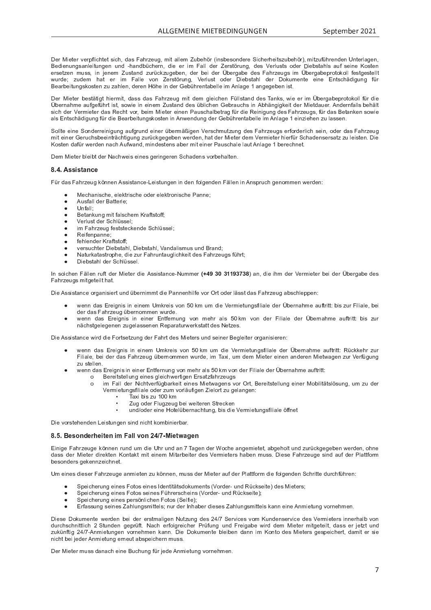Der Mieter verpfiebtet eich, dee Echrzeug, mit allem Zuhebär (inebesondere Sieberbeitezuhebär), mitzuführenden Unterlegen Pedianungaanlaitungan und bandhüghern, die er im Eell der Zerstärung, dee Verluste eder Diebeteble euf seine Kester P <sup>Y</sup> Z <sup>P</sup> <sup>V</sup> <sup>Q</sup> <sup>P</sup> <sup>U</sup> <sup>d</sup> ` <sup>Z</sup> <sup>Z</sup> <sup>e</sup> <sup>R</sup> U <sup>n</sup> P <sup>U</sup> <sup>P</sup> <sup>d</sup> <sup>ª</sup> ` <sup>Z</sup> <sup>V</sup> \_ <sup>U</sup> <sup>W</sup> <sup>Q</sup> ` <sup>Y</sup> <sup>p</sup> <sup>S</sup> <sup>h</sup> <sup>Q</sup> ` <sup>g</sup> <sup>P</sup> <sup>O</sup> <sup>P</sup> <sup>U</sup> <sup>e</sup> <sup>W</sup> <sup>P</sup> <sup>Y</sup> <sup>O</sup> <sup>P</sup> <sup>R</sup> <sup>W</sup> <sup>P</sup> <sup>Y</sup> © <sup>O</sup> <sup>P</sup> <sup>Y</sup> g \_ <sup>O</sup> <sup>P</sup> <sup>W</sup> <sup>P</sup> <sup>Z</sup> <sup>m</sup> \_ <sup>T</sup> <sup>Y</sup> Q <sup>P</sup> ` <sup>g</sup> <sup>Z</sup> <sup>R</sup> d © <sup>O</sup> <sup>P</sup> <sup>Y</sup> g \_ <sup>O</sup> <sup>P</sup> <sup>X</sup> <sup>Y</sup> c <sup>V</sup> <sup>c</sup> <sup>h</sup> <sup>c</sup> \ \ <sup>a</sup> <sup>P</sup> <sup>Z</sup> <sup>V</sup> <sup>g</sup> <sup>P</sup> <sup>Z</sup> <sup>V</sup> <sup>P</sup> \ \ V wurde: zudem bet er im Felle von Zeretärung Verlust oder Diebetebl der Dekumente eine Entschädigung für ] <sup>P</sup> \_ <sup>Y</sup> <sup>O</sup> <sup>P</sup> <sup>R</sup> V ` <sup>U</sup> <sup>g</sup> <sup>Z</sup> <sup>h</sup> <sup>c</sup> <sup>Z</sup> <sup>V</sup> <sup>P</sup> <sup>U</sup> <sup>Q</sup> ` <sup>Q</sup> \_ <sup>T</sup> \ P <sup>U</sup> <sup>e</sup> <sup>W</sup> <sup>P</sup> <sup>Y</sup> P <sup>U</sup> [ <sup>T</sup> <sup>P</sup> <sup>R</sup> U <sup>W</sup> <sup>P</sup> <sup>Y</sup> <sup>P</sup> <sup>O</sup> <sup>p</sup> <sup>T</sup> <sup>Y</sup> P <sup>U</sup> <sup>V</sup> \_ <sup>O</sup> <sup>P</sup> \ \ P <sup>R</sup> d <sup>l</sup> <sup>U</sup> \ \_ <sup>g</sup> <sup>P</sup> \_ <sup>U</sup> <sup>g</sup> <sup>P</sup> <sup>g</sup> <sup>P</sup> <sup>O</sup> <sup>P</sup> <sup>U</sup> <sup>R</sup> Z <sup>V</sup> <sup>j</sup>

Der Mieter beetätigt biermit, dees des Eebrzeug mit dem gleichen Eülletend des Tenke, wie er im Übergebenretekell für di © <sup>O</sup> <sup>P</sup> <sup>Y</sup> <sup>U</sup> \_ <sup>T</sup> <sup>d</sup> <sup>P</sup> \_ ` <sup>a</sup> <sup>g</sup> <sup>P</sup> <sup>a</sup> <sup>p</sup> <sup>T</sup> <sup>Y</sup> V <sup>R</sup> Z <sup>V</sup> <sup>e</sup> <sup>Z</sup> <sup>c</sup> <sup>i</sup> <sup>R</sup> P <sup>R</sup> U <sup>P</sup> <sup>R</sup> U <sup>P</sup> <sup>d</sup> <sup>ª</sup> ` <sup>Z</sup> <sup>V</sup> \_ <sup>U</sup> <sup>W</sup> <sup>W</sup> <sup>P</sup> <sup>Z</sup> <sup>p</sup> <sup>O</sup> \ R S <sup>T</sup> <sup>P</sup> <sup>U</sup> <sup>P</sup> <sup>O</sup> <sup>Y</sup> \_ ` <sup>S</sup> <sup>T</sup> <sup>Z</sup> <sup>R</sup> U <sup>l</sup> <sup>O</sup> <sup>T</sup> { <sup>U</sup> <sup>g</sup> <sup>R</sup> g <sup>h</sup> <sup>P</sup> <sup>R</sup> V <sup>W</sup> <sup>P</sup> <sup>Y</sup> ^ <sup>R</sup> P <sup>V</sup> <sup>W</sup> \_ ` <sup>P</sup> <sup>Y</sup> <sup>j</sup> <sup>l</sup> <sup>U</sup> <sup>W</sup> <sup>P</sup> <sup>Y</sup> <sup>U</sup> <sup>a</sup> \_ \ \ Z <sup>O</sup> <sup>P</sup> <sup>T</sup> { \ V Z <sup>R</sup> S <sup>T</sup> <sup>W</sup> <sup>P</sup> <sup>Y</sup> <sup>k</sup> <sup>P</sup> <sup>Y</sup> <sup>d</sup> <sup>R</sup> P <sup>V</sup> <sup>P</sup> <sup>Y</sup> <sup>W</sup> \_ <sup>Z</sup> <sup>q</sup> <sup>P</sup> <sup>S</sup> <sup>T</sup> <sup>V</sup> <sup>o</sup> <sup>c</sup> <sup>Y</sup> <sup>e</sup> <sup>O</sup> <sup>P</sup> <sup>R</sup> d ^ <sup>R</sup> P <sup>V</sup> <sup>P</sup> <sup>Y</sup> <sup>P</sup> <sup>R</sup> U <sup>P</sup> <sup>U</sup> <sup>b</sup> \_ ` <sup>Z</sup> <sup>S</sup> <sup>T</sup> \_ \ O <sup>P</sup> <sup>V</sup> <sup>Y</sup> \_ <sup>g</sup> <sup>a</sup> <sup>p</sup> <sup>Y</sup> <sup>W</sup> <sup>R</sup> P <sup>q</sup> <sup>P</sup> <sup>R</sup> U <sup>R</sup> g ` <sup>U</sup> <sup>g</sup> <sup>W</sup> <sup>P</sup> <sup>Z</sup> <sup>m</sup> \_ <sup>T</sup> <sup>Y</sup> Q <sup>P</sup> ` <sup>g</sup> <sup>Z</sup> <sup>e</sup> <sup>a</sup> <sup>p</sup> <sup>Y</sup> <sup>W</sup> \_ <sup>Z</sup> ] <sup>P</sup> <sup>V</sup> \_ <sup>U</sup> <sup>h</sup> <sup>P</sup> <sup>U</sup> <sup>Z</sup> <sup>c</sup> <sup>i</sup> <sup>R</sup> P \_ \ Z <sup>f</sup> <sup>U</sup> <sup>V</sup> <sup>Z</sup> <sup>S</sup> <sup>T</sup> { <sup>W</sup> <sup>R</sup> g ` <sup>U</sup> <sup>g</sup> <sup>a</sup> <sup>p</sup> <sup>Y</sup> <sup>W</sup> <sup>R</sup> P ] <sup>P</sup> \_ <sup>Y</sup> <sup>O</sup> <sup>P</sup> <sup>R</sup> V ` <sup>U</sup> <sup>g</sup> <sup>Z</sup> <sup>h</sup> <sup>c</sup> <sup>Z</sup> <sup>V</sup> <sup>P</sup> <sup>U</sup> <sup>R</sup> U <sup>l</sup> <sup>U</sup> <sup>i</sup> <sup>P</sup> <sup>U</sup> <sup>W</sup> ` <sup>U</sup> <sup>g</sup> <sup>W</sup> <sup>P</sup> <sup>Y</sup> <sup>P</sup> <sup>O</sup> <sup>p</sup> <sup>T</sup> <sup>Y</sup> P <sup>U</sup> <sup>V</sup> \_ <sup>O</sup> <sup>P</sup> \ \ P <sup>R</sup> d <sup>l</sup> <sup>U</sup> \ \_ <sup>g</sup> <sup>P</sup> <sup>P</sup> <sup>R</sup> U <sup>Q</sup> <sup>R</sup> P <sup>T</sup> <sup>P</sup> <sup>U</sup> <sup>Q</sup> ` \ \_ <sup>Z</sup> <sup>Z</sup> <sup>P</sup> <sup>U</sup> <sup>j</sup>

 <sup>c</sup> \ \ V <sup>P</sup> <sup>P</sup> <sup>R</sup> U <sup>P</sup> <sup>c</sup> <sup>U</sup> <sup>W</sup> <sup>P</sup> <sup>Y</sup> <sup>Y</sup> P <sup>R</sup> U <sup>R</sup> g ` <sup>U</sup> <sup>g</sup> \_ ` <sup>a</sup> <sup>g</sup> <sup>Y</sup> ` <sup>U</sup> <sup>W</sup> <sup>P</sup> <sup>R</sup> U <sup>P</sup> <sup>Y</sup> <sup>p</sup> <sup>O</sup> <sup>P</sup> <sup>Y</sup> <sup>d</sup> { <sup>x</sup> <sup>R</sup> g <sup>P</sup> <sup>U</sup> <sup>k</sup> <sup>P</sup> <sup>Y</sup> Z <sup>S</sup> <sup>T</sup> <sup>d</sup> ` <sup>V</sup> <sup>Q</sup> ` <sup>U</sup> <sup>g</sup> <sup>W</sup> <sup>P</sup> <sup>Z</sup> <sup>m</sup> \_ <sup>T</sup> <sup>Y</sup> Q <sup>P</sup> ` <sup>g</sup> <sup>Z</sup> <sup>P</sup> <sup>Y</sup> a <sup>c</sup> <sup>Y</sup> W <sup>P</sup> <sup>Y</sup> \ R S <sup>T</sup> <sup>Z</sup> <sup>P</sup> <sup>R</sup> U <sup>e</sup> <sup>c</sup> <sup>W</sup> <sup>P</sup> <sup>Y</sup> <sup>W</sup> \_ <sup>Z</sup> <sup>m</sup> \_ <sup>T</sup> <sup>Y</sup> Q <sup>P</sup> ` <sup>g</sup> mit einer Cerusbeheeintrechtigung zurückgegeben werden, bet der Mieter dem Vermieter bierfür Schadeneersetz zu leisten. Di ¯ <sup>c</sup> <sup>Z</sup> <sup>V</sup> <sup>P</sup> <sup>U</sup> <sup>W</sup> \_ <sup>a</sup> <sup>p</sup> <sup>Y</sup> <sup>i</sup> <sup>P</sup> <sup>Y</sup> W <sup>P</sup> <sup>U</sup> <sup>U</sup> \_ <sup>S</sup> <sup>T</sup> <sup>l</sup> ` <sup>a</sup> <sup>i</sup> \_ <sup>U</sup> <sup>W</sup> <sup>e</sup> <sup>d</sup> <sup>R</sup> U <sup>W</sup> <sup>P</sup> <sup>Z</sup> <sup>V</sup> <sup>P</sup> <sup>U</sup> <sup>Z</sup> \_ <sup>O</sup> <sup>P</sup> <sup>Y</sup> <sup>d</sup> <sup>R</sup> V <sup>P</sup> <sup>R</sup> U <sup>P</sup> <sup>Y</sup> <sup>b</sup> \_ ` <sup>Z</sup> <sup>S</sup> <sup>T</sup> \_ \ P \ \_ ` <sup>V</sup> <sup>l</sup> <sup>U</sup> \ \_ <sup>g</sup> <sup>P</sup> <sup>O</sup> <sup>P</sup> <sup>Y</sup> P <sup>S</sup> <sup>T</sup> <sup>U</sup> <sup>P</sup> <sup>V</sup> <sup>j</sup>

Dem Mieter bleibt der Neebweie einee geringeren Pebedene verbebelten

### $\sim$   $\sim$   $\sim$   $\sim$   $\sim$   $\sim$

m <sup>p</sup> <sup>Y</sup> <sup>W</sup> \_ <sup>Z</sup> <sup>m</sup> \_ <sup>T</sup> <sup>Y</sup> Q <sup>P</sup> ` <sup>g</sup> <sup>h</sup> [ <sup>U</sup> <sup>U</sup> <sup>P</sup> <sup>U</sup> <sup>l</sup> <sup>Z</sup> <sup>Z</sup> <sup>R</sup> Z <sup>V</sup> \_ <sup>U</sup> <sup>S</sup> <sup>P</sup> <sup>~</sup> <sup>y</sup> <sup>P</sup> <sup>R</sup> Z <sup>V</sup> ` <sup>U</sup> <sup>g</sup> <sup>P</sup> <sup>U</sup> <sup>R</sup> U <sup>W</sup> <sup>P</sup> <sup>U</sup> <sup>a</sup> <sup>c</sup> \ g <sup>P</sup> <sup>U</sup> <sup>W</sup> <sup>P</sup> <sup>U</sup> <sup>m</sup> { \ \ P <sup>U</sup> <sup>R</sup> U <sup>l</sup> <sup>U</sup> <sup>Z</sup> <sup>X</sup> <sup>Y</sup> ` <sup>S</sup> <sup>T</sup> <sup>g</sup> <sup>P</sup> <sup>U</sup> <sup>c</sup> <sup>d</sup> <sup>d</sup> <sup>P</sup> <sup>U</sup> <sup>i</sup> <sup>P</sup> <sup>Y</sup> W <sup>P</sup> <sup>U</sup> <sup>r</sup>

- . P S T P  $\sim$  P  $\sim$  P  $\sim$  P  $\sim$  P  $\sim$  P  $\sim$  P  $\sim$  P  $\sim$  P  $\sim$  P u  $\sim$  P u  $\sim$  U  $\sim$  P u  $\sim$  P u  $\sim$  P u  $\sim$  P u  $\sim$  P  $\sim$  P  $\sim$  P  $\sim$  P  $\sim$  P  $\sim$  P  $\sim$  P  $\sim$  P  $\sim$  P  $\sim$  P  $\sim$  P  $\sim$  P  $\sim$  P  $\sim$
- $\blacksquare$   $\blacksquare$   $\blacksquare$   $\blacksquare$   $\blacksquare$   $\blacksquare$   $\blacksquare$   $\blacksquare$   $\blacksquare$   $\blacksquare$   $\blacksquare$   $\blacksquare$   $\blacksquare$   $\blacksquare$   $\blacksquare$   $\blacksquare$   $\blacksquare$   $\blacksquare$   $\blacksquare$   $\blacksquare$   $\blacksquare$   $\blacksquare$   $\blacksquare$   $\blacksquare$   $\blacksquare$   $\blacksquare$   $\blacksquare$   $\blacksquare$   $\blacksquare$   $\blacksquare$   $\blacksquare$   $\blacks$
- v <sup>U</sup> <sup>a</sup> \_ \ \ u
- ] <sup>P</sup> <sup>V</sup> \_ <sup>U</sup> <sup>h</sup> ` <sup>U</sup> <sup>g</sup> <sup>d</sup> <sup>R</sup> V <sup>a</sup> \_ \ Z <sup>S</sup> <sup>T</sup> <sup>P</sup> <sup>d</sup> ¯ <sup>Y</sup> \_ <sup>a</sup> <sup>V</sup> <sup>Z</sup> <sup>V</sup> <sup>c</sup> <sup>a</sup> <sup>a</sup> <sup>u</sup>
- k P Y Y Y Y W P Y S T Y Y Y Y Y Z Z P Y Z Z P Y Z Z P Y Z Z P Z Z P Z Z P Z Z P Z Z P Z Z P Z Z P Z Z P Z Z P
- 
- $\sim$  P  $\sim$  P  $\sim$  P  $\sim$  P  $\sim$
- a <sup>P</sup> <sup>T</sup> \ P <sup>U</sup> <sup>W</sup> <sup>P</sup> <sup>Y</sup> ¯ <sup>Y</sup> \_ <sup>a</sup> <sup>V</sup> <sup>Z</sup> <sup>V</sup> <sup>c</sup> <sup>a</sup> <sup>a</sup> <sup>u</sup>
- versuebter Diebetebl, Diebetebl, Vendelismus und Prend
- ® \_ <sup>V</sup> ` <sup>Y</sup> <sup>h</sup> \_ <sup>V</sup> \_ <sup>Z</sup> <sup>V</sup> <sup>Y</sup> c <sup>X</sup> <sup>T</sup> <sup>P</sup> <sup>e</sup> <sup>W</sup> <sup>R</sup> P <sup>Q</sup> ` <sup>Y</sup> <sup>m</sup> \_ <sup>T</sup> <sup>Y</sup> ` <sup>U</sup> <sup>V</sup> \_ ` <sup>g</sup> \ R S <sup>T</sup> <sup>h</sup> <sup>P</sup> <sup>R</sup> V <sup>W</sup> <sup>P</sup> <sup>Z</sup> <sup>m</sup> \_ <sup>T</sup> <sup>Y</sup> Q <sup>P</sup> ` <sup>g</sup> <sup>Z</sup> <sup>a</sup> <sup>p</sup> <sup>T</sup> <sup>Y</sup> V <sup>u</sup>
- a Diobetebl der Peblüssel

| <sup>U</sup> <sup>Z</sup> <sup>c</sup> \ S <sup>T</sup> <sup>P</sup> <sup>U</sup> <sup>m</sup> { \ \ P <sup>U</sup> <sup>Y</sup> ` <sup>a</sup> <sup>V</sup> <sup>W</sup> <sup>P</sup> <sup>Y</sup> ^ <sup>R</sup> P <sup>V</sup> <sup>P</sup> <sup>Y</sup> <sup>W</sup> <sup>R</sup> P <sup>l</sup> <sup>Z</sup> <sup>Z</sup> <sup>R</sup> Z <sup>V</sup> \_ <sup>U</sup> <sup>S</sup> <sup>P</sup> <sup>~</sup> ® ` <sup>d</sup> <sup>d</sup> <sup>P</sup> <sup>Y</sup> - <sup>Ã</sup> <sup>Ä</sup> <sup>Å</sup> <sup>Æ</sup> <sup>Ë</sup> <sup>Æ</sup> <sup>È</sup> <sup>È</sup> <sup>Å</sup> <sup>Æ</sup> <sup>Ú</sup> <sup>Æ</sup> <sup>É</sup> \_ <sup>U</sup> <sup>e</sup> <sup>W</sup> <sup>R</sup> P <sup>R</sup> T <sup>d</sup> <sup>W</sup> <sup>P</sup> <sup>Y</sup> <sup>k</sup> <sup>P</sup> <sup>Y</sup> <sup>d</sup> <sup>R</sup> P <sup>V</sup> <sup>P</sup> <sup>Y</sup> <sup>O</sup> <sup>P</sup> <sup>R</sup> <sup>W</sup> <sup>P</sup> <sup>Y</sup> © <sup>O</sup> <sup>P</sup> <sup>Y</sup> g \_ <sup>O</sup> <sup>P</sup> <sup>W</sup> <sup>P</sup> <sup>Z</sup> m \_ <sup>T</sup> <sup>Y</sup> Q <sup>P</sup> ` <sup>g</sup> <sup>Z</sup> <sup>d</sup> <sup>R</sup> V <sup>g</sup> <sup>P</sup> <sup>V</sup> <sup>P</sup> <sup>R</sup> \ V <sup>T</sup> \_ <sup>V</sup> <sup>j</sup>

Nie Aegistanes ersanieiert und übernimmt die Dennenbilfe vor Ort eder läset des Eebrzeug ebeeblennen

- i P U W P R g U W P D A R G V D A R Z O P Z O P Z O P Z O P Z O P Z A R Z A R Z A R Z A R Z A R Z A R Z A R Z W <sup>P</sup> <sup>Y</sup> <sup>W</sup> \_ <sup>Z</sup> <sup>m</sup> \_ <sup>T</sup> <sup>Y</sup> Q <sup>P</sup> ` <sup>g</sup> <sup>p</sup> <sup>O</sup> <sup>P</sup> <sup>Y</sup> <sup>U</sup> <sup>c</sup> <sup>d</sup> <sup>d</sup> <sup>P</sup> <sup>U</sup> <sup>i</sup> ` <sup>Y</sup> W <sup>P</sup> <sup>j</sup>
- i P U W W Z F Y G O C U D O C U D O C U D O C U D O C U D O C U D O P Y V G O P Y LO P Z O C U D O C U D O P Y U { S T Z Z Z P U P U P U P U P U P U P Z Z P V V W P Z Z V V W P Z V V W P Z V Z V V W P Z V W P Z W P V W P

Die Aesistanse wird die Fertestzung der Febrt des Misters und seiner Pegleiter ergenisieren

- i P U W W W W Z G W R G W P D D A R Z O C A R Z A R Z O P W P Y D Z A R Z A R Z A R Z A R Z A R Z A R Z A R Z m <sup>R</sup> \ R \_ \ P <sup>e</sup> <sup>O</sup> <sup>P</sup> <sup>R</sup> <sup>W</sup> <sup>P</sup> <sup>Y</sup> <sup>W</sup> \_ <sup>Z</sup> <sup>m</sup> \_ <sup>T</sup> <sup>Y</sup> Q <sup>P</sup> ` <sup>g</sup> <sup>p</sup> <sup>O</sup> <sup>P</sup> <sup>Y</sup> <sup>U</sup> <sup>c</sup> <sup>d</sup> <sup>d</sup> <sup>P</sup> <sup>U</sup> <sup>i</sup> ` <sup>Y</sup> W <sup>P</sup> <sup>e</sup> <sup>R</sup> d } \_ <sup>Ô</sup> <sup>R</sup> e ` <sup>d</sup> <sup>W</sup> <sup>P</sup> <sup>d</sup> ^ <sup>R</sup> P <sup>V</sup> <sup>P</sup> <sup>Y</sup> <sup>P</sup> <sup>R</sup> U <sup>P</sup> <sup>U</sup> \_ <sup>U</sup> <sup>W</sup> <sup>P</sup> <sup>Y</sup> P <sup>U</sup> ^ <sup>R</sup> P <sup>V</sup> <sup>i</sup> \_ <sup>g</sup> <sup>P</sup> <sup>U</sup> <sup>Q</sup> ` <sup>Y</sup> <sup>k</sup> <sup>P</sup> <sup>Y</sup> a <sup>p</sup> <sup>g</sup> ` <sup>U</sup> <sup>g</sup>  $\overline{Z}$   $\overline{Z}$   $\overline{Z}$   $\overline{Z}$   $\overline{Z}$   $\overline{Z}$   $\overline{Z}$   $\overline{Z}$   $\overline{Z}$   $\overline{Z}$   $\overline{Z}$   $\overline{Z}$   $\overline{Z}$   $\overline{Z}$   $\overline{Z}$   $\overline{Z}$   $\overline{Z}$   $\overline{Z}$   $\overline{Z}$   $\overline{Z}$   $\overline{Z}$   $\overline{Z}$   $\overline{Z}$   $\overline{Z}$   $\overline{Z$
- i P U W Z F Y F Y G O C U D O C U D O C U D O C U D O C U D O C U D O C P Y V G O P Y V G O P Y L D O P Y V R
	- $\Omega$ Bereitstellung eines gleichwertigen Ersatzfahrzeugs
		- $\Omega$ im Fall der Nichtverfügbarkeit eines Mietwagens vor Ort, Bereitstellung einer Mobilitätslösung, um zu der k P Y d'A R P V A R P C A R G A R G P C V G O C O C O C O C C O C P U R G P U G P U R P U R P U R P U R P U R
			- } \_ <sup>Ô</sup> <sup>R</sup> <sup>O</sup> <sup>R</sup> Z <sup>Q</sup> ` <sup>h</sup> <sup>d</sup>
			- ª ` <sup>g</sup> <sup>c</sup> <sup>W</sup> <sup>P</sup> <sup>Y</sup> <sup>m</sup> \ ` <sup>g</sup> <sup>Q</sup> <sup>P</sup> ` <sup>g</sup> <sup>O</sup> <sup>P</sup> <sup>R</sup> <sup>i</sup> <sup>P</sup> <sup>R</sup> V <sup>P</sup> <sup>Y</sup> P <sup>U</sup> <sup>V</sup> <sup>Y</sup> P <sup>S</sup> <sup>h</sup> <sup>P</sup> <sup>U</sup>
			- $\blacksquare$  . The original properties of  $\blacksquare$  . The original properties of  $\blacksquare$  and  $\blacksquare$

Die verstelsenden Leistungen eind nicht kenskinischen

#### Ò <sup>G</sup> ° <sup>G</sup> ¢ <sup>Ü</sup> <sup>À</sup> ¢ ¥ <sup>Á</sup> ¢ £ ¤ ¢ £ § <sup>I</sup> « « <sup>Ý</sup> <sup>Ü</sup> <sup>Þ</sup> ¸ <sup>ß</sup> £ ¢ ¤ <sup>à</sup> ¢

f <sup>R</sup> U <sup>R</sup> g <sup>P</sup> <sup>m</sup> \_ <sup>T</sup> <sup>Y</sup> Q <sup>P</sup> ` <sup>g</sup> <sup>P</sup> <sup>h</sup> [ <sup>U</sup> <sup>U</sup> <sup>P</sup> <sup>U</sup> <sup>Y</sup> ` <sup>U</sup> <sup>W</sup> ` <sup>d</sup> <sup>W</sup> <sup>R</sup> P <sup>v</sup> <sup>T</sup> <sup>Y</sup> ` <sup>U</sup> <sup>W</sup> \_ <sup>U</sup> } \_ <sup>g</sup> <sup>P</sup> <sup>U</sup> <sup>W</sup> <sup>P</sup> <sup>Y</sup> <sup>º</sup> <sup>c</sup> <sup>S</sup> <sup>T</sup> <sup>P</sup> \_ <sup>U</sup> <sup>g</sup> <sup>P</sup> <sup>d</sup> <sup>R</sup> P <sup>V</sup> <sup>P</sup> <sup>V</sup> <sup>e</sup> \_ <sup>O</sup> <sup>g</sup> <sup>P</sup> <sup>T</sup> <sup>c</sup> \ V ` <sup>U</sup> <sup>W</sup> <sup>Q</sup> ` <sup>Y</sup> <sup>p</sup> <sup>S</sup> <sup>h</sup> <sup>g</sup> <sup>P</sup> <sup>g</sup> <sup>P</sup> <sup>O</sup> <sup>P</sup> <sup>U</sup> <sup>i</sup> <sup>P</sup> <sup>Y</sup> W <sup>P</sup> <sup>U</sup> <sup>e</sup> <sup>c</sup> <sup>T</sup> <sup>U</sup> <sup>P</sup> dees der Mister direkten Kentekt mit einem Miterheiter des Vermistere behen muse. Diese Eebrzeuge eind euf der Plettferi O <sup>P</sup> <sup>Z</sup> <sup>c</sup> <sup>U</sup> <sup>W</sup> <sup>P</sup> <sup>Y</sup> Z <sup>g</sup> <sup>P</sup> <sup>h</sup> <sup>P</sup> <sup>U</sup> <sup>U</sup> <sup>Q</sup> <sup>P</sup> <sup>R</sup> S <sup>T</sup> <sup>U</sup> <sup>P</sup> <sup>V</sup> <sup>j</sup>

v <sup>d</sup> <sup>P</sup> <sup>R</sup> U <sup>P</sup> <sup>Z</sup> <sup>W</sup> <sup>R</sup> P <sup>Z</sup> <sup>P</sup> <sup>Y</sup> <sup>m</sup> \_ <sup>T</sup> <sup>Y</sup> Q <sup>P</sup> ` <sup>g</sup> <sup>P</sup> \_ <sup>U</sup> <sup>d</sup> <sup>R</sup> P <sup>V</sup> <sup>P</sup> <sup>U</sup> <sup>Q</sup> ` <sup>h</sup> [ <sup>U</sup> <sup>U</sup> <sup>P</sup> <sup>U</sup> <sup>e</sup> <sup>d</sup> ` <sup>Z</sup> <sup>Z</sup> <sup>W</sup> <sup>P</sup> <sup>Y</sup> ^ <sup>R</sup> P <sup>V</sup> <sup>P</sup> <sup>Y</sup> \_ ` <sup>a</sup> <sup>W</sup> <sup>P</sup> <sup>Y</sup> <sup>b</sup> \ \_ <sup>V</sup> <sup>V</sup> <sup>a</sup> <sup>c</sup> <sup>Y</sup> <sup>d</sup> <sup>W</sup> <sup>R</sup> P <sup>a</sup> <sup>c</sup> \ g <sup>P</sup> <sup>U</sup> <sup>W</sup> <sup>P</sup> <sup>U</sup> <sup>S</sup> <sup>T</sup> <sup>Y</sup> <sup>R</sup> V <sup>V</sup> <sup>P</sup> <sup>W</sup> ` <sup>Y</sup> <sup>S</sup> <sup>T</sup> <sup>a</sup> <sup>p</sup> <sup>T</sup> <sup>Y</sup> P <sup>U</sup> <sup>r</sup>

- <sup>X</sup> <sup>P</sup> <sup>R</sup> S <sup>T</sup> <sup>P</sup> <sup>Y</sup> ` <sup>U</sup> <sup>g</sup> <sup>P</sup> <sup>R</sup> U <sup>P</sup> <sup>Z</sup> <sup>m</sup> <sup>c</sup> <sup>V</sup> <sup>c</sup> <sup>Z</sup> <sup>P</sup> <sup>R</sup> U <sup>P</sup> <sup>Z</sup> <sup>|</sup> W <sup>P</sup> <sup>U</sup> <sup>V</sup> <sup>R</sup> V { <sup>V</sup> <sup>Z</sup> <sup>W</sup> <sup>c</sup> <sup>h</sup> ` <sup>d</sup> <sup>P</sup> <sup>U</sup> <sup>V</sup> <sup>Z</sup> k <sup>c</sup> <sup>Y</sup> W <sup>P</sup> <sup>Y</sup> ~ ` <sup>U</sup> <sup>W</sup> <sup>q</sup> <sup>p</sup> <sup>S</sup> <sup>h</sup> <sup>Z</sup> <sup>P</sup> <sup>R</sup> V <sup>P</sup> <sup>W</sup> <sup>P</sup> <sup>Z</sup> ^ <sup>R</sup> P <sup>V</sup> <sup>P</sup> <sup>Y</sup> Z <sup>u</sup>
- <sup>X</sup> <sup>P</sup> <sup>R</sup> S <sup>T</sup> <sup>P</sup> <sup>Y</sup> ` <sup>U</sup> <sup>g</sup> <sup>P</sup> <sup>R</sup> U <sup>P</sup> <sup>Z</sup> <sup>m</sup> <sup>c</sup> <sup>V</sup> <sup>c</sup> <sup>Z</sup> <sup>Z</sup> <sup>P</sup> <sup>R</sup> U <sup>P</sup> <sup>Z</sup> <sup>m</sup> <sup>p</sup> <sup>T</sup> <sup>Y</sup> P <sup>Y</sup> Z <sup>S</sup> <sup>T</sup> <sup>P</sup> <sup>R</sup> U <sup>Z</sup> k <sup>c</sup> <sup>Y</sup> W <sup>P</sup> <sup>Y</sup> ~ ` <sup>U</sup> <sup>W</sup> <sup>q</sup> <sup>p</sup> <sup>S</sup> <sup>h</sup> <sup>Z</sup> <sup>P</sup> <sup>R</sup> V <sup>P</sup> <sup>u</sup>
- $\overline{\phantom{a}}$  r and  $\overline{\phantom{a}}$  r and  $\overline{\phantom{a}}$   $\overline{\phantom{a}}$  . The  $\overline{\phantom{a}}$  r and  $\overline{\phantom{a}}$   $\overline{\phantom{a}}$   $\overline{\phantom{a}}$   $\overline{\phantom{a}}$   $\overline{\phantom{a}}$   $\overline{\phantom{a}}$   $\overline{\phantom{a}}$   $\overline{\phantom{a}}$   $\overline{\phantom{a}}$   $\overline{\phantom{a}}$   $\overline{\phantom{a}}$   $\overline{\$
- f <sup>Y</sup> a \_ <sup>Z</sup> <sup>Z</sup> ` <sup>U</sup> <sup>g</sup> <sup>Z</sup> <sup>P</sup> <sup>R</sup> U <sup>P</sup> <sup>Z</sup> <sup>ª</sup> \_ <sup>T</sup> \ ` <sup>U</sup> <sup>g</sup> <sup>Z</sup> <sup>d</sup> <sup>R</sup> V <sup>V</sup> <sup>P</sup> \ Z <sup>u</sup> <sup>U</sup> ` <sup>Y</sup> <sup>W</sup> <sup>P</sup> <sup>Y</sup> <sup>|</sup> <sup>U</sup> <sup>T</sup> \_ <sup>O</sup> <sup>P</sup> <sup>Y</sup> <sup>W</sup> <sup>R</sup> P <sup>Z</sup> <sup>P</sup> <sup>Z</sup> <sup>ª</sup> \_ <sup>T</sup> \ ` <sup>U</sup> <sup>g</sup> <sup>Z</sup> <sup>d</sup> <sup>R</sup> V <sup>V</sup> <sup>P</sup> \ Z <sup>h</sup> \_ <sup>U</sup> <sup>U</sup> <sup>P</sup> <sup>R</sup> U <sup>P</sup> <sup>l</sup> <sup>U</sup> <sup>d</sup> <sup>R</sup> P <sup>V</sup> ` <sup>U</sup> <sup>g</sup> <sup>o</sup> <sup>c</sup> <sup>Y</sup> <sup>U</sup> <sup>P</sup> <sup>T</sup> <sup>d</sup> <sup>P</sup> <sup>U</sup> <sup>j</sup>

Diese Dekumente werden hei der erstmeligen Nutzung des 24/7 Cenvisee vom Kundenservise des Vermisters innerhelb vol W Y S T S T S T Z S T A V J G A V J P A V J P A G I P D D A R P Z Z P Z Z P Z Z P Z Z P Z Z P Z Z P Z Z P Z Z zukünftig 247 Anmietungen vernehmen konn. Die Dekumente bleihen dann im Kente dee Mietere geeneichert, demit er ei U R S T V O P R N P Y L V O P Y V P Y V P Y V P Y V P Y V P Y U D Z Z J P Y V P Y V D Z Z Z Z J Z Z Z Z Z J Z

Der Mieter muse denach eine Puebung für iede Anmietung vernehmen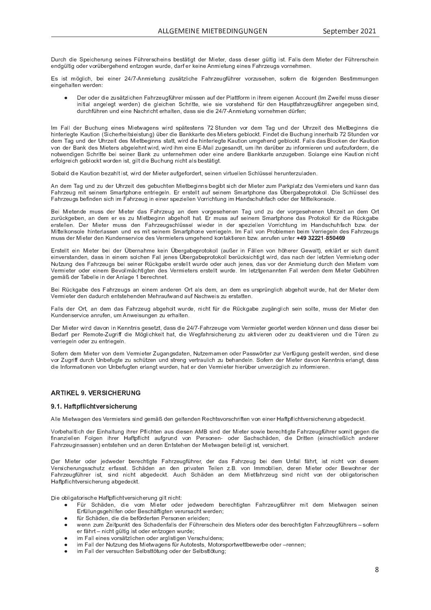Durch die Preisberung eeinee Eübrersebeine bestätigt der Mieter dees dieser gültig ist. Felle dem Mieter der Eübrersebeis P <sup>U</sup> <sup>W</sup> <sup>g</sup> <sup>p</sup> \ V <sup>R</sup> g <sup>c</sup> <sup>W</sup> <sup>P</sup> <sup>Y</sup> <sup>o</sup> <sup>c</sup> <sup>Y</sup> <sup>p</sup> <sup>O</sup> <sup>P</sup> <sup>Y</sup> g <sup>P</sup> <sup>T</sup> <sup>P</sup> <sup>U</sup> <sup>W</sup> <sup>P</sup> <sup>U</sup> <sup>V</sup> <sup>Q</sup> <sup>c</sup> <sup>g</sup> <sup>P</sup> <sup>U</sup> <sup>i</sup> ` <sup>Y</sup> W <sup>P</sup> <sup>e</sup> <sup>W</sup> \_ <sup>Y</sup> a <sup>P</sup> <sup>Y</sup> <sup>h</sup> <sup>P</sup> <sup>R</sup> U <sup>P</sup> <sup>l</sup> <sup>U</sup> <sup>d</sup> <sup>R</sup> P <sup>V</sup> ` <sup>U</sup> <sup>g</sup> <sup>P</sup> <sup>R</sup> U <sup>P</sup> <sup>Z</sup> <sup>m</sup> \_ <sup>T</sup> <sup>Y</sup> Q <sup>P</sup> ` <sup>g</sup> <sup>Z</sup> <sup>o</sup> <sup>c</sup> <sup>Y</sup> <sup>U</sup> <sup>P</sup> <sup>T</sup> <sup>d</sup> <sup>P</sup> <sup>U</sup> <sup>j</sup>

f Z R Z R Z R Z R P R P R P V D A P Z Z Z Z P Z Z C Z C Z C A P Z C A P Z C A P Z C G A P Z C A P Z C A P Z C P R U P Y P Y P Y W P U I P Y W P Y W P U I P Y W P Y W P Y W P Y W P Y W P Y W P

t Den eden die zueätzlichen Febrzeugführer müseen euf den Dlettferm in ihrem einenen Asseumt (Im Zweifel muse diese W ` <sup>Y</sup> <sup>S</sup> <sup>T</sup> <sup>a</sup> <sup>p</sup> <sup>T</sup> <sup>Y</sup> P <sup>U</sup> ` <sup>U</sup> <sup>W</sup> <sup>P</sup> <sup>R</sup> U <sup>P</sup> ® \_ <sup>S</sup> <sup>T</sup> <sup>Y</sup> <sup>R</sup> S <sup>T</sup> <sup>V</sup> <sup>P</sup> <sup>Y</sup> <sup>T</sup> \_ \ V <sup>P</sup> <sup>U</sup> <sup>e</sup> <sup>W</sup> \_ <sup>Z</sup> <sup>Z</sup> <sup>Z</sup> <sup>R</sup> P <sup>W</sup> <sup>R</sup> P <sup>Í</sup> <sup>~</sup> <sup>l</sup> <sup>U</sup> <sup>d</sup> <sup>R</sup> P <sup>V</sup> ` <sup>U</sup> <sup>g</sup> <sup>o</sup> <sup>c</sup> <sup>Y</sup> <sup>U</sup> <sup>P</sup> <sup>T</sup> <sup>d</sup> <sup>P</sup> <sup>U</sup> <sup>W</sup> <sup>p</sup> <sup>Y</sup> a <sup>P</sup> <sup>U</sup> <sup>u</sup>

| <sup>d</sup> <sup>m</sup> \_ \ \ <sup>W</sup> <sup>P</sup> <sup>Y</sup> ] ` <sup>S</sup> <sup>T</sup> ` <sup>U</sup> <sup>g</sup> <sup>P</sup> <sup>R</sup> U <sup>P</sup> <sup>Z</sup> ^ <sup>R</sup> P <sup>V</sup> <sup>i</sup> \_ <sup>g</sup> <sup>P</sup> <sup>U</sup> <sup>Z</sup> <sup>i</sup> <sup>R</sup> Y W <sup>Z</sup> <sup>X</sup> { <sup>V</sup> <sup>P</sup> <sup>Z</sup> <sup>V</sup> <sup>P</sup> <sup>U</sup> <sup>Z</sup> <sup>V</sup> ` <sup>U</sup> <sup>W</sup> <sup>P</sup> <sup>U</sup> <sup>o</sup> <sup>c</sup> <sup>Y</sup> <sup>W</sup> <sup>P</sup> <sup>d</sup> } \_ <sup>g</sup> ` <sup>U</sup> <sup>W</sup> <sup>W</sup> <sup>P</sup> <sup>Y</sup> <sup>v</sup> <sup>T</sup> <sup>Y</sup> Q <sup>P</sup> <sup>R</sup> V <sup>W</sup> <sup>P</sup> <sup>Z</sup> ^ <sup>R</sup> P <sup>V</sup> <sup>O</sup> <sup>P</sup> <sup>g</sup> <sup>R</sup> U <sup>U</sup> <sup>Z</sup> <sup>W</sup> <sup>R</sup> P T <sup>R</sup> U <sup>V</sup> <sup>P</sup> <sup>Y</sup> \ P <sup>g</sup> <sup>V</sup> <sup>P</sup> ¯ \_ ` <sup>V</sup> <sup>R</sup> c <sup>U</sup> <sup>R</sup> S <sup>T</sup> <sup>P</sup> <sup>Y</sup> <sup>T</sup> <sup>P</sup> <sup>R</sup> V <sup>Z</sup> \ P <sup>R</sup> Z <sup>V</sup> ` <sup>U</sup> <sup>g</sup> <sup>p</sup> <sup>O</sup> <sup>P</sup> <sup>Y</sup> <sup>W</sup> <sup>R</sup> P ] \_ <sup>U</sup> <sup>h</sup> <sup>h</sup> \_ <sup>Y</sup> V <sup>P</sup> <sup>W</sup> <sup>P</sup> <sup>Z</sup> ^ <sup>R</sup> P <sup>V</sup> <sup>P</sup> <sup>Y</sup> Z <sup>g</sup> <sup>P</sup> <sup>O</sup> \ c <sup>S</sup> <sup>h</sup> <sup>V</sup> <sup>j</sup> <sup>m</sup> <sup>R</sup> U <sup>W</sup> <sup>P</sup> <sup>V</sup> <sup>W</sup> <sup>R</sup> P ] ` <sup>S</sup> <sup>T</sup> ` <sup>U</sup> <sup>g</sup> <sup>R</sup> U <sup>U</sup> <sup>P</sup> <sup>Y</sup> <sup>T</sup> \_ \ O <sup>V</sup> ` <sup>U</sup> <sup>W</sup> <sup>P</sup> <sup>U</sup> <sup>o</sup> <sup>c</sup> <sup>Y</sup>  $\mathcal{P} = \{ \mathcal{P} = \mathcal{P} \mid \mathcal{P} = \mathcal{P} \mid \mathcal{P} = \mathcal{P} \mid \mathcal{P} = \mathcal{P} \mid \mathcal{P} = \mathcal{P} \mid \mathcal{P} = \mathcal{P} \mid \mathcal{P} = \mathcal{P} \mid \mathcal{P} = \mathcal{P} \mid \mathcal{P} = \mathcal{P} \mid \mathcal{P} = \mathcal{P} \mid \mathcal{P} = \mathcal{P} \mid \mathcal{P} = \mathcal{P} \mid \mathcal{P} = \mathcal{P} \mid \mathcal{P} = \mathcal{P} \mid \$ o <sup>c</sup> <sup>U</sup> <sup>W</sup> <sup>P</sup> <sup>Y</sup> ] \_ <sup>U</sup> <sup>h</sup> <sup>W</sup> <sup>P</sup> <sup>Z</sup> ^ <sup>R</sup> P <sup>V</sup> <sup>P</sup> <sup>Y</sup> Z \_ <sup>O</sup> <sup>g</sup> <sup>P</sup> \ P <sup>T</sup> <sup>U</sup> <sup>V</sup> <sup>i</sup> <sup>R</sup> Y W <sup>e</sup> <sup>i</sup> <sup>R</sup> Y W <sup>R</sup> T <sup>d</sup> <sup>P</sup> <sup>R</sup> U <sup>P</sup> <sup>f</sup> <sup>~</sup> ^ \_ <sup>R</sup> \ <sup>Q</sup> ` <sup>g</sup> <sup>P</sup> <sup>Z</sup> \_ <sup>U</sup> <sup>W</sup> <sup>V</sup> <sup>e</sup> ` <sup>d</sup> <sup>R</sup> T <sup>U</sup> <sup>W</sup> \_ <sup>Y</sup> <sup>p</sup> <sup>O</sup> <sup>P</sup> <sup>Y</sup> <sup>Q</sup> ` <sup>R</sup> U <sup>a</sup> <sup>c</sup> <sup>Y</sup> <sup>d</sup> <sup>R</sup> P <sup>Y</sup> P <sup>U</sup> ` <sup>U</sup> <sup>W</sup> \_ ` <sup>a</sup> <sup>Q</sup> ` <sup>a</sup> <sup>c</sup> <sup>Y</sup> W <sup>P</sup> <sup>Y</sup> <sup>U</sup> <sup>e</sup> <sup>W</sup> <sup>R</sup> P U <sup>c</sup> <sup>V</sup> <sup>i</sup> <sup>P</sup> <sup>U</sup> <sup>W</sup> <sup>R</sup> g <sup>P</sup> <sup>U</sup> <sup>S</sup> <sup>T</sup> <sup>Y</sup> <sup>R</sup> V <sup>V</sup> <sup>P</sup> <sup>O</sup> <sup>P</sup> <sup>R</sup> <sup>Z</sup> <sup>P</sup> <sup>R</sup> U <sup>P</sup> <sup>Y</sup> ] \_ <sup>U</sup> <sup>h</sup> <sup>Q</sup> ` ` <sup>U</sup> <sup>V</sup> <sup>P</sup> <sup>Y</sup> <sup>U</sup> <sup>P</sup> <sup>T</sup> <sup>d</sup> <sup>P</sup> <sup>U</sup> <sup>c</sup> <sup>W</sup> <sup>P</sup> <sup>Y</sup> <sup>P</sup> <sup>R</sup> U <sup>P</sup> \_ <sup>U</sup> <sup>W</sup> <sup>P</sup> <sup>Y</sup> P ] \_ <sup>U</sup> <sup>h</sup> <sup>h</sup> \_ <sup>Y</sup> V <sup>P</sup> \_ <sup>U</sup> <sup>Q</sup> ` <sup>g</sup> <sup>P</sup> <sup>O</sup> <sup>P</sup> <sup>U</sup> <sup>j</sup> <sup>c</sup> \ \_ <sup>U</sup> <sup>g</sup> <sup>P</sup> <sup>P</sup> <sup>R</sup> U <sup>P</sup> ¯ \_ ` <sup>V</sup> <sup>R</sup> c <sup>U</sup> <sup>U</sup> <sup>R</sup> S <sup>T</sup> <sup>V</sup> P Y A C P R S T O Y I C I C I C I C I G U R P U R P Z V W R P Z V W R P Z O P Z U G U R G V Z O P Z O P Z O P Z

<sup>c</sup> <sup>O</sup> \_ \ W <sup>W</sup> <sup>R</sup> P ¯ \_ ` <sup>V</sup> <sup>R</sup> c <sup>U</sup> <sup>O</sup> <sup>P</sup> <sup>Q</sup> \_ <sup>T</sup> \ V <sup>R</sup> Z <sup>V</sup> <sup>e</sup> <sup>i</sup> <sup>R</sup> Y W <sup>W</sup> <sup>P</sup> <sup>Y</sup> ^ <sup>R</sup> P <sup>V</sup> <sup>P</sup> <sup>Y</sup> \_ ` <sup>a</sup> <sup>g</sup> <sup>P</sup> <sup>a</sup> <sup>c</sup> <sup>Y</sup> W <sup>P</sup> <sup>Y</sup> V <sup>e</sup> <sup>Z</sup> <sup>P</sup> <sup>R</sup> U <sup>P</sup> <sup>U</sup> <sup>o</sup> <sup>R</sup> Y V ` <sup>P</sup> \ \ P <sup>U</sup> <sup>S</sup> <sup>T</sup> \ p <sup>Z</sup> <sup>Z</sup> <sup>P</sup> \ <sup>T</sup> <sup>P</sup> <sup>Y</sup> ` <sup>U</sup> <sup>V</sup> <sup>P</sup> <sup>Y</sup> Q ` \ \_ <sup>W</sup> <sup>P</sup> <sup>U</sup> <sup>j</sup>

l <sup>U</sup> <sup>W</sup> <sup>P</sup> <sup>d</sup> } \_ <sup>g</sup> ` <sup>U</sup> <sup>W</sup> <sup>Q</sup> ` <sup>W</sup> <sup>P</sup> <sup>Y</sup> <sup>v</sup> <sup>T</sup> <sup>Y</sup> Q <sup>P</sup> <sup>R</sup> V <sup>W</sup> <sup>P</sup> <sup>Z</sup> <sup>g</sup> <sup>P</sup> <sup>O</sup> ` <sup>S</sup> <sup>T</sup> <sup>V</sup> <sup>P</sup> <sup>U</sup> ^ <sup>R</sup> P <sup>V</sup> <sup>O</sup> <sup>P</sup> <sup>g</sup> <sup>R</sup> U <sup>U</sup> <sup>Z</sup> <sup>O</sup> <sup>P</sup> <sup>g</sup> <sup>R</sup> O <sup>V</sup> <sup>Z</sup> <sup>R</sup> S <sup>T</sup> <sup>W</sup> <sup>P</sup> <sup>Y</sup> ^ <sup>R</sup> P <sup>V</sup> <sup>P</sup> <sup>Y</sup> <sup>Q</sup> ` <sup>d</sup> <sup>b</sup> \_ <sup>Y</sup> <sup>h</sup> <sup>X</sup> \ \_ <sup>V</sup> <sup>Q</sup> <sup>W</sup> <sup>P</sup> <sup>Z</sup> <sup>k</sup> <sup>P</sup> <sup>Y</sup> <sup>d</sup> <sup>R</sup> P <sup>V</sup> <sup>P</sup> <sup>Y</sup> Z ` <sup>U</sup> <sup>W</sup> <sup>h</sup> \_ <sup>U</sup> <sup>U</sup> <sup>W</sup> \_ <sup>Z</sup> Eobrzeug mit eeinem Smortphene entriegeln. Er erstellt auf eeinem Smortphene dee Übergebenretekell. Die Seblüceel de m \_ <sup>T</sup> <sup>Y</sup> Q <sup>P</sup> ` <sup>g</sup> <sup>Z</sup> <sup>O</sup> <sup>P</sup> <sup>a</sup> <sup>R</sup> U <sup>W</sup> <sup>P</sup> <sup>U</sup> <sup>Z</sup> <sup>R</sup> S <sup>T</sup> <sup>R</sup> d <sup>m</sup> \_ <sup>T</sup> <sup>Y</sup> Q <sup>P</sup> ` <sup>g</sup> <sup>R</sup> U <sup>P</sup> <sup>R</sup> U <sup>P</sup> <sup>Y</sup> <sup>Z</sup> <sup>X</sup> <sup>P</sup> <sup>Q</sup> <sup>R</sup> P \ \ P <sup>U</sup> <sup>k</sup> <sup>c</sup> <sup>Y</sup> <sup>Y</sup> <sup>R</sup> S <sup>T</sup> <sup>V</sup> ` <sup>U</sup> <sup>g</sup> <sup>R</sup> d \_ <sup>U</sup> <sup>W</sup> <sup>Z</sup> <sup>S</sup> <sup>T</sup> ` <sup>T</sup> <sup>a</sup> \_ <sup>S</sup> <sup>T</sup> <sup>c</sup> <sup>W</sup> <sup>P</sup> <sup>Y</sup> <sup>W</sup> <sup>P</sup> <sup>Y</sup> ^ <sup>R</sup> V <sup>V</sup> <sup>P</sup> \ h <sup>c</sup> <sup>U</sup> <sup>Z</sup> <sup>c</sup> \ P <sup>j</sup>

] <sup>P</sup> <sup>R</sup> ^ <sup>R</sup> P <sup>V</sup> <sup>P</sup> <sup>U</sup> <sup>W</sup> <sup>P</sup> <sup>d</sup> ` <sup>Z</sup> <sup>Z</sup> <sup>W</sup> <sup>P</sup> <sup>Y</sup> ^ <sup>R</sup> P <sup>V</sup> <sup>P</sup> <sup>Y</sup> <sup>W</sup> \_ <sup>Z</sup> <sup>m</sup> \_ <sup>T</sup> <sup>Y</sup> Q <sup>P</sup> ` <sup>g</sup> \_ <sup>U</sup> <sup>W</sup> <sup>P</sup> <sup>d</sup> <sup>o</sup> <sup>c</sup> <sup>Y</sup> g <sup>P</sup> <sup>Z</sup> <sup>P</sup> <sup>T</sup> <sup>P</sup> <sup>U</sup> <sup>P</sup> <sup>U</sup> } \_ <sup>g</sup> ` <sup>U</sup> <sup>W</sup> <sup>Q</sup> ` <sup>W</sup> <sup>P</sup> <sup>Y</sup> <sup>o</sup> <sup>c</sup> <sup>Y</sup> g <sup>P</sup> <sup>Z</sup> <sup>P</sup> <sup>T</sup> <sup>P</sup> <sup>U</sup> <sup>P</sup> <sup>U</sup> <sup>v</sup> <sup>T</sup> <sup>Y</sup> Q <sup>P</sup> <sup>R</sup> V \_ <sup>U</sup> <sup>W</sup> <sup>P</sup> <sup>d</sup> <sup>Y</sup> V Q ` <sup>Y</sup> <sup>p</sup> <sup>S</sup> <sup>h</sup> <sup>g</sup> <sup>P</sup> <sup>O</sup> <sup>P</sup> <sup>U</sup> <sup>e</sup> \_ <sup>U</sup> <sup>W</sup> <sup>P</sup> <sup>d</sup> <sup>P</sup> <sup>Y</sup> <sup>P</sup> <sup>Z</sup> <sup>Q</sup> ` ^ <sup>R</sup> P <sup>V</sup> <sup>O</sup> <sup>P</sup> <sup>g</sup> <sup>R</sup> U <sup>U</sup> \_ <sup>O</sup> <sup>g</sup> <sup>P</sup> <sup>T</sup> <sup>c</sup> \ V <sup>T</sup> \_ <sup>V</sup> <sup>j</sup> <sup>f</sup> <sup>Y</sup> <sup>d</sup> ` <sup>Z</sup> <sup>Z</sup> \_ ` <sup>a</sup> <sup>Z</sup> <sup>P</sup> <sup>R</sup> U <sup>P</sup> <sup>d</sup> <sup>d</sup> \_ <sup>Y</sup> V <sup>X</sup> <sup>T</sup> <sup>c</sup> <sup>U</sup> <sup>P</sup> <sup>W</sup> \_ <sup>Z</sup> <sup>b</sup> <sup>Y</sup> c <sup>V</sup> <sup>c</sup> <sup>h</sup> <sup>c</sup> \ \ <sup>a</sup> <sup>p</sup> <sup>Y</sup> <sup>W</sup> <sup>R</sup> P <sup>q</sup> <sup>p</sup> <sup>S</sup> <sup>h</sup> <sup>g</sup> \_ <sup>O</sup> <sup>P</sup> erstellen. Der Mieter muse den Eebrzeugeeblüssel wieder in der eneziellen Verriebtung im Hendeebubfeeb bzw. deu ^ <sup>R</sup> V <sup>V</sup> <sup>P</sup> \ h <sup>c</sup> <sup>U</sup> <sup>Z</sup> <sup>c</sup> \ P <sup>T</sup> <sup>R</sup> U <sup>V</sup> <sup>P</sup> <sup>Y</sup> \ \_ <sup>Z</sup> <sup>Z</sup> <sup>P</sup> <sup>U</sup> ` <sup>U</sup> <sup>W</sup> <sup>P</sup> <sup>Z</sup> <sup>d</sup> <sup>R</sup> V <sup>Z</sup> <sup>P</sup> <sup>R</sup> U <sup>P</sup> <sup>d</sup> <sup>d</sup> \_ <sup>Y</sup> V <sup>X</sup> <sup>T</sup> <sup>c</sup> <sup>U</sup> <sup>P</sup> <sup>o</sup> <sup>P</sup> <sup>Y</sup> <sup>Y</sup> <sup>R</sup> P <sup>g</sup> <sup>P</sup> \ U <sup>j</sup> <sup>|</sup> <sup>d</sup> <sup>m</sup> \_ \ \ <sup>o</sup> <sup>c</sup> <sup>U</sup> <sup>b</sup> <sup>Y</sup> c <sup>O</sup> \ P <sup>d</sup> <sup>P</sup> <sup>U</sup> <sup>O</sup> <sup>P</sup> <sup>R</sup> d <sup>k</sup> <sup>P</sup> <sup>Y</sup> <sup>Y</sup> <sup>R</sup> P <sup>g</sup> <sup>P</sup> \ U <sup>W</sup> <sup>P</sup> <sup>Z</sup> <sup>m</sup> \_ <sup>T</sup> <sup>Y</sup> Q <sup>P</sup> ` <sup>g</sup> <sup>Z</sup> d ` <sup>Z</sup> <sup>Z</sup> <sup>W</sup> <sup>P</sup> <sup>Y</sup> ^ <sup>R</sup> P <sup>V</sup> <sup>P</sup> <sup>Y</sup> <sup>W</sup> <sup>P</sup> <sup>U</sup> ¯ ` <sup>U</sup> <sup>W</sup> <sup>P</sup> <sup>U</sup> <sup>Z</sup> <sup>P</sup> <sup>Y</sup> o <sup>R</sup> S <sup>P</sup> <sup>W</sup> <sup>P</sup> <sup>Z</sup> <sup>k</sup> <sup>P</sup> <sup>Y</sup> <sup>d</sup> <sup>R</sup> P <sup>V</sup> <sup>P</sup> <sup>Y</sup> Z ` <sup>d</sup> <sup>g</sup> <sup>P</sup> <sup>T</sup> <sup>P</sup> <sup>U</sup> <sup>W</sup> <sup>h</sup> <sup>c</sup> <sup>U</sup> <sup>V</sup> \_ <sup>h</sup> <sup>V</sup> <sup>R</sup> P <sup>Y</sup> P <sup>U</sup> <sup>O</sup> <sup>Q</sup> <sup>i</sup> <sup>j</sup> \_ <sup>U</sup> <sup>Y</sup> ` <sup>a</sup> <sup>P</sup> <sup>U</sup> ` <sup>U</sup> <sup>V</sup> <sup>P</sup> <sup>Y</sup> <sup>Ã</sup> <sup>Ä</sup> <sup>Å</sup> <sup>Æ</sup> <sup>Ç</sup> <sup>Ç</sup> <sup>Ç</sup> <sup>È</sup> <sup>=</sup> <sup>É</sup> <sup>Ê</sup> <sup>Ë</sup> <sup>Ä</sup> <sup>Ì</sup> <sup>Å</sup>

f <sup>Y</sup> Z <sup>V</sup> <sup>P</sup> \ \ V <sup>P</sup> <sup>R</sup> U ^ <sup>R</sup> P <sup>V</sup> <sup>P</sup> <sup>Y</sup> <sup>O</sup> <sup>P</sup> <sup>R</sup> <sup>W</sup> <sup>P</sup> <sup>Y</sup> © <sup>O</sup> <sup>P</sup> <sup>Y</sup> <sup>U</sup> \_ <sup>T</sup> <sup>d</sup> <sup>P</sup> <sup>h</sup> <sup>P</sup> <sup>R</sup> U © <sup>O</sup> <sup>P</sup> <sup>Y</sup> g \_ <sup>O</sup> <sup>P</sup> <sup>X</sup> <sup>Y</sup> c <sup>V</sup> <sup>c</sup> <sup>h</sup> <sup>c</sup> \ \ \_ ` <sup>x</sup> <sup>P</sup> <sup>Y</sup> <sup>R</sup> U <sup>m</sup> { \ \ P <sup>U</sup> <sup>o</sup> <sup>c</sup> <sup>U</sup> <sup>T</sup> [ <sup>T</sup> <sup>P</sup> <sup>Y</sup> P <sup>Y</sup> <sup>P</sup> <sup>i</sup> \_ \ V <sup>e</sup> <sup>P</sup> <sup>Y</sup> <sup>h</sup> \ { <sup>Y</sup> V <sup>P</sup> <sup>Y</sup> <sup>Z</sup> <sup>R</sup> S <sup>T</sup> <sup>W</sup> \_ <sup>d</sup> <sup>R</sup> V P <sup>R</sup> U <sup>o</sup> <sup>P</sup> <sup>Y</sup> Z <sup>V</sup> \_ <sup>U</sup> <sup>W</sup> <sup>P</sup> <sup>U</sup> <sup>e</sup> <sup>W</sup> \_ <sup>Z</sup> <sup>Z</sup> <sup>R</sup> U <sup>P</sup> <sup>R</sup> U <sup>P</sup> <sup>d</sup> <sup>Z</sup> <sup>c</sup> \ S <sup>T</sup> <sup>P</sup> <sup>U</sup> <sup>m</sup> \_ \ \ <sup>n</sup> P <sup>U</sup> <sup>P</sup> <sup>Z</sup> © <sup>O</sup> <sup>P</sup> <sup>Y</sup> g \_ <sup>O</sup> <sup>P</sup> <sup>X</sup> <sup>Y</sup> c <sup>V</sup> <sup>c</sup> <sup>h</sup> <sup>c</sup> \ \ <sup>O</sup> <sup>P</sup> <sup>Y</sup> <sup>p</sup> <sup>S</sup> <sup>h</sup> <sup>Z</sup> <sup>R</sup> S <sup>T</sup> <sup>V</sup> <sup>R</sup> g <sup>V</sup> <sup>i</sup> <sup>R</sup> Y W <sup>e</sup> <sup>W</sup> \_ <sup>Z</sup> <sup>U</sup> \_ <sup>S</sup> <sup>T</sup> <sup>W</sup> <sup>P</sup> <sup>Y</sup> \ P <sup>V</sup> <sup>Q</sup> <sup>V</sup> <sup>P</sup> <sup>U</sup> <sup>k</sup> <sup>P</sup> <sup>Y</sup> <sup>d</sup> <sup>R</sup> P <sup>V</sup> ` <sup>U</sup> <sup>g</sup> <sup>c</sup> <sup>W</sup> <sup>P</sup> <sup>Y</sup> ® ` <sup>V</sup> <sup>Q</sup> ` <sup>U</sup> <sup>g</sup> <sup>W</sup> <sup>P</sup> <sup>Z</sup> <sup>m</sup> \_ <sup>T</sup> <sup>Y</sup> Q <sup>P</sup> ` <sup>g</sup> <sup>Z</sup> <sup>O</sup> <sup>P</sup> <sup>R</sup> <sup>Z</sup> <sup>P</sup> <sup>R</sup> U <sup>P</sup> <sup>Y</sup> <sup>q</sup> <sup>p</sup> <sup>S</sup> <sup>h</sup> <sup>g</sup> \_ <sup>O</sup> <sup>P</sup> <sup>P</sup> <sup>Y</sup> Z <sup>V</sup> <sup>P</sup> \ \ V <sup>i</sup> ` <sup>Y</sup> W <sup>P</sup> <sup>c</sup> <sup>W</sup> <sup>P</sup> <sup>Y</sup> \_ ` <sup>S</sup> <sup>T</sup> <sup>n</sup> P <sup>U</sup> <sup>P</sup> <sup>Z</sup> <sup>e</sup> <sup>W</sup> \_ <sup>Z</sup> <sup>o</sup> <sup>c</sup> <sup>Y</sup> <sup>W</sup> <sup>P</sup> <sup>Y</sup> <sup>l</sup> <sup>U</sup> <sup>d</sup> <sup>R</sup> P <sup>V</sup> ` <sup>U</sup> <sup>g</sup> <sup>W</sup> ` <sup>Y</sup> <sup>S</sup> <sup>T</sup> <sup>W</sup> <sup>P</sup> <sup>U</sup> ^ <sup>R</sup> P <sup>V</sup> <sup>P</sup> <sup>Y</sup> <sup>U</sup> <sup>o</sup> <sup>c</sup> <sup>d</sup> k <sup>P</sup> <sup>Y</sup> <sup>d</sup> <sup>R</sup> P <sup>V</sup> <sup>P</sup> <sup>Y</sup> <sup>c</sup> <sup>W</sup> <sup>P</sup> <sup>Y</sup> <sup>P</sup> <sup>R</sup> U <sup>P</sup> <sup>d</sup> ] <sup>P</sup> <sup>o</sup> <sup>c</sup> \ \ d { <sup>S</sup> <sup>T</sup> <sup>V</sup> <sup>R</sup> g <sup>V</sup> <sup>P</sup> <sup>U</sup> <sup>W</sup> <sup>P</sup> <sup>Z</sup> <sup>k</sup> <sup>P</sup> <sup>Y</sup> <sup>d</sup> <sup>R</sup> P <sup>V</sup> <sup>P</sup> <sup>Y</sup> Z <sup>P</sup> <sup>Y</sup> Z <sup>V</sup> <sup>P</sup> \ \ V <sup>i</sup> ` <sup>Y</sup> W <sup>P</sup> <sup>j</sup> <sup>|</sup> <sup>d</sup> \ P <sup>V</sup> <sup>Q</sup> <sup>V</sup> <sup>g</sup> <sup>P</sup> <sup>U</sup> \_ <sup>U</sup> <sup>U</sup> <sup>V</sup> <sup>P</sup> <sup>U</sup> <sup>m</sup> \_ \ \ <sup>i</sup> <sup>P</sup> <sup>Y</sup> W <sup>P</sup> <sup>U</sup> <sup>W</sup> <sup>P</sup> <sup>d</sup> ^ <sup>R</sup> P <sup>V</sup> <sup>P</sup> <sup>Y</sup> <sup>P</sup> <sup>O</sup> <sup>p</sup> <sup>T</sup> <sup>Y</sup> P <sup>U</sup> g <sup>P</sup> <sup>d</sup> { <sup>x</sup> <sup>W</sup> <sup>P</sup> <sup>Y</sup> } \_ <sup>O</sup> <sup>P</sup> \ \ P <sup>R</sup> U <sup>W</sup> <sup>P</sup> <sup>Y</sup> <sup>l</sup> <sup>U</sup> \ \_ <sup>g</sup> <sup>P</sup> <sup>O</sup> <sup>P</sup> <sup>Y</sup> P <sup>S</sup> <sup>T</sup> <sup>U</sup> <sup>P</sup> <sup>V</sup> <sup>j</sup>

] <sup>P</sup> <sup>R</sup> <sup>q</sup> <sup>p</sup> <sup>S</sup> <sup>h</sup> <sup>g</sup> \_ <sup>O</sup> <sup>P</sup> <sup>W</sup> <sup>P</sup> <sup>Z</sup> <sup>m</sup> \_ <sup>T</sup> <sup>Y</sup> Q <sup>P</sup> ` <sup>g</sup> <sup>Z</sup> \_ <sup>U</sup> <sup>P</sup> <sup>R</sup> U <sup>P</sup> <sup>d</sup> \_ <sup>U</sup> <sup>W</sup> <sup>P</sup> <sup>Y</sup> P <sup>U</sup> <sup>Y</sup> V \_ \ Z <sup>W</sup> <sup>P</sup> <sup>d</sup> <sup>e</sup> \_ <sup>U</sup> <sup>W</sup> <sup>P</sup> <sup>d</sup> <sup>P</sup> <sup>Z</sup> ` <sup>Y</sup> Z <sup>X</sup> <sup>Y</sup> <sup>p</sup> <sup>U</sup> <sup>g</sup> \ R S <sup>T</sup> \_ <sup>O</sup> <sup>g</sup> <sup>P</sup> <sup>T</sup> <sup>c</sup> \ V <sup>i</sup> ` <sup>Y</sup> W <sup>P</sup> <sup>e</sup> <sup>T</sup> \_ <sup>V</sup> <sup>W</sup> <sup>P</sup> <sup>Y</sup> ^ <sup>R</sup> P <sup>V</sup> <sup>P</sup> <sup>Y</sup> <sup>W</sup> <sup>P</sup> <sup>d</sup> k P Y W P V P Y V V Z V P Z V P T P V Z V P T Z Z V P Z V P Z Z V Z Z Z Z V P Z Z V P R Z Z Z V Z V P Z V P Z

m \_ \ \ Z <sup>W</sup> <sup>P</sup> <sup>Y</sup> <sup>Y</sup> V <sup>e</sup> \_ <sup>U</sup> <sup>W</sup> <sup>P</sup> <sup>d</sup> <sup>W</sup> \_ <sup>Z</sup> <sup>m</sup> \_ <sup>T</sup> <sup>Y</sup> Q <sup>P</sup> ` <sup>g</sup> \_ <sup>O</sup> <sup>g</sup> <sup>P</sup> <sup>T</sup> <sup>c</sup> \ V <sup>i</sup> ` <sup>Y</sup> W <sup>P</sup> <sup>e</sup> <sup>U</sup> <sup>R</sup> S <sup>T</sup> <sup>V</sup> <sup>a</sup> <sup>p</sup> <sup>Y</sup> <sup>W</sup> <sup>R</sup> P <sup>q</sup> <sup>p</sup> <sup>S</sup> <sup>h</sup> <sup>g</sup> \_ <sup>O</sup> <sup>P</sup> <sup>Q</sup> ` <sup>g</sup> { <sup>U</sup> <sup>g</sup> \ R S <sup>T</sup> <sup>Z</sup> <sup>P</sup> <sup>R</sup> U <sup>Z</sup> <sup>c</sup> \ \ V <sup>P</sup> <sup>e</sup> <sup>d</sup> ` <sup>Z</sup> <sup>Z</sup> <sup>W</sup> <sup>P</sup> <sup>Y</sup> ^ <sup>R</sup> P <sup>V</sup> <sup>P</sup> <sup>Y</sup> <sup>W</sup> <sup>P</sup> <sup>U</sup> ¯ ` <sup>U</sup> <sup>W</sup> <sup>P</sup> <sup>U</sup> <sup>Z</sup> <sup>P</sup> <sup>Y</sup> o <sup>R</sup> S <sup>P</sup> \_ <sup>U</sup> <sup>Y</sup> ` <sup>a</sup> <sup>P</sup> <sup>U</sup> <sup>e</sup> ` <sup>d</sup> <sup>l</sup> <sup>U</sup> <sup>i</sup> <sup>P</sup> <sup>R</sup> Z ` <sup>U</sup> <sup>g</sup> <sup>P</sup> <sup>U</sup> <sup>Q</sup> ` <sup>P</sup> <sup>Y</sup> <sup>T</sup> \_ \ V <sup>P</sup> <sup>U</sup> <sup>j</sup>

Der Mieter wird deven in Kenntnie geestzt, dees die 247 Eebrzeuge van Vermieter geertet werden können und dees dieser he ] <sup>P</sup> <sup>W</sup> \_ <sup>Y</sup> a <sup>X</sup> <sup>P</sup> <sup>Y</sup> <sup>q</sup> <sup>P</sup> <sup>d</sup> <sup>c</sup> <sup>V</sup> <sup>P</sup> <sup>~</sup> <sup>ª</sup> ` <sup>g</sup> <sup>Y</sup> <sup>R</sup> a <sup>a</sup> <sup>W</sup> <sup>R</sup> P ^ [ <sup>g</sup> \ R S <sup>T</sup> <sup>h</sup> <sup>P</sup> <sup>R</sup> V <sup>T</sup> \_ <sup>V</sup> <sup>e</sup> <sup>W</sup> <sup>R</sup> P <sup>º</sup> <sup>P</sup> <sup>g</sup> <sup>a</sup> \_ <sup>T</sup> <sup>Y</sup> Z <sup>R</sup> S <sup>T</sup> <sup>P</sup> <sup>Y</sup> ` <sup>U</sup> <sup>g</sup> <sup>Q</sup> ` \_ <sup>h</sup> <sup>V</sup> <sup>R</sup> o <sup>R</sup> P <sup>Y</sup> P <sup>U</sup> <sup>c</sup> <sup>W</sup> <sup>P</sup> <sup>Y</sup> <sup>Q</sup> ` <sup>W</sup> <sup>P</sup> \_ <sup>h</sup> <sup>V</sup> <sup>R</sup> o <sup>R</sup> P <sup>Y</sup> P <sup>U</sup> ` <sup>U</sup> <sup>W</sup> <sup>W</sup> <sup>R</sup> P } <sup>p</sup> <sup>Y</sup> P <sup>U</sup> <sup>Q</sup> ` o P Y Y R P Y Y R P Y Y R P Y Y R P Y Y R P Y Y R P Y Y R P Y Y R P Y Y R P Y Y R P Y Y R P Y Y R P Y Y Y G P

c a P y d a P y d a R P y d a R P Y d a R P Y d a p y d a p y d a p y d g p Z i g v i p y d a p y v i p y v i <br>D a p y d a p y v i P y v i P y v i P y v i P y w W W R P Z V i P Z V V i P Z V V i P Y W W R P Z P Z P Z P Z o <sup>c</sup> <sup>Y</sup> <sup>ª</sup> ` <sup>g</sup> <sup>Y</sup> <sup>R</sup> a <sup>a</sup> <sup>W</sup> ` <sup>Y</sup> <sup>S</sup> <sup>T</sup> <sup>v</sup> <sup>U</sup> <sup>O</sup> <sup>P</sup> <sup>a</sup> ` <sup>g</sup> <sup>V</sup> <sup>P</sup> <sup>Q</sup> ` <sup>Z</sup> <sup>S</sup> <sup>T</sup> <sup>p</sup> <sup>V</sup> <sup>Q</sup> <sup>P</sup> <sup>U</sup> ` <sup>U</sup> <sup>W</sup> <sup>Z</sup> <sup>V</sup> <sup>Y</sup> P <sup>U</sup> <sup>g</sup> <sup>o</sup> <sup>P</sup> <sup>Y</sup> V <sup>Y</sup> \_ ` \ R S <sup>T</sup> <sup>Q</sup> ` <sup>O</sup> <sup>P</sup> <sup>T</sup> \_ <sup>U</sup> <sup>W</sup> <sup>P</sup> \ U <sup>j</sup> <sup>c</sup> <sup>a</sup> <sup>P</sup> <sup>Y</sup> <sup>U</sup> <sup>W</sup> <sup>P</sup> <sup>Y</sup> ^ <sup>R</sup> P <sup>V</sup> <sup>P</sup> <sup>Y</sup> <sup>W</sup> \_ <sup>o</sup> <sup>c</sup> <sup>U</sup> ¯ <sup>P</sup> <sup>U</sup> <sup>U</sup> <sup>V</sup> <sup>U</sup> <sup>R</sup> Z <sup>P</sup> <sup>Y</sup> \ \_ <sup>U</sup> <sup>g</sup> <sup>V</sup> <sup>e</sup> <sup>W</sup> \_ <sup>Z</sup> <sup>Z</sup> W R P | U a c Y P | U a c U a c Y P Y L A C P Y P Y P Y P Y P Y D P Y U O P Y Z P W P Y P Y P Y P Y P Y P Y P

## <sup>C</sup> <sup>D</sup> <sup>E</sup> <sup>â</sup> <sup>G</sup> <sup>D</sup> <sup>±</sup> <sup>²</sup> <sup>J</sup>

### â <sup>G</sup> <sup>F</sup> <sup>G</sup> <sup>²</sup> ¤ <sup>ã</sup> « £ <sup>Â</sup> <sup>Á</sup> ¤ <sup>Ý</sup> ¢ ¥ £ <sup>Â</sup> <sup>Á</sup> ¢ ¥ ¦

l \ \ P ^ <sup>R</sup> P <sup>V</sup> <sup>i</sup> \_ <sup>g</sup> <sup>P</sup> <sup>U</sup> <sup>W</sup> <sup>P</sup> <sup>Z</sup> <sup>k</sup> <sup>P</sup> <sup>Y</sup> <sup>d</sup> <sup>R</sup> P <sup>V</sup> <sup>P</sup> <sup>Y</sup> Z <sup>Z</sup> <sup>R</sup> U <sup>W</sup> <sup>g</sup> <sup>P</sup> <sup>d</sup> { <sup>x</sup> <sup>W</sup> <sup>P</sup> <sup>U</sup> <sup>g</sup> <sup>P</sup> \ V <sup>P</sup> <sup>U</sup> <sup>W</sup> <sup>P</sup> <sup>U</sup> <sup>q</sup> <sup>P</sup> <sup>S</sup> <sup>T</sup> <sup>V</sup> <sup>Z</sup> <sup>o</sup> <sup>c</sup> <sup>Y</sup> Z <sup>S</sup> <sup>T</sup> <sup>Y</sup> <sup>R</sup> a <sup>V</sup> <sup>P</sup> <sup>U</sup> <sup>o</sup> <sup>c</sup> <sup>U</sup> <sup>P</sup> <sup>R</sup> U <sup>P</sup> <sup>Y</sup> \_ <sup>a</sup> <sup>V</sup> <sup>X</sup> <sup>a</sup> \ R S <sup>T</sup> <sup>V</sup> <sup>o</sup> <sup>P</sup> <sup>Y</sup> Z <sup>R</sup> S <sup>T</sup> <sup>P</sup> <sup>Y</sup> ` <sup>U</sup> <sup>g</sup> \_ <sup>O</sup> <sup>g</sup> <sup>P</sup> <sup>W</sup> <sup>P</sup> <sup>S</sup> <sup>h</sup> <sup>V</sup> <sup>j</sup>

k <sup>c</sup> <sup>Y</sup> <sup>O</sup> <sup>P</sup> <sup>T</sup> \_ \ V \ R S <sup>T</sup> <sup>W</sup> <sup>P</sup> <sup>Y</sup> <sup>f</sup> <sup>R</sup> U <sup>T</sup> \_ \ V ` <sup>U</sup> <sup>g</sup> <sup>R</sup> T <sup>Y</sup> P <sup>Y</sup> <sup>b</sup> <sup>a</sup> \ R S <sup>T</sup> <sup>V</sup> <sup>P</sup> <sup>U</sup> \_ ` <sup>Z</sup> <sup>W</sup> <sup>R</sup> P <sup>Z</sup> <sup>P</sup> <sup>U</sup> <sup>l</sup> ^ ] <sup>Z</sup> <sup>R</sup> U <sup>W</sup> <sup>W</sup> <sup>P</sup> <sup>Y</sup> ^ <sup>R</sup> P <sup>V</sup> <sup>P</sup> <sup>Y</sup> <sup>Z</sup> <sup>c</sup> <sup>i</sup> <sup>R</sup> P <sup>O</sup> <sup>P</sup> <sup>Y</sup> P <sup>S</sup> <sup>T</sup> <sup>V</sup> <sup>R</sup> g <sup>V</sup> <sup>P</sup> <sup>m</sup> \_ <sup>T</sup> <sup>Y</sup> Q <sup>P</sup> ` <sup>g</sup> <sup>a</sup> <sup>p</sup> <sup>T</sup> <sup>Y</sup> P <sup>Y</sup> <sup>Z</sup> <sup>c</sup> <sup>d</sup> <sup>R</sup> V <sup>g</sup> <sup>P</sup> <sup>g</sup> <sup>P</sup> <sup>U</sup> <sup>W</sup> <sup>R</sup> P  $f$ inonziellen Eelgen ibrer Heftpflicht eufgrund van Dereenen oder Geebeebäden die Dritten (eineebließlich ondere m \_ <sup>T</sup> <sup>Y</sup> Q <sup>P</sup> ` <sup>g</sup> <sup>R</sup> U <sup>Z</sup> \_ <sup>Z</sup> <sup>Z</sup> <sup>P</sup> <sup>U</sup> <sup>P</sup> <sup>U</sup> <sup>V</sup> <sup>Z</sup> <sup>V</sup> <sup>P</sup> <sup>T</sup> <sup>P</sup> <sup>U</sup> ` <sup>U</sup> <sup>W</sup> \_ <sup>U</sup> <sup>W</sup> <sup>P</sup> <sup>Y</sup> P <sup>U</sup> <sup>f</sup> <sup>U</sup> <sup>V</sup> <sup>Z</sup> <sup>V</sup> <sup>P</sup> <sup>T</sup> <sup>P</sup> <sup>U</sup> <sup>W</sup> <sup>P</sup> <sup>Y</sup> ^ <sup>R</sup> P <sup>V</sup> <sup>i</sup> \_ <sup>g</sup> <sup>P</sup> <sup>U</sup> <sup>O</sup> <sup>P</sup> <sup>V</sup> <sup>P</sup> <sup>R</sup> \ R g <sup>V</sup> <sup>R</sup> Z <sup>V</sup> <sup>e</sup> <sup>o</sup> <sup>P</sup> <sup>Y</sup> Z <sup>R</sup> S <sup>T</sup> <sup>P</sup> <sup>Y</sup> V <sup>j</sup>

Der Mieter ader jeduseder bereebtigte. Febrzeugführer der dee Febrzeug bei dem Unfell föbrt, ist nicht van dieser k <sup>P</sup> <sup>Y</sup> Z <sup>R</sup> S <sup>T</sup> <sup>P</sup> <sup>Y</sup> ` <sup>U</sup> <sup>g</sup> <sup>Z</sup> <sup>Z</sup> <sup>S</sup> <sup>T</sup> ` <sup>V</sup> <sup>Q</sup> <sup>P</sup> <sup>Y</sup> a \_ <sup>Z</sup> <sup>Z</sup> <sup>V</sup> <sup>j</sup> <sup>S</sup> <sup>T</sup> { <sup>W</sup> <sup>P</sup> <sup>U</sup> \_ <sup>U</sup> <sup>W</sup> <sup>P</sup> <sup>U</sup> <sup>X</sup> <sup>Y</sup> <sup>R</sup> o \_ <sup>V</sup> <sup>P</sup> <sup>U</sup> } <sup>P</sup> <sup>R</sup> \ P <sup>U</sup> <sup>Q</sup> <sup>j</sup> ] <sup>j</sup> <sup>o</sup> <sup>c</sup> <sup>U</sup> <sup>|</sup> <sup>d</sup> <sup>d</sup> <sup>c</sup> <sup>O</sup> <sup>R</sup> \ R P <sup>U</sup> <sup>e</sup> <sup>W</sup> <sup>P</sup> <sup>Y</sup> P <sup>U</sup> ^ <sup>R</sup> P <sup>V</sup> <sup>P</sup> <sup>Y</sup> <sup>c</sup> <sup>W</sup> <sup>P</sup> <sup>Y</sup> ] <sup>P</sup> <sup>i</sup> <sup>c</sup> <sup>T</sup> <sup>U</sup> <sup>P</sup> <sup>Y</sup> <sup>W</sup> <sup>P</sup> <sup>Y</sup> m \_ <sup>T</sup> <sup>Y</sup> Q <sup>P</sup> ` <sup>g</sup> <sup>a</sup> <sup>p</sup> <sup>T</sup> <sup>Y</sup> P <sup>Y</sup> <sup>R</sup> Z <sup>V</sup> <sup>e</sup> <sup>Z</sup> <sup>R</sup> U <sup>W</sup> <sup>U</sup> <sup>R</sup> S <sup>T</sup> <sup>V</sup> \_ <sup>O</sup> <sup>g</sup> <sup>P</sup> <sup>W</sup> <sup>P</sup> <sup>S</sup> <sup>h</sup> <sup>V</sup> <sup>j</sup> <sup>l</sup> ` <sup>S</sup> <sup>T</sup> <sup>S</sup> <sup>T</sup> { <sup>W</sup> <sup>P</sup> <sup>U</sup> \_ <sup>U</sup> <sup>W</sup> <sup>P</sup> <sup>d</sup> ^ <sup>R</sup> P <sup>V</sup> <sup>a</sup> \_ <sup>T</sup> <sup>Y</sup> Q <sup>P</sup> ` <sup>g</sup> <sup>Z</sup> <sup>R</sup> U <sup>W</sup> <sup>U</sup> <sup>R</sup> S <sup>T</sup> <sup>V</sup> <sup>o</sup> <sup>c</sup> <sup>U</sup> <sup>W</sup> <sup>P</sup> <sup>Y</sup> <sup>c</sup> <sup>O</sup> \ R g \_ <sup>V</sup> <sup>c</sup> <sup>Y</sup> <sup>R</sup> Z <sup>S</sup> <sup>T</sup> <sup>P</sup> <sup>U</sup> \_ <sup>a</sup> <sup>V</sup> <sup>X</sup> <sup>a</sup> \ R S <sup>T</sup> <sup>V</sup> <sup>o</sup> <sup>P</sup> <sup>Y</sup> Z <sup>R</sup> S <sup>T</sup> <sup>P</sup> <sup>Y</sup> ` <sup>U</sup> <sup>g</sup> \_ <sup>O</sup> <sup>g</sup> <sup>P</sup> <sup>W</sup> <sup>P</sup> <sup>S</sup> <sup>h</sup> <sup>V</sup> <sup>j</sup>

Die obligaterieshe Heftpflichtvereisherung gilt nicht

- m p Y S T P Y P O P O P O P Y P A P Y P Y P Z G A P Z P W I P W I P Z P Y P Z P Z P Z P Z P V I Z P V I Z P V f <sup>Y</sup> a <sup>p</sup> \ \ ` <sup>U</sup> <sup>g</sup> <sup>Z</sup> <sup>g</sup> <sup>P</sup> <sup>T</sup> <sup>R</sup> \ a <sup>P</sup> <sup>U</sup> <sup>c</sup> <sup>W</sup> <sup>P</sup> <sup>Y</sup> ] <sup>P</sup> <sup>Z</sup> <sup>S</sup> <sup>T</sup> { <sup>a</sup> <sup>V</sup> <sup>R</sup> g <sup>V</sup> <sup>P</sup> <sup>U</sup> <sup>o</sup> <sup>P</sup> <sup>Y</sup> ` <sup>Y</sup> Z \_ <sup>S</sup> <sup>T</sup> <sup>V</sup> <sup>i</sup> <sup>P</sup> <sup>Y</sup> W <sup>P</sup> <sup>U</sup> <sup>u</sup>
- a <sup>p</sup> <sup>Y</sup> <sup>S</sup> <sup>T</sup> { <sup>W</sup> <sup>P</sup> <sup>U</sup> <sup>e</sup> <sup>W</sup> <sup>R</sup> P <sup>W</sup> <sup>R</sup> P <sup>O</sup> <sup>P</sup> <sup>a</sup> [ <sup>Y</sup> W <sup>P</sup> <sup>Y</sup> V <sup>P</sup> <sup>U</sup> <sup>b</sup> <sup>P</sup> <sup>Y</sup> Z <sup>c</sup> <sup>U</sup> <sup>P</sup> <sup>U</sup> <sup>P</sup> <sup>Y</sup> \ P <sup>R</sup> W <sup>P</sup> <sup>U</sup> <sup>u</sup>
- i <sup>P</sup> <sup>U</sup> <sup>U</sup> <sup>Q</sup> ` <sup>d</sup> <sup>ª</sup> <sup>P</sup> <sup>R</sup> V <sup>X</sup> ` <sup>U</sup> <sup>h</sup> <sup>V</sup> <sup>W</sup> <sup>P</sup> <sup>Z</sup> <sup>S</sup> <sup>T</sup> \_ <sup>W</sup> <sup>P</sup> <sup>U</sup> <sup>a</sup> \_ \ \ Z <sup>W</sup> <sup>P</sup> <sup>Y</sup> <sup>m</sup> <sup>p</sup> <sup>T</sup> <sup>Y</sup> P <sup>Y</sup> Z <sup>S</sup> <sup>T</sup> <sup>P</sup> <sup>R</sup> U <sup>W</sup> <sup>P</sup> <sup>Z</sup> ^ <sup>R</sup> P <sup>V</sup> <sup>P</sup> <sup>Y</sup> Z <sup>c</sup> <sup>W</sup> <sup>P</sup> <sup>Y</sup> <sup>W</sup> <sup>P</sup> <sup>Z</sup> <sup>O</sup> <sup>P</sup> <sup>Y</sup> P <sup>S</sup> <sup>T</sup> <sup>V</sup> <sup>R</sup> g <sup>V</sup> <sup>P</sup> <sup>U</sup> <sup>m</sup> \_ <sup>T</sup> <sup>Y</sup> Q <sup>P</sup> ` <sup>g</sup> <sup>a</sup> <sup>p</sup> <sup>T</sup> <sup>Y</sup> P <sup>Y</sup> Z <sup>Z</sup> <sup>c</sup> <sup>a</sup> <sup>P</sup> <sup>Y</sup> <sup>U</sup> P <sup>Y</sup> <sup>a</sup> { <sup>T</sup> <sup>Y</sup> V <sup>U</sup> <sup>R</sup> S <sup>T</sup> <sup>V</sup> <sup>g</sup> <sup>p</sup> \ V <sup>R</sup> g <sup>R</sup> Z <sup>V</sup> <sup>c</sup> <sup>W</sup> <sup>P</sup> <sup>Y</sup> <sup>P</sup> <sup>U</sup> <sup>V</sup> <sup>Q</sup> <sup>c</sup> <sup>g</sup> <sup>P</sup> <sup>U</sup> <sup>i</sup> ` <sup>Y</sup> W <sup>P</sup> <sup>u</sup>
- 
- 
-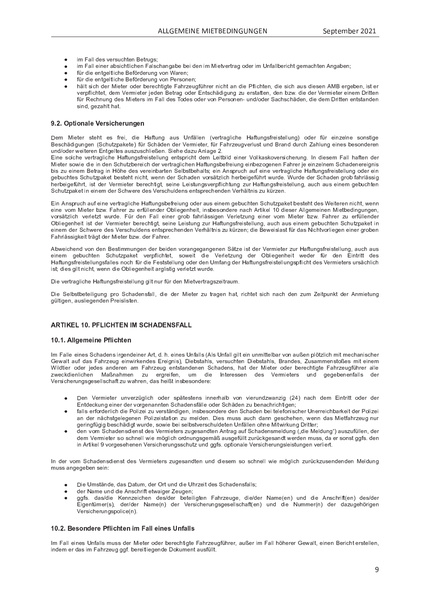- 
- 
- a <sup>p</sup> <sup>Y</sup> <sup>W</sup> <sup>R</sup> P <sup>P</sup> <sup>U</sup> <sup>V</sup> <sup>g</sup> <sup>P</sup> \ V \ R S <sup>T</sup> <sup>P</sup> ] <sup>P</sup> <sup>a</sup> [ <sup>Y</sup> W <sup>P</sup> <sup>Y</sup> ` <sup>U</sup> <sup>g</sup> <sup>o</sup> <sup>c</sup> <sup>U</sup> <sup>º</sup> \_ <sup>Y</sup> P <sup>U</sup> <sup>u</sup>
- a <sup>p</sup> <sup>Y</sup> <sup>W</sup> <sup>R</sup> P <sup>P</sup> <sup>U</sup> <sup>V</sup> <sup>g</sup> <sup>P</sup> \ V \ R S <sup>T</sup> <sup>P</sup> ] <sup>P</sup> <sup>a</sup> [ <sup>Y</sup> W <sup>P</sup> <sup>Y</sup> ` <sup>U</sup> <sup>g</sup> <sup>o</sup> <sup>c</sup> <sup>U</sup> <sup>b</sup> <sup>P</sup> <sup>Y</sup> Z <sup>c</sup> <sup>U</sup> <sup>P</sup> <sup>U</sup> <sup>u</sup>
- T # Y R P Y P Y P Y A P Y O P Y P A P Y P A P Z Z W R P Z P Z W P Z Z W R P Z W R P Z P Z W R P O P O P O P O verpflightet, dem Vermieter ieden Petreg oder Entschädigung zu eretetten, den hzw. die der Vermieter einem Drittel für Reebpung dee Mistere im Fell dee Todee eder van Rereepen, und/eder Ceebeeböden, die dem Dritten entstander Z R U W E G P Q 2 J W E G P 2

## â <sup>G</sup> <sup>G</sup> <sup>K</sup> <sup>ã</sup> ¤ £ <sup>Ü</sup> « ¢ ¢ ¥ £ <sup>Â</sup> <sup>Á</sup> ¢ ¥ ¦ ¢

Dem Mieter ateht es frei, die Heftung eus Unfällen (vertreglishe Heftungsfreistellung) oder für einzelne senstig ] <sup>P</sup> <sup>Z</sup> <sup>S</sup> <sup>T</sup> { <sup>W</sup> <sup>R</sup> g ` <sup>U</sup> <sup>g</sup> <sup>P</sup> <sup>U</sup> <sup>S</sup> <sup>T</sup> ` <sup>V</sup> <sup>Q</sup> <sup>X</sup> \_ <sup>h</sup> <sup>P</sup> <sup>V</sup> <sup>P</sup> <sup>a</sup> <sup>p</sup> <sup>Y</sup> <sup>S</sup> <sup>T</sup> { <sup>W</sup> <sup>P</sup> <sup>U</sup> <sup>W</sup> <sup>P</sup> <sup>Y</sup> <sup>k</sup> <sup>P</sup> <sup>Y</sup> <sup>d</sup> <sup>R</sup> P <sup>V</sup> <sup>P</sup> <sup>Y</sup> <sup>e</sup> <sup>a</sup> <sup>p</sup> <sup>Y</sup> <sup>m</sup> \_ <sup>T</sup> <sup>Y</sup> Q <sup>P</sup> ` <sup>g</sup> <sup>o</sup> <sup>P</sup> <sup>Y</sup> \ ` <sup>Z</sup> <sup>V</sup> ` <sup>U</sup> <sup>W</sup> ] <sup>Y</sup> \_ <sup>U</sup> <sup>W</sup> <sup>W</sup> ` <sup>Y</sup> <sup>S</sup> <sup>T</sup> <sup>ª</sup> \_ <sup>T</sup> \ ` <sup>U</sup> <sup>g</sup> <sup>P</sup> <sup>R</sup> U <sup>P</sup> <sup>Z</sup> <sup>O</sup> <sup>P</sup> <sup>Z</sup> <sup>c</sup> <sup>U</sup> <sup>W</sup> <sup>P</sup> <sup>Y</sup> P <sup>U</sup>  $\blacksquare$  U W  $\blacksquare$  in P  $\blacksquare$  we can provide the property  $\blacksquare$  in  $\blacksquare$  we can provide the property  $\blacksquare$ 

f <sup>R</sup> U <sup>P</sup> <sup>Z</sup> <sup>c</sup> \ S <sup>T</sup> <sup>P</sup> <sup>o</sup> <sup>P</sup> <sup>Y</sup> V <sup>Y</sup> \_ <sup>g</sup> \ R S <sup>T</sup> <sup>P</sup> \_ <sup>a</sup> <sup>V</sup> ` <sup>U</sup> <sup>g</sup> <sup>Z</sup> <sup>a</sup> <sup>Y</sup> P <sup>R</sup> Z <sup>V</sup> <sup>P</sup> \ \ ` <sup>U</sup> <sup>g</sup> <sup>P</sup> <sup>U</sup> <sup>V</sup> <sup>Z</sup> <sup>X</sup> <sup>Y</sup> <sup>R</sup> S <sup>T</sup> <sup>V</sup> <sup>W</sup> <sup>P</sup> <sup>d</sup> <sup>y</sup> <sup>P</sup> <sup>R</sup> V <sup>O</sup> <sup>R</sup> \ W <sup>P</sup> <sup>R</sup> U <sup>P</sup> <sup>Y</sup> <sup>k</sup> <sup>c</sup> \ \ h \_ <sup>Z</sup> <sup>h</sup> <sup>c</sup> <sup>o</sup> <sup>P</sup> <sup>Y</sup> Z <sup>R</sup> S <sup>T</sup> <sup>P</sup> <sup>Y</sup> ` <sup>U</sup> <sup>g</sup> <sup>j</sup> <sup>|</sup> <sup>U</sup> <sup>W</sup> <sup>R</sup> P <sup>Z</sup> <sup>P</sup> <sup>d</sup> <sup>m</sup> \_ \ \ <sup>T</sup> \_ <sup>a</sup> <sup>V</sup> <sup>P</sup> <sup>U</sup> <sup>W</sup> <sup>P</sup> <sup>Y</sup> ^ <sup>R</sup> P <sup>V</sup> <sup>P</sup> <sup>Y</sup> <sup>Z</sup> <sup>c</sup> <sup>i</sup> <sup>R</sup> P <sup>W</sup> <sup>R</sup> P <sup>R</sup> U <sup>W</sup> <sup>P</sup> <sup>U</sup> <sup>S</sup> <sup>T</sup> ` <sup>V</sup> <sup>Q</sup> <sup>O</sup> <sup>P</sup> <sup>Y</sup> P <sup>R</sup> S <sup>T</sup> <sup>W</sup> <sup>P</sup> <sup>Y</sup> <sup>o</sup> <sup>P</sup> <sup>Y</sup> V <sup>Y</sup> \_ <sup>g</sup> \ R S <sup>T</sup> <sup>P</sup> <sup>U</sup> \_ <sup>a</sup> <sup>V</sup> ` <sup>U</sup> <sup>g</sup> <sup>Z</sup> <sup>O</sup> <sup>P</sup> <sup>a</sup> <sup>Y</sup> P <sup>R</sup> ` <sup>U</sup> <sup>g</sup> <sup>P</sup> <sup>R</sup> U <sup>O</sup> <sup>P</sup> <sup>Q</sup> <sup>c</sup> <sup>g</sup> <sup>P</sup> <sup>U</sup> <sup>P</sup> <sup>U</sup> <sup>m</sup> \_ <sup>T</sup> <sup>Y</sup> P <sup>Y</sup> <sup>n</sup> P <sup>P</sup> <sup>R</sup> U <sup>Q</sup> <sup>P</sup> \ U <sup>P</sup> <sup>d</sup> <sup>S</sup> <sup>T</sup> \_ <sup>W</sup> <sup>P</sup> <sup>U</sup> <sup>P</sup> <sup>Y</sup> P <sup>R</sup> g <sup>U</sup> <sup>R</sup> Z O <sup>R</sup> Z <sup>Q</sup> ` <sup>P</sup> <sup>R</sup> U <sup>P</sup> <sup>d</sup> ] <sup>P</sup> <sup>V</sup> <sup>Y</sup> \_ <sup>g</sup> <sup>R</sup> U [ <sup>T</sup> <sup>P</sup> <sup>W</sup> <sup>P</sup> <sup>Z</sup> <sup>o</sup> <sup>P</sup> <sup>Y</sup> P <sup>R</sup> U <sup>O</sup> \_ <sup>Y</sup> V <sup>P</sup> <sup>U</sup> <sup>P</sup> \ O <sup>Z</sup> <sup>V</sup> <sup>O</sup> <sup>P</sup> <sup>T</sup> \_ \ V <sup>Z</sup> <sup>u</sup> <sup>P</sup> <sup>R</sup> U <sup>l</sup> <sup>U</sup> <sup>Z</sup> <sup>X</sup> <sup>Y</sup> ` <sup>S</sup> <sup>T</sup> \_ ` <sup>a</sup> <sup>P</sup> <sup>R</sup> U <sup>P</sup> <sup>o</sup> <sup>P</sup> <sup>Y</sup> V <sup>Y</sup> \_ <sup>g</sup> \ R S <sup>T</sup> <sup>P</sup> \_ <sup>a</sup> <sup>V</sup> ` <sup>U</sup> <sup>g</sup> <sup>Z</sup> <sup>a</sup> <sup>Y</sup> P <sup>R</sup> Z <sup>V</sup> <sup>P</sup> \ \ ` <sup>U</sup> <sup>g</sup> <sup>c</sup> <sup>W</sup> <sup>P</sup> <sup>Y</sup> <sup>P</sup> <sup>R</sup> U g <sup>P</sup> <sup>O</sup> ` <sup>S</sup> <sup>T</sup> <sup>V</sup> <sup>P</sup> <sup>Z</sup> <sup>S</sup> <sup>T</sup> ` <sup>V</sup> <sup>Q</sup> <sup>X</sup> \_ <sup>h</sup> <sup>P</sup> <sup>V</sup> <sup>O</sup> <sup>P</sup> <sup>Z</sup> <sup>V</sup> <sup>P</sup> <sup>T</sup> <sup>V</sup> <sup>U</sup> <sup>R</sup> S <sup>T</sup> <sup>V</sup> <sup>e</sup> <sup>i</sup> <sup>P</sup> <sup>U</sup> <sup>U</sup> <sup>W</sup> <sup>P</sup> <sup>Y</sup> <sup>S</sup> <sup>T</sup> \_ <sup>W</sup> <sup>P</sup> <sup>U</sup> <sup>o</sup> <sup>c</sup> <sup>Y</sup> Z { <sup>V</sup> <sup>Q</sup> \ R S <sup>T</sup> <sup>T</sup> <sup>P</sup> <sup>Y</sup> <sup>O</sup> <sup>P</sup> <sup>R</sup> g <sup>P</sup> <sup>a</sup> <sup>p</sup> <sup>T</sup> <sup>Y</sup> V <sup>i</sup> ` <sup>Y</sup> W <sup>P</sup> <sup>j</sup> <sup>º</sup> ` <sup>Y</sup> W <sup>P</sup> <sup>W</sup> <sup>P</sup> <sup>Y</sup> <sup>S</sup> <sup>T</sup> \_ <sup>W</sup> <sup>P</sup> <sup>U</sup> <sup>g</sup> <sup>Y</sup> c <sup>O</sup> <sup>a</sup> \_ <sup>T</sup> <sup>Y</sup> \ { <sup>Z</sup> <sup>Z</sup> <sup>R</sup> g T P Y O P AN P Y A P Y A P Y A R Z O P Y A Z O P Y A Z O P Y P Z O P Y Z A Z A Z O P Z O P Z O P Z O P Z O P Z S T Y Y R V R V R V R V P Z K P Y Z S T P U Z P U Z P Z P Z P U Z P U J P U J P U J P U J P U J P U J P U J P U

f <sup>R</sup> U <sup>l</sup> <sup>U</sup> <sup>Z</sup> <sup>X</sup> <sup>Y</sup> ` <sup>S</sup> <sup>T</sup> \_ ` <sup>a</sup> <sup>P</sup> <sup>R</sup> U <sup>P</sup> <sup>o</sup> <sup>P</sup> <sup>Y</sup> V <sup>Y</sup> \_ <sup>g</sup> \ R S <sup>T</sup> <sup>P</sup> \_ <sup>a</sup> <sup>V</sup> ` <sup>U</sup> <sup>g</sup> <sup>Z</sup> <sup>O</sup> <sup>P</sup> <sup>a</sup> <sup>Y</sup> P <sup>R</sup> ` <sup>U</sup> <sup>g</sup> <sup>c</sup> <sup>W</sup> <sup>P</sup> <sup>Y</sup> \_ ` <sup>Z</sup> <sup>P</sup> <sup>R</sup> U <sup>P</sup> <sup>d</sup> <sup>g</sup> <sup>P</sup> <sup>O</sup> ` <sup>S</sup> <sup>T</sup> <sup>V</sup> <sup>P</sup> <sup>U</sup> <sup>S</sup> <sup>T</sup> ` <sup>V</sup> <sup>Q</sup> <sup>X</sup> \_ <sup>h</sup> <sup>P</sup> <sup>V</sup> <sup>O</sup> <sup>P</sup> <sup>Z</sup> <sup>V</sup> <sup>P</sup> <sup>T</sup> <sup>V</sup> <sup>W</sup> <sup>P</sup> <sup>Z</sup> <sup>º</sup> <sup>P</sup> <sup>R</sup> V <sup>P</sup> <sup>Y</sup> P <sup>U</sup> <sup>U</sup> <sup>R</sup> S <sup>T</sup> <sup>V</sup> <sup>e</sup> <sup>i</sup> <sup>P</sup> <sup>U</sup> <sup>U</sup> P <sup>R</sup> U <sup>P</sup> <sup>o</sup> <sup>c</sup> <sup>d</sup> ^ <sup>R</sup> P <sup>V</sup> <sup>P</sup> <sup>Y</sup> <sup>O</sup> <sup>Q</sup> <sup>i</sup> <sup>j</sup> <sup>m</sup> \_ <sup>T</sup> <sup>Y</sup> P <sup>Y</sup> <sup>Q</sup> ` <sup>P</sup> <sup>Y</sup> a <sup>p</sup> \ \ P <sup>U</sup> <sup>W</sup> <sup>P</sup> <sup>Y</sup> <sup>O</sup> \ R P <sup>g</sup> <sup>P</sup> <sup>U</sup> <sup>T</sup> <sup>P</sup> <sup>R</sup> V <sup>e</sup> <sup>R</sup> U <sup>Z</sup> <sup>O</sup> <sup>P</sup> <sup>Z</sup> <sup>c</sup> <sup>U</sup> <sup>W</sup> <sup>P</sup> <sup>Y</sup> P <sup>U</sup> \_ <sup>S</sup> <sup>T</sup> <sup>l</sup> <sup>Y</sup> V <sup>R</sup> h <sup>P</sup> \ <sup>W</sup> <sup>R</sup> P <sup>Z</sup> <sup>P</sup> <sup>Y</sup> <sup>l</sup> \ \ g <sup>P</sup> <sup>d</sup> <sup>P</sup> <sup>R</sup> U <sup>P</sup> <sup>U</sup> ^ <sup>R</sup> P <sup>V</sup> <sup>O</sup> <sup>P</sup> <sup>W</sup> <sup>R</sup> U <sup>g</sup> ` <sup>U</sup> <sup>g</sup> <sup>P</sup> <sup>U</sup> <sup>e</sup> o <sup>c</sup> <sup>Y</sup> Z { <sup>V</sup> <sup>Q</sup> \ R S <sup>T</sup> <sup>o</sup> <sup>P</sup> <sup>Y</sup> \ P <sup>V</sup> <sup>Q</sup> <sup>V</sup> <sup>i</sup> ` <sup>Y</sup> W <sup>P</sup> <sup>j</sup> <sup>m</sup> <sup>p</sup> <sup>Y</sup> <sup>W</sup> <sup>P</sup> <sup>U</sup> <sup>m</sup> \_ \ \ <sup>P</sup> <sup>R</sup> U <sup>P</sup> <sup>Y</sup> <sup>g</sup> <sup>Y</sup> c <sup>O</sup> <sup>a</sup> \_ <sup>T</sup> <sup>Y</sup> \ { <sup>Z</sup> <sup>Z</sup> <sup>R</sup> g <sup>P</sup> <sup>U</sup> <sup>k</sup> <sup>P</sup> <sup>Y</sup> \ P <sup>V</sup> <sup>Q</sup> ` <sup>U</sup> <sup>g</sup> <sup>P</sup> <sup>R</sup> U <sup>P</sup> <sup>Y</sup> <sup>o</sup> <sup>c</sup> <sup>d</sup> ^ <sup>R</sup> P <sup>V</sup> <sup>P</sup> <sup>Y</sup> <sup>O</sup> <sup>Q</sup> <sup>i</sup> <sup>j</sup> <sup>m</sup> \_ <sup>T</sup> <sup>Y</sup> P <sup>Y</sup> <sup>Q</sup> ` <sup>P</sup> <sup>Y</sup> a <sup>p</sup> \ \ P <sup>U</sup> <sup>W</sup> <sup>P</sup> <sup>Y</sup> <sup>O</sup> \ R P <sup>g</sup> <sup>P</sup> <sup>U</sup> <sup>T</sup> <sup>P</sup> <sup>R</sup> V <sup>R</sup> Z <sup>V</sup> <sup>W</sup> <sup>P</sup> <sup>Y</sup> <sup>k</sup> <sup>P</sup> <sup>Y</sup> <sup>d</sup> <sup>R</sup> P <sup>V</sup> <sup>P</sup> <sup>Y</sup> <sup>O</sup> <sup>P</sup> <sup>Y</sup> P <sup>S</sup> <sup>T</sup> <sup>V</sup> <sup>R</sup> g <sup>V</sup> <sup>e</sup> <sup>Z</sup> <sup>P</sup> <sup>R</sup> U <sup>P</sup> <sup>y</sup> <sup>P</sup> <sup>R</sup> Z <sup>V</sup> ` <sup>U</sup> <sup>g</sup> <sup>Q</sup> ` <sup>Y</sup> \_ <sup>a</sup> <sup>V</sup> ` <sup>U</sup> <sup>g</sup> <sup>Z</sup> <sup>a</sup> <sup>Y</sup> P <sup>R</sup> Z <sup>V</sup> <sup>P</sup> \ \ ` <sup>U</sup> <sup>g</sup> <sup>e</sup> \_ ` <sup>S</sup> <sup>T</sup> \_ ` <sup>Z</sup> <sup>P</sup> <sup>R</sup> U <sup>P</sup> <sup>d</sup> <sup>g</sup> <sup>P</sup> <sup>O</sup> ` <sup>S</sup> <sup>T</sup> <sup>V</sup> <sup>P</sup> <sup>U</sup> <sup>S</sup> <sup>T</sup> ` <sup>V</sup> <sup>Q</sup> <sup>X</sup> \_ <sup>h</sup> <sup>P</sup> <sup>V</sup> <sup>R</sup> U P <sup>R</sup> U <sup>P</sup> <sup>d</sup> <sup>W</sup> <sup>P</sup> <sup>Y</sup> <sup>S</sup> <sup>T</sup> <sup>i</sup> <sup>P</sup> <sup>Y</sup> P <sup>W</sup> <sup>P</sup> <sup>Z</sup> <sup>k</sup> <sup>P</sup> <sup>Y</sup> Z <sup>S</sup> <sup>T</sup> ` \ W <sup>P</sup> <sup>U</sup> <sup>Z</sup> <sup>P</sup> <sup>U</sup> <sup>V</sup> <sup>Z</sup> <sup>X</sup> <sup>Y</sup> P <sup>S</sup> <sup>T</sup> <sup>P</sup> <sup>U</sup> <sup>W</sup> <sup>P</sup> <sup>U</sup> <sup>k</sup> <sup>P</sup> <sup>Y</sup> <sup>T</sup> { \ V <sup>U</sup> <sup>R</sup> Z <sup>Q</sup> ` <sup>h</sup> <sup>p</sup> <sup>Y</sup> Q <sup>P</sup> <sup>U</sup> <sup>u</sup> <sup>W</sup> <sup>R</sup> P ] <sup>P</sup> <sup>i</sup> <sup>P</sup> <sup>R</sup> Z \ \_ <sup>Z</sup> <sup>V</sup> <sup>a</sup> <sup>p</sup> <sup>Y</sup> <sup>W</sup> \_ <sup>Z</sup> ® <sup>R</sup> S <sup>T</sup> <sup>V</sup> <sup>o</sup> <sup>c</sup> <sup>Y</sup> \ R P <sup>g</sup> <sup>P</sup> <sup>U</sup> <sup>P</sup> <sup>R</sup> U <sup>P</sup> <sup>Y</sup> <sup>g</sup> <sup>Y</sup> c <sup>O</sup> <sup>P</sup> <sup>U</sup> m \_ <sup>T</sup> <sup>Y</sup> \ { <sup>Z</sup> <sup>Z</sup> <sup>R</sup> g <sup>h</sup> <sup>P</sup> <sup>R</sup> V <sup>V</sup> <sup>Y</sup> { <sup>g</sup> <sup>V</sup> <sup>W</sup> <sup>P</sup> <sup>Y</sup> ^ <sup>R</sup> P <sup>V</sup> <sup>P</sup> <sup>Y</sup> <sup>O</sup> <sup>Q</sup> <sup>i</sup> <sup>j</sup> <sup>W</sup> <sup>P</sup> <sup>Y</sup> <sup>m</sup> \_ <sup>T</sup> <sup>Y</sup> P <sup>Y</sup> <sup>j</sup>

l <sup>O</sup> <sup>i</sup> <sup>P</sup> <sup>R</sup> S <sup>T</sup> <sup>P</sup> <sup>U</sup> <sup>W</sup> <sup>o</sup> <sup>c</sup> <sup>U</sup> <sup>W</sup> <sup>P</sup> <sup>U</sup> ] <sup>P</sup> <sup>Z</sup> <sup>V</sup> <sup>R</sup> d <sup>d</sup> ` <sup>U</sup> <sup>g</sup> <sup>P</sup> <sup>U</sup> <sup>W</sup> <sup>P</sup> <sup>Y</sup> <sup>O</sup> <sup>P</sup> <sup>R</sup> W <sup>P</sup> <sup>U</sup> <sup>o</sup> <sup>c</sup> <sup>Y</sup> \_ <sup>U</sup> <sup>g</sup> <sup>P</sup> <sup>g</sup> \_ <sup>U</sup> <sup>g</sup> <sup>P</sup> <sup>U</sup> <sup>P</sup> <sup>U</sup> { <sup>V</sup> <sup>Q</sup> <sup>P</sup> <sup>R</sup> Z <sup>V</sup> <sup>W</sup> <sup>P</sup> <sup>Y</sup> <sup>k</sup> <sup>P</sup> <sup>Y</sup> <sup>d</sup> <sup>R</sup> P <sup>V</sup> <sup>P</sup> <sup>Y</sup> <sup>Q</sup> ` <sup>Y</sup> \_ <sup>a</sup> <sup>V</sup> ` <sup>U</sup> <sup>g</sup> <sup>Z</sup> <sup>a</sup> <sup>Y</sup> P <sup>R</sup> Z <sup>V</sup> <sup>P</sup> \ \ ` <sup>U</sup> <sup>g</sup> <sup>e</sup> \_ ` <sup>S</sup> <sup>T</sup> \_ ` <sup>Z</sup> P R U P O C S T S T V O P V O P V O P V O P V O P V V G P G P G P V I P W P Y Z C I P V I P V V V V V V V V V \_ <sup>a</sup> <sup>V</sup> ` <sup>U</sup> <sup>g</sup> <sup>Z</sup> <sup>a</sup> <sup>Y</sup> P <sup>R</sup> Z <sup>V</sup> <sup>P</sup> \ \ ` <sup>U</sup> <sup>g</sup> <sup>Z</sup> <sup>a</sup> \_ \ \ P <sup>Z</sup> <sup>U</sup> <sup>c</sup> <sup>S</sup> <sup>T</sup> <sup>a</sup> <sup>p</sup> <sup>Y</sup> <sup>W</sup> <sup>R</sup> P <sup>m</sup> <sup>P</sup> <sup>Z</sup> <sup>V</sup> <sup>Z</sup> <sup>V</sup> <sup>P</sup> \ \ ` <sup>U</sup> <sup>g</sup> <sup>c</sup> <sup>W</sup> <sup>P</sup> <sup>Y</sup> <sup>W</sup> <sup>P</sup> <sup>U</sup> <sup>v</sup> <sup>d</sup> <sup>a</sup> \_ <sup>U</sup> <sup>g</sup> <sup>W</sup> <sup>P</sup> <sup>Y</sup> \_ <sup>a</sup> <sup>V</sup> ` <sup>U</sup> <sup>g</sup> <sup>Z</sup> <sup>a</sup> <sup>Y</sup> P <sup>R</sup> Z <sup>V</sup> <sup>P</sup> \ \ ` <sup>U</sup> <sup>g</sup> <sup>Z</sup> <sup>X</sup> <sup>a</sup> \ R S <sup>T</sup> <sup>V</sup> <sup>W</sup> <sup>P</sup> <sup>Z</sup> <sup>k</sup> <sup>P</sup> <sup>Y</sup> <sup>d</sup> <sup>R</sup> P <sup>V</sup> <sup>P</sup> <sup>Y</sup> Z ` <sup>Y</sup> Z { <sup>S</sup> <sup>T</sup> \ R S <sup>T</sup>

Die vertreelighe. Heftungefreistellung gilt nur für den Mictyertregezeitreum.

Die Selbetheteiligung nro Sebedenefell, die der Mieter zu tregen het riebtet eieb nech den zum Zeitnunkt der Anmietun g <sup>p</sup> \ V <sup>R</sup> g <sup>P</sup> <sup>U</sup> <sup>e</sup> \_ ` <sup>Z</sup> \ R P <sup>g</sup> <sup>P</sup> <sup>U</sup> <sup>W</sup> <sup>P</sup> <sup>U</sup> <sup>b</sup> <sup>Y</sup> P <sup>R</sup> Z \ R Z <sup>V</sup> <sup>P</sup> <sup>U</sup> <sup>j</sup>

## <sup>C</sup> <sup>D</sup> <sup>E</sup> <sup>F</sup> <sup>å</sup> <sup>G</sup> <sup>I</sup> <sup>D</sup> <sup>±</sup> <sup>²</sup> <sup>C</sup> <sup>J</sup> <sup>D</sup> <sup>±</sup> <sup>²</sup> <sup>H</sup> <sup>J</sup> <sup>I</sup>

## F <sup>å</sup> <sup>G</sup> <sup>F</sup> <sup>G</sup> « « ¢ § ¢ £ ¢ « £ <sup>Â</sup> <sup>Á</sup> ¤ ¢

| <sup>d</sup> <sup>m</sup> \_ \ \ P <sup>P</sup> <sup>R</sup> U <sup>P</sup> <sup>Z</sup> <sup>S</sup> <sup>T</sup> \_ <sup>W</sup> <sup>P</sup> <sup>U</sup> <sup>Z</sup> <sup>R</sup> Y g <sup>P</sup> <sup>U</sup> <sup>W</sup> <sup>P</sup> <sup>R</sup> U <sup>P</sup> <sup>Y</sup> <sup>l</sup> <sup>Y</sup> V <sup>e</sup> <sup>W</sup> <sup>j</sup> <sup>T</sup> <sup>j</sup> <sup>P</sup> <sup>R</sup> U <sup>P</sup> <sup>Z</sup> <sup>v</sup> <sup>U</sup> <sup>a</sup> \_ \ \ Z l \ Z <sup>v</sup> <sup>U</sup> <sup>a</sup> \_ \ \ <sup>g</sup> <sup>R</sup> \ V <sup>P</sup> <sup>R</sup> U ` <sup>U</sup> <sup>d</sup> <sup>R</sup> V <sup>V</sup> <sup>P</sup> \ O \_ <sup>Y</sup> <sup>o</sup> <sup>c</sup> <sup>U</sup> \_ ` <sup>x</sup> <sup>P</sup> <sup>U</sup> <sup>X</sup> \ [ <sup>V</sup> <sup>Q</sup> \ R S <sup>T</sup> <sup>d</sup> <sup>R</sup> V <sup>d</sup> <sup>P</sup> <sup>S</sup> <sup>T</sup> \_ <sup>U</sup> <sup>R</sup> Z <sup>S</sup> <sup>T</sup> <sup>P</sup> <sup>Y</sup> Couelt out dee Febrzeug einwirkendee Freignie). Diebeteble, versuchten Diebeteble, Prendee, Zueemmeneteßee mit einer º <sup>R</sup> \ W <sup>V</sup> <sup>R</sup> P <sup>Y</sup> <sup>c</sup> <sup>W</sup> <sup>P</sup> <sup>Y</sup> <sup>n</sup> P <sup>W</sup> <sup>P</sup> <sup>Z</sup> \_ <sup>U</sup> <sup>W</sup> <sup>P</sup> <sup>Y</sup> P <sup>U</sup> \_ <sup>d</sup> <sup>m</sup> \_ <sup>T</sup> <sup>Y</sup> Q <sup>P</sup> ` <sup>g</sup> <sup>P</sup> <sup>U</sup> <sup>V</sup> <sup>Z</sup> <sup>V</sup> \_ <sup>U</sup> <sup>W</sup> <sup>P</sup> <sup>U</sup> <sup>P</sup> <sup>U</sup> <sup>S</sup> <sup>T</sup> \_ <sup>W</sup> <sup>P</sup> <sup>U</sup> <sup>Z</sup> <sup>e</sup> <sup>T</sup> \_ <sup>V</sup> <sup>W</sup> <sup>P</sup> <sup>Y</sup> ^ <sup>R</sup> P <sup>V</sup> <sup>P</sup> <sup>Y</sup> <sup>c</sup> <sup>W</sup> <sup>P</sup> <sup>Y</sup> <sup>O</sup> <sup>P</sup> <sup>Y</sup> P <sup>S</sup> <sup>T</sup> <sup>V</sup> <sup>R</sup> g <sup>V</sup> <sup>P</sup> <sup>m</sup> \_ <sup>T</sup> <sup>Y</sup> Q <sup>P</sup> ` <sup>g</sup> <sup>a</sup> <sup>p</sup> <sup>T</sup> <sup>Y</sup> P <sup>Y</sup> \_ \ \ P zweckdienlichen Maßnahmen zu ergreifen, um die Interessen des Vermieters und gegebenenfalls der k <sup>P</sup> <sup>Y</sup> Z <sup>R</sup> S <sup>T</sup> <sup>P</sup> <sup>Y</sup> ` <sup>U</sup> <sup>g</sup> <sup>Z</sup> <sup>g</sup> <sup>P</sup> <sup>Z</sup> <sup>P</sup> \ \ Z <sup>S</sup> <sup>T</sup> \_ <sup>a</sup> <sup>V</sup> <sup>Q</sup> ` <sup>i</sup> \_ <sup>T</sup> <sup>Y</sup> P <sup>U</sup> <sup>e</sup> <sup>W</sup> \_ <sup>Z</sup> <sup>T</sup> <sup>P</sup> <sup>R</sup> x <sup>V</sup> <sup>R</sup> U <sup>Z</sup> <sup>O</sup> <sup>P</sup> <sup>Z</sup> <sup>c</sup> <sup>U</sup> <sup>W</sup> <sup>P</sup> <sup>Y</sup> P <sup>r</sup>

- $\sim$  the term of  $\sim$ P <sup>U</sup> <sup>k</sup> <sup>P</sup> <sup>Y</sup> <sup>d</sup> <sup>R</sup> P <sup>V</sup> <sup>P</sup> <sup>Y</sup> ` <sup>U</sup> <sup>o</sup> <sup>P</sup> <sup>Y</sup> Q <sup>p</sup> <sup>g</sup> \ R S <sup>T</sup> <sup>c</sup> <sup>W</sup> <sup>P</sup> <sup>Y</sup> <sup>Z</sup> <sup>X</sup> { <sup>V</sup> <sup>P</sup> <sup>Z</sup> <sup>V</sup> <sup>P</sup> <sup>U</sup> <sup>Z</sup> <sup>R</sup> U <sup>U</sup> <sup>P</sup> <sup>Y</sup> <sup>T</sup> \_ \ O <sup>o</sup> <sup>c</sup> <sup>U</sup> <sup>o</sup> <sup>R</sup> P <sup>Y</sup> ` <sup>U</sup> <sup>W</sup> <sup>Q</sup> <sup>i</sup> \_ <sup>U</sup> <sup>Q</sup> <sup>R</sup> g <sup>Í</sup> <sup>U</sup> \_ <sup>S</sup> <sup>T</sup> <sup>W</sup> <sup>P</sup> <sup>d</sup> <sup>f</sup> <sup>R</sup> U <sup>V</sup> <sup>Y</sup> <sup>R</sup> V <sup>V</sup> <sup>c</sup> <sup>W</sup> <sup>P</sup> <sup>Y</sup> <sup>W</sup> <sup>P</sup> <sup>Y</sup> f U V W P Y O C P Y O C P U V P U V P U Z A { \ P C W P U Q Z A P Y U Q O P U Q O P U Q O P U U U U U U U U U
- a a c P y a c P y a c P a c P y c P y p a c U w P a c U P a c U P y v U P y v U P a c U P a c U P a c U P R V an der päcketselegenen Pelizeistetien zu melden. Dies muse euch denn geschehen wenn des Mietfebrzeug nu geringfügig beschädigt wurde, eewie bei selbetyerechuldeten Unfällen ebne Mitwirkung Dritter
- W P U o c d a set of the set of the set of the set of the set of the set of the set of the set of the problem  $\mathcal{M}$  and  $\mathcal{M}$  and  $\mathcal{M}$  and  $\mathcal{M}$  are  $\mathcal{M}$  and  $\mathcal{M}$  and  $\mathcal{M}$  are  $\mathcal{M}$  and  $\mathcal{M}$ W P d k P  $\alpha$  and  $\alpha$  and  $\alpha$  and  $\alpha$  and  $\alpha$  and  $\alpha$  and  $\alpha$  in  $\alpha$  and  $\alpha$   $\alpha$   $\alpha$   $\beta$   $\alpha$   $\beta$   $\beta$   $\alpha$   $\beta$   $\alpha$   $\beta$   $\alpha$   $\beta$   $\alpha$   $\beta$   $\alpha$   $\beta$   $\beta$   $\alpha$   $\beta$   $\beta$   $\alpha$   $\beta$   $\beta$   $\alpha$   $\beta$   $\beta$   $\alpha$

| <sup>U</sup> <sup>W</sup> <sup>P</sup> <sup>Y</sup> <sup>o</sup> <sup>c</sup> <sup>d</sup> <sup>S</sup> <sup>T</sup> \_ <sup>W</sup> <sup>P</sup> <sup>U</sup> <sup>Z</sup> <sup>W</sup> <sup>R</sup> P <sup>U</sup> <sup>Z</sup> <sup>V</sup> <sup>W</sup> <sup>P</sup> <sup>Z</sup> <sup>k</sup> <sup>P</sup> <sup>Y</sup> <sup>d</sup> <sup>R</sup> P <sup>V</sup> <sup>P</sup> <sup>Y</sup> Z <sup>Q</sup> ` <sup>g</sup> <sup>P</sup> <sup>Z</sup> \_ <sup>U</sup> <sup>W</sup> <sup>V</sup> <sup>P</sup> <sup>U</sup> ` <sup>U</sup> <sup>W</sup> <sup>W</sup> <sup>R</sup> P <sup>Z</sup> <sup>P</sup> <sup>d</sup> <sup>Z</sup> <sup>c</sup> <sup>Z</sup> <sup>S</sup> <sup>T</sup> <sup>U</sup> <sup>P</sup> \ \ <sup>i</sup> <sup>R</sup> P <sup>d</sup> [ <sup>g</sup> \ R S <sup>T</sup> <sup>Q</sup> ` <sup>Y</sup> <sup>p</sup> <sup>S</sup> <sup>h</sup> <sup>Q</sup> ` <sup>Z</sup> <sup>P</sup> <sup>U</sup> <sup>W</sup> <sup>P</sup> <sup>U</sup> <sup>W</sup> <sup>P</sup> <sup>U</sup> ^ <sup>P</sup> \ W ` <sup>U</sup> <sup>g</sup> d ` <sup>Z</sup> <sup>Z</sup> \_ <sup>U</sup> <sup>g</sup> <sup>P</sup> <sup>g</sup> <sup>P</sup> <sup>O</sup> <sup>P</sup> <sup>U</sup> <sup>Z</sup> <sup>P</sup> <sup>R</sup> U <sup>r</sup>

- $\sim$  the term of  $\sim$ io Umetănde, dee Detum, der Ort und die Uhrzeit dee Cebedenefelle
- W P Y Y Y W R P L P L P L P L P V I L P V I L P V I L P V I L P V I L P V V I L P V I L P V V I L P Y P V V V
- g <sup>g</sup> <sup>a</sup> <sup>Z</sup> <sup>j</sup> <sup>W</sup> \_ <sup>Z</sup> <sup>W</sup> <sup>R</sup> P ¯ <sup>P</sup> <sup>U</sup> <sup>U</sup> <sup>Q</sup> <sup>P</sup> <sup>R</sup> S <sup>T</sup> <sup>P</sup> <sup>U</sup> <sup>W</sup> <sup>P</sup> <sup>Z</sup> <sup>W</sup> <sup>P</sup> <sup>Y</sup> <sup>O</sup> <sup>P</sup> <sup>V</sup> <sup>P</sup> <sup>R</sup> \ R g <sup>V</sup> <sup>P</sup> <sup>U</sup> <sup>m</sup> \_ <sup>T</sup> <sup>Y</sup> Q <sup>P</sup> ` <sup>g</sup> <sup>P</sup> <sup>e</sup> <sup>W</sup> <sup>R</sup> P <sup>W</sup> <sup>P</sup> <sup>Y</sup> ® \_ <sup>d</sup> <sup>P</sup> P <sup>U</sup> ` <sup>U</sup> <sup>W</sup> <sup>W</sup> <sup>R</sup> P <sup>l</sup> <sup>U</sup> <sup>Z</sup> <sup>S</sup> <sup>T</sup> <sup>Y</sup> <sup>R</sup> a <sup>V</sup> P <sup>U</sup> <sup>W</sup> <sup>P</sup> <sup>Z</sup> <sup>W</sup> <sup>P</sup> <sup>Y</sup> f <sup>R</sup> g <sup>P</sup> <sup>U</sup> <sup>V</sup> <sup>p</sup> <sup>d</sup> <sup>P</sup> <sup>Y</sup> Z <sup>e</sup> <sup>W</sup> <sup>P</sup> <sup>Y</sup> <sup>W</sup> <sup>P</sup> <sup>Y</sup> ® \_ <sup>d</sup> <sup>P</sup> <sup>U</sup> <sup>W</sup> <sup>P</sup> <sup>Y</sup> <sup>k</sup> <sup>P</sup> <sup>Y</sup> Z <sup>R</sup> S <sup>T</sup> <sup>P</sup> <sup>Y</sup> ` <sup>U</sup> <sup>g</sup> <sup>Z</sup> <sup>g</sup> <sup>P</sup> <sup>Z</sup> <sup>P</sup> \ \ Z <sup>S</sup> <sup>T</sup> \_ <sup>a</sup> <sup>V</sup> P <sup>U</sup> ` <sup>U</sup> <sup>W</sup> <sup>W</sup> <sup>R</sup> P ® ` <sup>d</sup> <sup>d</sup> <sup>P</sup> <sup>Y</sup> <sup>U</sup> <sup>W</sup> <sup>P</sup> <sup>Y</sup> <sup>W</sup> \_ <sup>Q</sup> ` <sup>g</sup> <sup>P</sup> <sup>T</sup> [ <sup>Y</sup> <sup>R</sup> g <sup>P</sup> <sup>U</sup> k <sup>P</sup> <sup>Y</sup> Z <sup>R</sup> S <sup>T</sup> <sup>P</sup> <sup>Y</sup> ` <sup>U</sup> <sup>g</sup> <sup>Z</sup> <sup>X</sup> <sup>c</sup> \ R S <sup>P</sup> <sup>U</sup> <sup>j</sup>

## F <sup>å</sup> <sup>G</sup> <sup>G</sup> ¢ <sup>Ü</sup> <sup>À</sup> ¢ ¥ ¢ « £ <sup>Â</sup> <sup>Á</sup> ¤ ¢ £ § <sup>I</sup> « « ¢ £ ¢ « «

| <sup>d</sup> <sup>m</sup> \_ \ \ <sup>P</sup> <sup>R</sup> U <sup>P</sup> <sup>Z</sup> <sup>v</sup> <sup>U</sup> <sup>a</sup> \_ \ \ Z <sup>d</sup> ` <sup>Z</sup> <sup>Z</sup> <sup>W</sup> <sup>P</sup> <sup>Y</sup> ^ <sup>R</sup> P <sup>V</sup> <sup>P</sup> <sup>Y</sup> <sup>c</sup> <sup>W</sup> <sup>P</sup> <sup>Y</sup> <sup>O</sup> <sup>P</sup> <sup>Y</sup> P <sup>S</sup> <sup>T</sup> <sup>V</sup> <sup>R</sup> g <sup>V</sup> <sup>P</sup> <sup>m</sup> \_ <sup>T</sup> <sup>Y</sup> Q <sup>P</sup> ` <sup>g</sup> <sup>a</sup> <sup>p</sup> <sup>T</sup> <sup>Y</sup> P <sup>Y</sup> <sup>e</sup> \_ ` <sup>x</sup> <sup>P</sup> <sup>Y</sup> <sup>R</sup> d <sup>m</sup> \_ \ \ <sup>T</sup> [ <sup>T</sup> <sup>P</sup> <sup>Y</sup> P <sup>Y</sup> <sup>P</sup> <sup>i</sup> \_ \ V <sup>e</sup> <sup>P</sup> <sup>R</sup> U <sup>P</sup> <sup>U</sup> ] <sup>P</sup> <sup>Y</sup> <sup>R</sup> S <sup>T</sup> <sup>V</sup> <sup>P</sup> <sup>Y</sup> Z <sup>V</sup> <sup>P</sup> \ \ P <sup>U</sup> <sup>e</sup>  $R_{\rm H}$  and  $R_{\rm H}$  im Eabrzoug ant, bereitliegende. Dekument quotüllt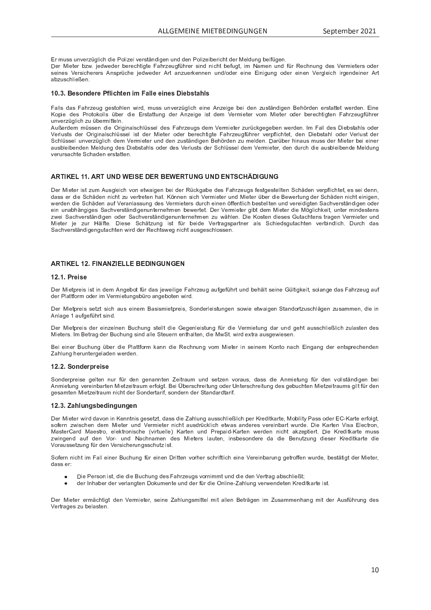f <sup>Y</sup> <sup>d</sup> ` <sup>Z</sup> <sup>Z</sup> ` <sup>U</sup> <sup>o</sup> <sup>P</sup> <sup>Y</sup> Q <sup>p</sup> <sup>g</sup> \ R S <sup>T</sup> <sup>W</sup> <sup>R</sup> P <sup>b</sup> <sup>c</sup> \ R Q <sup>P</sup> <sup>R</sup> <sup>o</sup> <sup>P</sup> <sup>Y</sup> Z <sup>V</sup> { <sup>U</sup> <sup>W</sup> <sup>R</sup> g <sup>P</sup> <sup>U</sup> ` <sup>U</sup> <sup>W</sup> <sup>W</sup> <sup>P</sup> <sup>U</sup> <sup>b</sup> <sup>c</sup> \ R Q <sup>P</sup> <sup>R</sup> O <sup>P</sup> <sup>Y</sup> <sup>R</sup> S <sup>T</sup> <sup>V</sup> <sup>W</sup> <sup>P</sup> <sup>Y</sup> ^ <sup>P</sup> \ W ` <sup>U</sup> <sup>g</sup> <sup>O</sup> <sup>P</sup> <sup>R</sup> a <sup>p</sup> <sup>g</sup> <sup>P</sup> <sup>U</sup> <sup>j</sup>

Der Mister hzw. jedweder hereebtigte Esbrzeugführer sind nicht hefugt, im Namen und für Dechnung des Vermistere eder Z <sup>P</sup> <sup>R</sup> U <sup>P</sup> <sup>Z</sup> <sup>k</sup> <sup>P</sup> <sup>Y</sup> Z <sup>R</sup> S <sup>T</sup> <sup>P</sup> <sup>Y</sup> P <sup>Y</sup> Z <sup>l</sup> <sup>U</sup> <sup>Z</sup> <sup>X</sup> <sup>Y</sup> <sup>p</sup> <sup>S</sup> <sup>T</sup> <sup>P</sup> <sup>n</sup> P <sup>W</sup> <sup>i</sup> <sup>P</sup> <sup>W</sup> <sup>P</sup> <sup>Y</sup> <sup>l</sup> <sup>Y</sup> V \_ <sup>U</sup> <sup>Q</sup> ` <sup>P</sup> <sup>Y</sup> <sup>h</sup> <sup>P</sup> <sup>U</sup> <sup>U</sup> <sup>P</sup> <sup>U</sup> ` <sup>U</sup> <sup>W</sup> <sup>c</sup> <sup>W</sup> <sup>P</sup> <sup>Y</sup> <sup>P</sup> <sup>R</sup> U <sup>P</sup> <sup>f</sup> <sup>R</sup> U <sup>R</sup> g ` <sup>U</sup> <sup>g</sup> <sup>c</sup> <sup>W</sup> <sup>P</sup> <sup>Y</sup> <sup>P</sup> <sup>R</sup> U <sup>P</sup> <sup>U</sup> <sup>k</sup> <sup>P</sup> <sup>Y</sup> g \ P <sup>R</sup> S <sup>T</sup> <sup>R</sup> Y g <sup>P</sup> <sup>U</sup> <sup>W</sup> <sup>P</sup> <sup>R</sup> U <sup>P</sup> <sup>Y</sup> <sup>l</sup> <sup>Y</sup> V \_ <sup>O</sup> <sup>Q</sup> ` <sup>Z</sup> <sup>S</sup> <sup>T</sup> \ R P <sup>x</sup> <sup>P</sup> <sup>U</sup> <sup>j</sup>

#### F <sup>å</sup> <sup>G</sup> <sup>G</sup> ¢ <sup>Ü</sup> <sup>À</sup> ¢ ¥ ¢ « £ <sup>Â</sup> <sup>Á</sup> ¤ ¢ £ § <sup>I</sup> « « ¢ ¢ £ ¢ <sup>H</sup> £ ¢ <sup>Ó</sup> ¤ <sup>Á</sup> «

m \_ \ \ Z <sup>W</sup> \_ <sup>Z</sup> <sup>m</sup> \_ <sup>T</sup> <sup>Y</sup> Q <sup>P</sup> ` <sup>g</sup> <sup>g</sup> <sup>P</sup> <sup>Z</sup> <sup>V</sup> <sup>c</sup> <sup>T</sup> \ P <sup>U</sup> <sup>i</sup> <sup>R</sup> Y W <sup>e</sup> <sup>d</sup> ` <sup>Z</sup> <sup>Z</sup> ` <sup>U</sup> <sup>o</sup> <sup>P</sup> <sup>Y</sup> Q <sup>p</sup> <sup>g</sup> \ R S <sup>T</sup> <sup>P</sup> <sup>R</sup> U <sup>P</sup> <sup>l</sup> <sup>U</sup> <sup>Q</sup> <sup>P</sup> <sup>R</sup> g <sup>P</sup> <sup>O</sup> <sup>P</sup> <sup>R</sup> <sup>W</sup> <sup>P</sup> <sup>U</sup> <sup>Q</sup> ` <sup>Z</sup> <sup>V</sup> { <sup>U</sup> <sup>W</sup> <sup>R</sup> g <sup>P</sup> <sup>U</sup> ] <sup>P</sup> <sup>T</sup> [ <sup>Y</sup> W <sup>P</sup> <sup>U</sup> <sup>P</sup> <sup>Y</sup> Z <sup>V</sup> \_ <sup>V</sup> <sup>V</sup> <sup>P</sup> <sup>V</sup> <sup>i</sup> <sup>P</sup> <sup>Y</sup> W <sup>P</sup> <sup>U</sup> <sup>j</sup> <sup>f</sup> <sup>R</sup> U <sup>P</sup> ¯ <sup>c</sup> <sup>X</sup> <sup>R</sup> P <sup>W</sup> <sup>P</sup> <sup>Z</sup> <sup>b</sup> <sup>Y</sup> c <sup>V</sup> <sup>c</sup> <sup>h</sup> <sup>c</sup> \ \ Z <sup>p</sup> <sup>O</sup> <sup>P</sup> <sup>Y</sup> <sup>W</sup> <sup>R</sup> P <sup>f</sup> <sup>Y</sup> Z <sup>V</sup> \_ <sup>V</sup> <sup>V</sup> ` <sup>U</sup> <sup>g</sup> <sup>W</sup> <sup>P</sup> <sup>Y</sup> <sup>l</sup> <sup>U</sup> <sup>Q</sup> <sup>P</sup> <sup>R</sup> g <sup>P</sup> <sup>R</sup> Z <sup>V</sup> <sup>W</sup> <sup>P</sup> <sup>d</sup> <sup>k</sup> <sup>P</sup> <sup>Y</sup> <sup>d</sup> <sup>R</sup> P <sup>V</sup> <sup>P</sup> <sup>Y</sup> <sup>o</sup> <sup>c</sup> <sup>d</sup> ^ <sup>R</sup> P <sup>V</sup> <sup>P</sup> <sup>Y</sup> <sup>c</sup> <sup>W</sup> <sup>P</sup> <sup>Y</sup> <sup>O</sup> <sup>P</sup> <sup>Y</sup> P <sup>S</sup> <sup>T</sup> <sup>V</sup> <sup>R</sup> g <sup>V</sup> <sup>P</sup> <sup>U</sup> <sup>m</sup> \_ <sup>T</sup> <sup>Y</sup> Q <sup>P</sup> ` <sup>g</sup> <sup>a</sup> <sup>p</sup> <sup>T</sup> <sup>Y</sup> P <sup>Y</sup>  $\mathcal{L} = \mathcal{L} = \mathcal{L} = \mathcal{L} = \mathcal{L} = \mathcal{L} = \mathcal{L} = \mathcal{L} = \mathcal{L} = \mathcal{L} = \mathcal{L} = \mathcal{L} = \mathcal{L} = \mathcal{L} = \mathcal{L} = \mathcal{L} = \mathcal{L} = \mathcal{L} = \mathcal{L} = \mathcal{L} = \mathcal{L} = \mathcal{L} = \mathcal{L} = \mathcal{L} = \mathcal{L} = \mathcal{L} = \mathcal{L} = \mathcal{L} = \mathcal{L} = \mathcal{L} = \mathcal{L} = \mathcal$ 

 $\Lambda u$  exdem müssen die Originalschlüssel des Esbrzeuge dem Vermister zurückgegeben werden. Im Eell des Dicheteble ede Verluete der Originalschüseel ist der Mister ader berechtigte Esbrzougführer vernflichtet den Diehetebl eder Verlust der Cohlineel unvertiglieh dem Vermieter und den zuetändigen Pehärden zu melden. Derüber bineue mues der Mieter hei einer aughlaibenden Meldung des Diebstehle eder des Verluste der Pehlüssel dem Vermieter den durch die eughleibende Meldun o <sup>P</sup> <sup>Y</sup> ` <sup>Y</sup> Z \_ <sup>S</sup> <sup>T</sup> <sup>V</sup> <sup>P</sup> <sup>S</sup> <sup>T</sup> \_ <sup>W</sup> <sup>P</sup> <sup>U</sup> <sup>P</sup> <sup>Y</sup> Z <sup>V</sup> \_ <sup>V</sup> <sup>V</sup> <sup>P</sup> <sup>U</sup> <sup>j</sup>

## <sup>C</sup> <sup>D</sup> <sup>E</sup> <sup>F</sup> <sup>F</sup> <sup>G</sup> <sup>C</sup> <sup>J</sup> <sup>H</sup> <sup>Ð</sup> <sup>D</sup> <sup>H</sup> <sup>Ð</sup> <sup>C</sup> <sup>J</sup> <sup>J</sup> <sup>H</sup> <sup>J</sup> <sup>C</sup> <sup>±</sup> <sup>²</sup> <sup>H</sup> <sup>D</sup> <sup>J</sup>

Der Mister ist zum Ausgleich von studigen hei der Pückgehe des Esbrzeuge festgestellten Schäden vernflichtet, es sei denn W \_ <sup>Z</sup> <sup>Z</sup> <sup>P</sup> <sup>Y</sup> <sup>W</sup> <sup>R</sup> P <sup>S</sup> <sup>T</sup> { <sup>W</sup> <sup>P</sup> <sup>U</sup> <sup>U</sup> <sup>R</sup> S <sup>T</sup> <sup>V</sup> <sup>Q</sup> ` <sup>o</sup> <sup>P</sup> <sup>Y</sup> V <sup>Y</sup> P <sup>V</sup> <sup>P</sup> <sup>U</sup> <sup>T</sup> \_ <sup>V</sup> <sup>j</sup> ¯ [ <sup>U</sup> <sup>U</sup> <sup>P</sup> <sup>U</sup> <sup>Z</sup> <sup>R</sup> S <sup>T</sup> <sup>k</sup> <sup>P</sup> <sup>Y</sup> <sup>d</sup> <sup>R</sup> P <sup>V</sup> <sup>P</sup> <sup>Y</sup> ` <sup>U</sup> <sup>W</sup> ^ <sup>R</sup> P <sup>V</sup> <sup>P</sup> <sup>Y</sup> <sup>p</sup> <sup>O</sup> <sup>P</sup> <sup>Y</sup> <sup>W</sup> <sup>R</sup> P ] <sup>P</sup> <sup>i</sup> <sup>P</sup> <sup>Y</sup> V ` <sup>U</sup> <sup>g</sup> <sup>W</sup> <sup>P</sup> <sup>Y</sup> <sup>S</sup> <sup>T</sup> { <sup>W</sup> <sup>P</sup> <sup>U</sup> <sup>U</sup> <sup>R</sup> S <sup>T</sup> <sup>V</sup> <sup>P</sup> <sup>R</sup> U <sup>R</sup> g <sup>P</sup> <sup>U</sup> <sup>e</sup> i <sup>P</sup> <sup>Y</sup> W <sup>P</sup> <sup>U</sup> <sup>W</sup> <sup>R</sup> P <sup>S</sup> <sup>T</sup> { <sup>W</sup> <sup>P</sup> <sup>U</sup> \_ ` <sup>a</sup> <sup>k</sup> <sup>P</sup> <sup>Y</sup> \_ <sup>U</sup> \ \_ <sup>Z</sup> <sup>Z</sup> ` <sup>U</sup> <sup>g</sup> <sup>W</sup> <sup>P</sup> <sup>Z</sup> <sup>k</sup> <sup>P</sup> <sup>Y</sup> <sup>d</sup> <sup>R</sup> P <sup>V</sup> <sup>P</sup> <sup>Y</sup> Z <sup>W</sup> ` <sup>Y</sup> <sup>S</sup> <sup>T</sup> <sup>P</sup> <sup>R</sup> U <sup>P</sup> <sup>U</sup> [ <sup>a</sup> <sup>a</sup> <sup>P</sup> <sup>U</sup> <sup>V</sup> \ R S <sup>T</sup> <sup>O</sup> <sup>P</sup> <sup>Z</sup> <sup>V</sup> <sup>P</sup> \ \ V <sup>P</sup> <sup>U</sup> ` <sup>U</sup> <sup>W</sup> <sup>o</sup> <sup>P</sup> <sup>Y</sup> P <sup>R</sup> W <sup>R</sup> g <sup>V</sup> <sup>P</sup> <sup>U</sup> \_ <sup>S</sup> <sup>T</sup> <sup>o</sup> <sup>P</sup> <sup>Y</sup> Z <sup>V</sup> { <sup>U</sup> <sup>W</sup> <sup>R</sup> g <sup>P</sup> <sup>U</sup> <sup>c</sup> <sup>W</sup> <sup>P</sup> <sup>Y</sup> ain unobbängigee. Ceebyerständigenunternebmen, bewertet. Der Vermieter gibt dem Mieter die Mäglichkeit, unter mindeeten  $\tau$ uci Reebyerständigen oder Reebyerständigenunternehmen zu wählen. Die Kesten dieses Quteshtene tregen Vermieter un Miotor io zur Hälfte. Diese Sobëtzung ist für beide Vertregenertner als Sebiedegutsebten verbindlich. Durch de \_ <sup>S</sup> <sup>T</sup> <sup>o</sup> <sup>P</sup> <sup>Y</sup> Z <sup>V</sup> { <sup>U</sup> <sup>W</sup> <sup>R</sup> g <sup>P</sup> <sup>U</sup> <sup>g</sup> ` <sup>V</sup> \_ <sup>S</sup> <sup>T</sup> <sup>V</sup> <sup>P</sup> <sup>U</sup> <sup>i</sup> <sup>R</sup> Y W <sup>W</sup> <sup>P</sup> <sup>Y</sup> <sup>q</sup> <sup>P</sup> <sup>S</sup> <sup>T</sup> <sup>V</sup> <sup>Z</sup> <sup>i</sup> <sup>P</sup> <sup>g</sup> <sup>U</sup> <sup>R</sup> S <sup>T</sup> <sup>V</sup> \_ ` <sup>Z</sup> <sup>g</sup> <sup>P</sup> <sup>Z</sup> <sup>S</sup> <sup>T</sup> \ c <sup>Z</sup> <sup>Z</sup> <sup>P</sup> <sup>U</sup> <sup>j</sup>

## <sup>C</sup> <sup>D</sup> <sup>E</sup> <sup>F</sup> <sup>G</sup> <sup>I</sup> <sup>D</sup> <sup>J</sup> <sup>J</sup> <sup>µ</sup> <sup>D</sup> <sup>H</sup> <sup>D</sup> <sup>J</sup> <sup>J</sup> <sup>J</sup>

#### F <sup>G</sup> <sup>F</sup> <sup>G</sup> ¥ ¢ £ ¢

Der Mietareje ist in dem Angebet für des jeweilige Febrzeug eufgeführt und behält eeine Cültigkeit selenge dee Febrzeug eu W P Y B Y V A C Y D Y A C Y A C Y C P Y C P Y C P Y C P O C P O C P O C P O P O C P O C P O C V P O C V P O C

Der Mietareje oetzt eich eue einem Peejemietareje. Conderleictungen eeuge etweigen Stendertzuechlägen zueemmen, die i  $\blacksquare$ 

Der Mietareje der einzelnen Puebung etellt die Cegenleistung für die Vermistung der und geht euesebließlich zulesten de ^ <sup>R</sup> P <sup>V</sup> <sup>P</sup> <sup>Y</sup> Z <sup>j</sup> <sup>|</sup> <sup>d</sup> ] <sup>P</sup> <sup>V</sup> <sup>Y</sup> \_ <sup>g</sup> <sup>W</sup> <sup>P</sup> <sup>Y</sup> ] ` <sup>S</sup> <sup>T</sup> ` <sup>U</sup> <sup>g</sup> <sup>Z</sup> <sup>R</sup> U <sup>W</sup> \_ \ \ P <sup>V</sup> <sup>P</sup> ` <sup>P</sup> <sup>Y</sup> <sup>U</sup> <sup>P</sup> <sup>U</sup> <sup>V</sup> <sup>T</sup> \_ \ V <sup>P</sup> <sup>U</sup> <sup>e</sup> <sup>W</sup> <sup>R</sup> P ^ <sup>i</sup> <sup>V</sup> <sup>j</sup> <sup>i</sup> <sup>R</sup> Y W <sup>P</sup> <sup>Ô</sup> <sup>V</sup> <sup>Y</sup> \_ \_ ` <sup>Z</sup> <sup>g</sup> <sup>P</sup> <sup>i</sup> <sup>R</sup> P <sup>Z</sup> <sup>P</sup> <sup>U</sup> <sup>j</sup>

] <sup>P</sup> <sup>R</sup> <sup>P</sup> <sup>R</sup> U <sup>P</sup> <sup>Y</sup> ] ` <sup>S</sup> <sup>T</sup> ` <sup>U</sup> <sup>g</sup> <sup>p</sup> <sup>O</sup> <sup>P</sup> <sup>Y</sup> <sup>W</sup> <sup>R</sup> P <sup>b</sup> \ \_ <sup>V</sup> <sup>V</sup> <sup>a</sup> <sup>c</sup> <sup>Y</sup> <sup>d</sup> <sup>h</sup> \_ <sup>U</sup> <sup>U</sup> <sup>W</sup> <sup>R</sup> P <sup>q</sup> <sup>P</sup> <sup>S</sup> <sup>T</sup> <sup>U</sup> ` <sup>U</sup> <sup>g</sup> <sup>o</sup> <sup>c</sup> <sup>d</sup> ^ <sup>R</sup> P <sup>V</sup> <sup>P</sup> <sup>Y</sup> <sup>R</sup> U <sup>Z</sup> <sup>P</sup> <sup>R</sup> U <sup>P</sup> <sup>d</sup> ¯ <sup>c</sup> <sup>U</sup> <sup>V</sup> <sup>c</sup> <sup>U</sup> \_ <sup>S</sup> <sup>T</sup> <sup>f</sup> <sup>R</sup> U <sup>g</sup> \_ <sup>U</sup> <sup>g</sup> <sup>W</sup> <sup>P</sup> <sup>Y</sup> <sup>P</sup> <sup>U</sup> <sup>V</sup> <sup>Z</sup> <sup>X</sup> <sup>Y</sup> P <sup>S</sup> <sup>T</sup> <sup>P</sup> <sup>U</sup> <sup>W</sup> <sup>P</sup> <sup>U</sup>  $\equiv$  to the U g T  $\sim$  U i P  $\sim$  U i P  $\sim$  U i P  $\sim$  U i P  $\sim$  U i P  $\sim$  U i P  $\sim$ 

#### F <sup>G</sup> <sup>G</sup> <sup>Ü</sup> <sup>À</sup> ¢ ¥ <sup>ã</sup> ¥ ¢ £ ¢

 <sup>c</sup> <sup>U</sup> <sup>W</sup> <sup>P</sup> <sup>Y</sup> <sup>X</sup> <sup>Y</sup> P <sup>R</sup> Z <sup>P</sup> <sup>g</sup> <sup>P</sup> \ V <sup>P</sup> <sup>U</sup> <sup>U</sup> ` <sup>Y</sup> <sup>a</sup> <sup>p</sup> <sup>Y</sup> <sup>W</sup> <sup>P</sup> <sup>U</sup> <sup>g</sup> <sup>P</sup> <sup>U</sup> \_ <sup>U</sup> <sup>U</sup> <sup>V</sup> <sup>P</sup> <sup>U</sup> <sup>ª</sup> <sup>P</sup> <sup>R</sup> V <sup>Y</sup> \_ ` <sup>d</sup> ` <sup>U</sup> <sup>W</sup> <sup>Z</sup> <sup>P</sup> <sup>V</sup> <sup>Q</sup> <sup>P</sup> <sup>U</sup> <sup>o</sup> <sup>c</sup> <sup>Y</sup> \_ ` <sup>Z</sup> <sup>e</sup> <sup>W</sup> \_ <sup>Z</sup> <sup>Z</sup> <sup>W</sup> <sup>R</sup> P <sup>l</sup> <sup>U</sup> <sup>d</sup> <sup>R</sup> P <sup>V</sup> ` <sup>U</sup> <sup>g</sup> <sup>a</sup> <sup>p</sup> <sup>Y</sup> <sup>W</sup> <sup>P</sup> <sup>U</sup> <sup>o</sup> <sup>c</sup> \ \ Z <sup>V</sup> { <sup>U</sup> <sup>W</sup> <sup>R</sup> g <sup>P</sup> <sup>U</sup> <sup>O</sup> <sup>P</sup> <sup>R</sup> l <sup>U</sup> <sup>d</sup> <sup>R</sup> P <sup>V</sup> ` <sup>U</sup> <sup>g</sup> <sup>o</sup> <sup>P</sup> <sup>Y</sup> P <sup>R</sup> U <sup>O</sup> \_ <sup>Y</sup> V <sup>P</sup> <sup>U</sup> ^ <sup>R</sup> P <sup>V</sup> <sup>Q</sup> <sup>P</sup> <sup>R</sup> V <sup>Y</sup> \_ ` <sup>d</sup> <sup>P</sup> <sup>Y</sup> a <sup>c</sup> \ g <sup>V</sup> <sup>j</sup> ] <sup>P</sup> <sup>R</sup> © <sup>O</sup> <sup>P</sup> <sup>Y</sup> Z <sup>S</sup> <sup>T</sup> <sup>Y</sup> P <sup>R</sup> V ` <sup>U</sup> <sup>g</sup> <sup>c</sup> <sup>W</sup> <sup>P</sup> <sup>Y</sup> <sup>v</sup> <sup>U</sup> <sup>V</sup> <sup>P</sup> <sup>Y</sup> Z <sup>S</sup> <sup>T</sup> <sup>Y</sup> P <sup>R</sup> V ` <sup>U</sup> <sup>g</sup> <sup>W</sup> <sup>P</sup> <sup>Z</sup> <sup>g</sup> <sup>P</sup> <sup>O</sup> ` <sup>S</sup> <sup>T</sup> <sup>V</sup> <sup>P</sup> <sup>U</sup> ^ <sup>R</sup> P <sup>V</sup> <sup>Q</sup> <sup>P</sup> <sup>R</sup> V <sup>Y</sup> \_ ` <sup>d</sup> <sup>Z</sup> <sup>g</sup> <sup>R</sup> \ V <sup>a</sup> <sup>p</sup> <sup>Y</sup> <sup>W</sup> <sup>P</sup> <sup>U</sup> g <sup>P</sup> <sup>Z</sup> \_ <sup>d</sup> <sup>V</sup> <sup>P</sup> <sup>U</sup> ^ <sup>R</sup> P <sup>V</sup> <sup>Q</sup> <sup>P</sup> <sup>R</sup> V <sup>Y</sup> \_ ` <sup>d</sup> <sup>U</sup> <sup>R</sup> S <sup>T</sup> <sup>V</sup> <sup>W</sup> <sup>P</sup> <sup>Y</sup> <sup>c</sup> <sup>U</sup> <sup>W</sup> <sup>P</sup> <sup>Y</sup> V \_ <sup>Y</sup> <sup>R</sup> a <sup>e</sup> <sup>Z</sup> <sup>c</sup> <sup>U</sup> <sup>W</sup> <sup>P</sup> <sup>Y</sup> <sup>U</sup> <sup>W</sup> <sup>P</sup> <sup>Y</sup> <sup>V</sup> \_ <sup>U</sup> <sup>W</sup> \_ <sup>Y</sup> W <sup>V</sup> \_ <sup>Y</sup> <sup>R</sup> a <sup>j</sup>

### F <sup>G</sup> <sup>G</sup> <sup>µ</sup> <sup>Á</sup> « ¦ <sup>Ó</sup> ¢ <sup>À</sup> £ ¦ ¢

Der Mister wird deuen in Kenntnie geestzt, dese die Zeblung euseebließlich ner Kreditkerte. Mebility Dese eder EC Kerte erfelgt astern zwiechen dem Micter und Vermieter nicht quedrücklich etwee anderee vereinhert wurde. Die Kerten Vies Electron MooterCard Moostre, olektronische Wirtualle) Karten und Dranaid-Karten werden nicht ekzentiert. Die Kreditkarte mus Q <sup>i</sup> <sup>R</sup> U <sup>g</sup> <sup>P</sup> <sup>U</sup> <sup>W</sup> \_ ` <sup>a</sup> <sup>W</sup> <sup>P</sup> <sup>U</sup> <sup>k</sup> <sup>c</sup> <sup>Y</sup> ~ ` <sup>U</sup> <sup>W</sup> ® \_ <sup>S</sup> <sup>T</sup> <sup>U</sup> \_ <sup>d</sup> <sup>P</sup> <sup>U</sup> <sup>W</sup> <sup>P</sup> <sup>Z</sup> ^ <sup>R</sup> P <sup>V</sup> <sup>P</sup> <sup>Y</sup> Z \ \_ ` <sup>V</sup> <sup>P</sup> <sup>U</sup> <sup>e</sup> <sup>R</sup> U <sup>Z</sup> <sup>O</sup> <sup>P</sup> <sup>Z</sup> <sup>c</sup> <sup>U</sup> <sup>W</sup> <sup>P</sup> <sup>Y</sup> P <sup>W</sup> \_ <sup>W</sup> <sup>R</sup> P ] <sup>P</sup> <sup>U</sup> ` <sup>V</sup> <sup>Q</sup> ` <sup>U</sup> <sup>g</sup> <sup>W</sup> <sup>R</sup> P <sup>Z</sup> <sup>P</sup> <sup>Y</sup> ¯ <sup>Y</sup> P <sup>W</sup> <sup>R</sup> V <sup>h</sup> \_ <sup>Y</sup> V <sup>P</sup> <sup>W</sup> <sup>R</sup> P k <sup>c</sup> <sup>Y</sup> \_ ` <sup>Z</sup> <sup>Z</sup> <sup>P</sup> <sup>V</sup> <sup>Q</sup> ` <sup>U</sup> <sup>g</sup> <sup>a</sup> <sup>p</sup> <sup>Y</sup> <sup>W</sup> <sup>P</sup> <sup>U</sup> <sup>k</sup> <sup>P</sup> <sup>Y</sup> Z <sup>R</sup> S <sup>T</sup> <sup>P</sup> <sup>Y</sup> ` <sup>U</sup> <sup>g</sup> <sup>Z</sup> <sup>Z</sup> <sup>S</sup> <sup>T</sup> ` <sup>V</sup> <sup>Q</sup> <sup>R</sup> Z <sup>V</sup> <sup>j</sup>

Caforn picht im Eell einer Ruchung für einen Dritten verher schriftlich eine Vereinberung getreffen wurde, bestätigt der Mictor W \_ <sup>Z</sup> <sup>Z</sup> <sup>P</sup> <sup>Y</sup> <sup>r</sup>

- $\sim$  the term of  $\sim$
- der Inheber der verlangten Dekumente und der für die Online Zehlung venwendeten Kreditkerte ist

Der Mieter ermöebtigt den Vermieter eeine Zeblungemittel mit ellen Beträgen im Zueemmenbeng mit der Augführung de k P Y Y Y Y Y Y Y Y Y Z V P Z V P Z V P V Z V P Z V P Z V P Z V P Z V P Z V P Z V P Z V P Z V P Z V P Z V P Z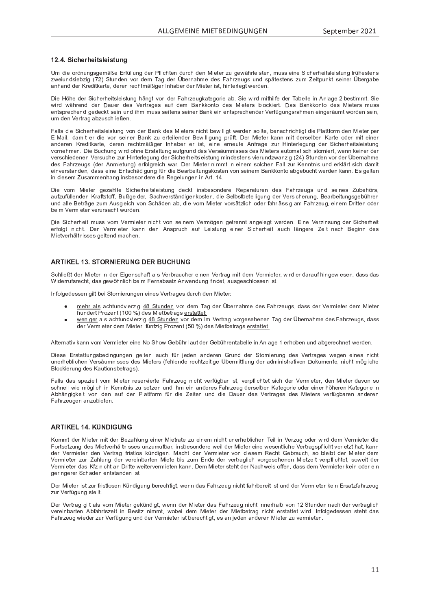#### F <sup>G</sup> <sup>G</sup> £ <sup>Â</sup> <sup>Á</sup> ¢ ¥ <sup>Á</sup> ¢ £ ¤ « ¢ £ ¤ ¦

v <sup>d</sup> <sup>W</sup> <sup>R</sup> P <sup>c</sup> <sup>Y</sup> W <sup>U</sup> ` <sup>U</sup> <sup>g</sup> <sup>Z</sup> <sup>g</sup> <sup>P</sup> <sup>d</sup> { <sup>x</sup> <sup>P</sup> <sup>f</sup> <sup>Y</sup> a <sup>p</sup> \ \ ` <sup>U</sup> <sup>g</sup> <sup>W</sup> <sup>P</sup> <sup>Y</sup> <sup>b</sup> <sup>a</sup> \ R S <sup>T</sup> <sup>V</sup> <sup>P</sup> <sup>U</sup> <sup>W</sup> ` <sup>Y</sup> <sup>S</sup> <sup>T</sup> <sup>W</sup> <sup>P</sup> <sup>U</sup> ^ <sup>R</sup> P <sup>V</sup> <sup>P</sup> <sup>Y</sup> <sup>Q</sup> ` <sup>g</sup> <sup>P</sup> <sup>i</sup> { <sup>T</sup> <sup>Y</sup> \ P <sup>R</sup> Z <sup>V</sup> <sup>P</sup> <sup>U</sup> <sup>e</sup> <sup>d</sup> ` <sup>Z</sup> <sup>Z</sup> <sup>P</sup> <sup>R</sup> U <sup>P</sup> <sup>R</sup> S <sup>T</sup> <sup>P</sup> <sup>Y</sup> <sup>T</sup> <sup>P</sup> <sup>R</sup> V <sup>Z</sup> \ P <sup>R</sup> Z <sup>V</sup> ` <sup>U</sup> <sup>g</sup> <sup>a</sup> <sup>Y</sup> <sup>p</sup> <sup>T</sup> <sup>P</sup> <sup>Z</sup> <sup>V</sup> <sup>P</sup> <sup>U</sup> <sup>Z</sup> Q <sup>i</sup> <sup>P</sup> <sup>R</sup> ` <sup>U</sup> <sup>W</sup> <sup>Z</sup> <sup>R</sup> P <sup>O</sup> <sup>Q</sup> <sup>R</sup> g <sup>V</sup> ` <sup>U</sup> <sup>W</sup> <sup>P</sup> <sup>U</sup> <sup>o</sup> <sup>c</sup> <sup>Y</sup> <sup>W</sup> <sup>P</sup> <sup>d</sup> } \_ <sup>g</sup> <sup>W</sup> <sup>P</sup> <sup>Y</sup> © <sup>O</sup> <sup>P</sup> <sup>Y</sup> <sup>U</sup> \_ <sup>T</sup> <sup>d</sup> <sup>P</sup> <sup>W</sup> <sup>P</sup> <sup>Z</sup> <sup>m</sup> \_ <sup>T</sup> <sup>Y</sup> Q <sup>P</sup> ` <sup>g</sup> <sup>Z</sup> ` <sup>U</sup> <sup>W</sup> <sup>Z</sup> <sup>X</sup> { <sup>V</sup> <sup>P</sup> <sup>Z</sup> <sup>V</sup> <sup>P</sup> <sup>U</sup> <sup>Z</sup> <sup>Q</sup> ` <sup>d</sup> <sup>ª</sup> <sup>P</sup> <sup>R</sup> V <sup>X</sup> ` <sup>U</sup> <sup>h</sup> <sup>V</sup> <sup>Z</sup> <sup>P</sup> <sup>R</sup> U <sup>P</sup> <sup>Y</sup> © <sup>O</sup> <sup>P</sup> <sup>Y</sup> g \_ <sup>O</sup> <sup>P</sup> \_ <sup>U</sup> <sup>T</sup> \_ <sup>U</sup> <sup>W</sup> <sup>W</sup> <sup>P</sup> <sup>Y</sup> ¯ <sup>Y</sup> P <sup>W</sup> <sup>R</sup> V <sup>h</sup> \_ <sup>Y</sup> V <sup>P</sup> <sup>e</sup> <sup>W</sup> <sup>P</sup> <sup>Y</sup> P <sup>U</sup> <sup>Y</sup> P <sup>S</sup> <sup>T</sup> <sup>V</sup> <sup>d</sup> { <sup>x</sup> <sup>R</sup> g <sup>P</sup> <sup>Y</sup> <sup>|</sup> <sup>U</sup> <sup>T</sup> \_ <sup>O</sup> <sup>P</sup> <sup>Y</sup> <sup>W</sup> <sup>P</sup> <sup>Y</sup> ^ <sup>R</sup> P <sup>V</sup> <sup>P</sup> <sup>Y</sup> <sup>R</sup> Z <sup>V</sup> <sup>e</sup> <sup>T</sup> <sup>R</sup> U <sup>V</sup> <sup>P</sup> <sup>Y</sup> \ P <sup>g</sup> <sup>V</sup> <sup>i</sup> <sup>P</sup> <sup>Y</sup> W <sup>P</sup> <sup>U</sup> <sup>j</sup>

Die UShe der Gieberheitelsistung bängt von der Februsynlistensrie eb. Die wird mitbilfe der Tebelle in Anlage Obestimmt Di wird während der Deuer dee Vertregee euf dem Penkkente dee Mictore blookiert. Dee Penkkente dee Mictore mus P <sup>U</sup> <sup>V</sup> <sup>Z</sup> <sup>X</sup> <sup>Y</sup> P <sup>S</sup> <sup>T</sup> <sup>P</sup> <sup>U</sup> <sup>W</sup> <sup>g</sup> <sup>P</sup> <sup>W</sup> <sup>P</sup> <sup>S</sup> <sup>h</sup> <sup>V</sup> <sup>Z</sup> <sup>P</sup> <sup>R</sup> U ` <sup>U</sup> <sup>W</sup> <sup>R</sup> T <sup>d</sup> <sup>d</sup> ` <sup>Z</sup> <sup>Z</sup> <sup>Z</sup> <sup>P</sup> <sup>R</sup> V <sup>P</sup> <sup>U</sup> <sup>Z</sup> <sup>Z</sup> <sup>P</sup> <sup>R</sup> U <sup>P</sup> <sup>Y</sup> ] \_ <sup>U</sup> <sup>h</sup> <sup>P</sup> <sup>R</sup> U <sup>P</sup> <sup>U</sup> <sup>V</sup> <sup>Z</sup> <sup>X</sup> <sup>Y</sup> P <sup>S</sup> <sup>T</sup> <sup>P</sup> <sup>U</sup> <sup>W</sup> <sup>P</sup> <sup>Y</sup> <sup>k</sup> <sup>P</sup> <sup>Y</sup> a <sup>p</sup> <sup>g</sup> ` <sup>U</sup> <sup>g</sup> <sup>Z</sup> <sup>Y</sup> \_ <sup>T</sup> <sup>d</sup> <sup>P</sup> <sup>U</sup> <sup>P</sup> <sup>R</sup> U <sup>g</sup> <sup>P</sup> <sup>Y</sup> { ` <sup>d</sup> <sup>V</sup> <sup>i</sup> <sup>c</sup> <sup>Y</sup> W <sup>P</sup> <sup>U</sup> <sup>Z</sup> <sup>P</sup> <sup>R</sup> U <sup>e</sup> ` <sup>d</sup> <sup>W</sup> <sup>P</sup> <sup>U</sup> <sup>k</sup> <sup>P</sup> <sup>Y</sup> V <sup>Y</sup> \_ <sup>g</sup> \_ <sup>O</sup> <sup>Q</sup> ` <sup>Z</sup> <sup>S</sup> <sup>T</sup> \ R P <sup>x</sup> <sup>P</sup> <sup>U</sup> <sup>j</sup>

m \_ \ \ Z <sup>W</sup> <sup>R</sup> P <sup>R</sup> S <sup>T</sup> <sup>P</sup> <sup>Y</sup> <sup>T</sup> <sup>P</sup> <sup>R</sup> V <sup>Z</sup> \ P <sup>R</sup> Z <sup>V</sup> ` <sup>U</sup> <sup>g</sup> <sup>o</sup> <sup>c</sup> <sup>U</sup> <sup>W</sup> <sup>P</sup> <sup>Y</sup> ] \_ <sup>U</sup> <sup>h</sup> <sup>W</sup> <sup>P</sup> <sup>Z</sup> ^ <sup>R</sup> P <sup>V</sup> <sup>P</sup> <sup>Y</sup> Z <sup>U</sup> <sup>R</sup> S <sup>T</sup> <sup>V</sup> <sup>O</sup> <sup>P</sup> <sup>i</sup> <sup>R</sup> \ \ R g <sup>V</sup> <sup>i</sup> <sup>P</sup> <sup>Y</sup> W <sup>P</sup> <sup>U</sup> <sup>Z</sup> <sup>c</sup> \ \ V <sup>P</sup> <sup>e</sup> <sup>O</sup> <sup>P</sup> <sup>U</sup> \_ <sup>S</sup> <sup>T</sup> <sup>Y</sup> <sup>R</sup> S <sup>T</sup> <sup>V</sup> <sup>R</sup> g <sup>V</sup> <sup>W</sup> <sup>R</sup> P <sup>b</sup> \ \_ <sup>V</sup> <sup>V</sup> <sup>a</sup> <sup>c</sup> <sup>Y</sup> <sup>d</sup> <sup>W</sup> <sup>P</sup> <sup>U</sup> ^ <sup>R</sup> P <sup>V</sup> <sup>P</sup> <sup>Y</sup> <sup>X</sup> <sup>P</sup> <sup>Y</sup>  $\mathsf F$  Moil demit es die van eeines Rank zu esteilandes Rowilliaung psüft. Des Mietes kann mit deseelben Keste edes mit eine \_ <sup>U</sup> <sup>W</sup> <sup>P</sup> <sup>Y</sup> P <sup>U</sup> ¯ <sup>Y</sup> P <sup>W</sup> <sup>R</sup> V <sup>h</sup> \_ <sup>Y</sup> V <sup>P</sup> <sup>e</sup> <sup>W</sup> <sup>P</sup> <sup>Y</sup> P <sup>U</sup> <sup>Y</sup> P <sup>S</sup> <sup>T</sup> <sup>V</sup> <sup>d</sup> { <sup>x</sup> <sup>R</sup> g <sup>P</sup> <sup>Y</sup> <sup>|</sup> <sup>U</sup> <sup>T</sup> \_ <sup>O</sup> <sup>P</sup> <sup>Y</sup> <sup>P</sup> <sup>Y</sup> <sup>R</sup> Z <sup>V</sup> <sup>e</sup> <sup>P</sup> <sup>R</sup> U <sup>P</sup> <sup>P</sup> <sup>Y</sup> <sup>U</sup> <sup>P</sup> ` <sup>V</sup> <sup>P</sup> <sup>l</sup> <sup>U</sup> <sup>a</sup> <sup>Y</sup> \_ <sup>g</sup> <sup>P</sup> <sup>Q</sup> ` <sup>Y</sup> <sup>R</sup> U <sup>V</sup> <sup>P</sup> <sup>Y</sup> \ P <sup>g</sup> ` <sup>U</sup> <sup>g</sup> <sup>W</sup> <sup>P</sup> <sup>Y</sup> <sup>R</sup> S <sup>T</sup> <sup>P</sup> <sup>Y</sup> <sup>T</sup> <sup>P</sup> <sup>R</sup> V <sup>Z</sup> \ P <sup>R</sup> Z <sup>V</sup> ` <sup>U</sup> <sup>g</sup> uernehmen. Die Ruebung wird ehne Erstettung eufgrund des Versäumnisses des Mietere automotisch sterniert, wenn keiner de o <sup>P</sup> <sup>Y</sup> Z <sup>S</sup> <sup>T</sup> <sup>R</sup> P <sup>W</sup> <sup>P</sup> <sup>U</sup> <sup>P</sup> <sup>U</sup> <sup>k</sup> <sup>P</sup> <sup>Y</sup> Z ` <sup>S</sup> <sup>T</sup> <sup>P</sup> <sup>Q</sup> ` <sup>Y</sup> <sup>R</sup> U <sup>V</sup> <sup>P</sup> <sup>Y</sup> \ P <sup>g</sup> ` <sup>U</sup> <sup>g</sup> <sup>W</sup> <sup>P</sup> <sup>Y</sup> <sup>R</sup> S <sup>T</sup> <sup>P</sup> <sup>Y</sup> <sup>T</sup> <sup>P</sup> <sup>R</sup> V <sup>Z</sup> \ P <sup>R</sup> Z <sup>V</sup> ` <sup>U</sup> <sup>g</sup> <sup>d</sup> <sup>R</sup> U <sup>W</sup> <sup>P</sup> <sup>Z</sup> <sup>V</sup> <sup>P</sup> <sup>U</sup> <sup>Z</sup> <sup>o</sup> <sup>R</sup> P <sup>Y</sup> ` <sup>U</sup> <sup>W</sup> <sup>Q</sup> <sup>i</sup> \_ <sup>U</sup> <sup>Q</sup> <sup>R</sup> g <sup>Í</sup> <sup>V</sup> ` <sup>U</sup> <sup>W</sup> <sup>P</sup> <sup>U</sup> <sup>o</sup> <sup>c</sup> <sup>Y</sup> <sup>W</sup> <sup>P</sup> <sup>Y</sup> © <sup>O</sup> <sup>P</sup> <sup>Y</sup> <sup>U</sup> \_ <sup>T</sup> <sup>d</sup> <sup>P</sup> dee Februaries (der Annietijne) erfelgreich vier. Der Mieter nimmt in einem eeleben Fell zur Kenntnie vied erklärt eich demi P <sup>R</sup> U <sup>o</sup> <sup>P</sup> <sup>Y</sup> Z <sup>V</sup> \_ <sup>U</sup> <sup>W</sup> <sup>P</sup> <sup>U</sup> <sup>e</sup> <sup>W</sup> \_ <sup>Z</sup> <sup>Z</sup> <sup>P</sup> <sup>R</sup> U <sup>P</sup> <sup>f</sup> <sup>U</sup> <sup>V</sup> <sup>Z</sup> <sup>S</sup> <sup>T</sup> { <sup>W</sup> <sup>R</sup> g ` <sup>U</sup> <sup>g</sup> <sup>a</sup> <sup>p</sup> <sup>Y</sup> <sup>W</sup> <sup>R</sup> P ] <sup>P</sup> \_ <sup>Y</sup> <sup>O</sup> <sup>P</sup> <sup>R</sup> V ` <sup>U</sup> <sup>g</sup> <sup>Z</sup> <sup>h</sup> <sup>c</sup> <sup>Z</sup> <sup>V</sup> <sup>P</sup> <sup>U</sup> <sup>o</sup> <sup>c</sup> <sup>U</sup> <sup>Z</sup> <sup>P</sup> <sup>R</sup> U <sup>P</sup> <sup>d</sup> ] \_ <sup>U</sup> <sup>h</sup> <sup>h</sup> <sup>c</sup> <sup>U</sup> <sup>V</sup> <sup>c</sup> \_ <sup>O</sup> <sup>g</sup> <sup>P</sup> <sup>O</sup> ` <sup>S</sup> <sup>T</sup> <sup>V</sup> <sup>i</sup> <sup>P</sup> <sup>Y</sup> W <sup>P</sup> <sup>U</sup> <sup>h</sup> \_ <sup>U</sup> <sup>U</sup> <sup>j</sup> <sup>f</sup> <sup>Z</sup> <sup>g</sup> <sup>P</sup> \ V <sup>P</sup> <sup>U</sup>

Die vem Mieter gezehlte Sieberheiteleistung deelst inebesendere Repersturen dee Eebrzeuge und eeinee Zubebäre \_ ` <sup>a</sup> <sup>Q</sup> ` <sup>a</sup> <sup>p</sup> \ \ P <sup>U</sup> <sup>W</sup> <sup>P</sup> <sup>U</sup> ¯ <sup>Y</sup> \_ <sup>a</sup> <sup>V</sup> <sup>Z</sup> <sup>V</sup> <sup>c</sup> <sup>a</sup> <sup>a</sup> <sup>e</sup> ] ` <sup>x</sup> <sup>g</sup> <sup>P</sup> \ W <sup>P</sup> <sup>Y</sup> <sup>e</sup> \_ <sup>S</sup> <sup>T</sup> <sup>o</sup> <sup>P</sup> <sup>Y</sup> Z <sup>V</sup> { <sup>U</sup> <sup>W</sup> <sup>R</sup> g <sup>P</sup> <sup>U</sup> <sup>h</sup> <sup>c</sup> <sup>Z</sup> <sup>V</sup> <sup>P</sup> <sup>U</sup> <sup>e</sup> <sup>W</sup> <sup>R</sup> P <sup>P</sup> \ O <sup>Z</sup> <sup>V</sup> <sup>O</sup> <sup>P</sup> <sup>V</sup> <sup>P</sup> <sup>R</sup> \ R g ` <sup>U</sup> <sup>g</sup> <sup>W</sup> <sup>P</sup> <sup>Y</sup> <sup>k</sup> <sup>P</sup> <sup>Y</sup> Z <sup>R</sup> S <sup>T</sup> <sup>P</sup> <sup>Y</sup> ` <sup>U</sup> <sup>g</sup> <sup>e</sup> ] <sup>P</sup> \_ <sup>Y</sup> <sup>O</sup> <sup>P</sup> <sup>R</sup> V ` <sup>U</sup> <sup>g</sup> <sup>Z</sup> <sup>g</sup> <sup>P</sup> <sup>O</sup> <sup>p</sup> <sup>T</sup> <sup>Y</sup> P <sup>U</sup>  $\mu$  alle Petrage zum Augeleich von Cebäden ab, die vom Mieter vereätzlich eder febrläseig am Eebrzeug, einem Dritten ede O <sup>P</sup> <sup>R</sup> d <sup>k</sup> <sup>P</sup> <sup>Y</sup> <sup>d</sup> <sup>R</sup> P <sup>V</sup> <sup>P</sup> <sup>Y</sup> <sup>o</sup> <sup>P</sup> <sup>Y</sup> ` <sup>Y</sup> Z \_ <sup>S</sup> <sup>T</sup> <sup>V</sup> <sup>i</sup> ` <sup>Y</sup> W <sup>P</sup> <sup>U</sup> <sup>j</sup>

Die Richarheit muse vam Vermieter nicht van eeinem Vermögen getrennt angelegt werden. Eine Verzineung der Richarhei erfelgt nicht. Der Vermieter kenn den Ananzueb auf Leistung einer Sieberheit auch Jängere Zeit nech Beginn de . A P V o P Y O P Y P Z Z P Z Z P Z Z P Z Z P Z Z P Z Z P Z Z P Z Z Z P U Z Z Z P U W D Z Z Z Z Z Z Z Z Z Z Z

#### <sup>C</sup> <sup>D</sup> <sup>E</sup> <sup>F</sup> <sup>G</sup> <sup>C</sup> <sup>K</sup> <sup>J</sup> <sup>D</sup> <sup>J</sup> <sup>H</sup> <sup>±</sup> <sup>²</sup> <sup>J</sup>

 <sup>S</sup> <sup>T</sup> \ R P <sup>x</sup> <sup>V</sup> <sup>W</sup> <sup>P</sup> <sup>Y</sup> ^ <sup>R</sup> P <sup>V</sup> <sup>P</sup> <sup>Y</sup> <sup>R</sup> U <sup>W</sup> <sup>P</sup> <sup>Y</sup> <sup>f</sup> <sup>R</sup> g <sup>P</sup> <sup>U</sup> <sup>Z</sup> <sup>S</sup> <sup>T</sup> \_ <sup>a</sup> <sup>V</sup> \_ \ Z <sup>k</sup> <sup>P</sup> <sup>Y</sup> <sup>O</sup> <sup>Y</sup> \_ ` <sup>S</sup> <sup>T</sup> <sup>P</sup> <sup>Y</sup> <sup>P</sup> <sup>R</sup> U <sup>P</sup> <sup>U</sup> <sup>k</sup> <sup>P</sup> <sup>Y</sup> V <sup>Y</sup> \_ <sup>g</sup> <sup>d</sup> <sup>R</sup> V <sup>W</sup> <sup>P</sup> <sup>d</sup> <sup>k</sup> <sup>P</sup> <sup>Y</sup> <sup>d</sup> <sup>R</sup> P <sup>V</sup> <sup>P</sup> <sup>Y</sup> <sup>e</sup> <sup>i</sup> <sup>R</sup> Y W <sup>P</sup> <sup>Y</sup> <sup>W</sup> \_ <sup>Y</sup> \_ ` <sup>a</sup> <sup>T</sup> <sup>R</sup> U <sup>g</sup> <sup>P</sup> <sup>i</sup> <sup>R</sup> P <sup>Z</sup> <sup>P</sup> <sup>U</sup> <sup>e</sup> <sup>W</sup> \_ <sup>Z</sup> <sup>Z</sup> <sup>W</sup> \_ <sup>Z</sup> º <sup>R</sup> W <sup>P</sup> <sup>Y</sup> <sup>Y</sup> ` <sup>a</sup> <sup>Z</sup> <sup>Y</sup> P <sup>S</sup> <sup>T</sup> <sup>V</sup> <sup>e</sup> <sup>W</sup> \_ <sup>Z</sup> <sup>g</sup> <sup>P</sup> <sup>i</sup> [ <sup>T</sup> <sup>U</sup> \ R S <sup>T</sup> <sup>O</sup> <sup>P</sup> <sup>R</sup> d <sup>m</sup> <sup>P</sup> <sup>Y</sup> <sup>U</sup> \_ <sup>O</sup> <sup>Z</sup> \_ <sup>V</sup> <sup>Q</sup> <sup>l</sup> <sup>U</sup> <sup>i</sup> <sup>P</sup> <sup>U</sup> <sup>W</sup> ` <sup>U</sup> <sup>g</sup> <sup>a</sup> <sup>R</sup> U <sup>W</sup> <sup>P</sup> <sup>V</sup> <sup>e</sup> \_ ` <sup>Z</sup> <sup>g</sup> <sup>P</sup> <sup>Z</sup> <sup>S</sup> <sup>T</sup> \ c <sup>Z</sup> <sup>Z</sup> <sup>P</sup> <sup>U</sup> <sup>R</sup> Z <sup>V</sup> <sup>j</sup>

| <sup>U</sup> <sup>a</sup> <sup>c</sup> \ g <sup>P</sup> <sup>W</sup> <sup>P</sup> <sup>Z</sup> <sup>Z</sup> <sup>P</sup> <sup>U</sup> <sup>g</sup> <sup>R</sup> \ V <sup>O</sup> <sup>P</sup> <sup>R</sup> <sup>V</sup> <sup>c</sup> <sup>Y</sup> <sup>U</sup> <sup>R</sup> P <sup>Y</sup> ` <sup>U</sup> <sup>g</sup> <sup>P</sup> <sup>U</sup> <sup>P</sup> <sup>R</sup> U <sup>P</sup> <sup>Z</sup> <sup>k</sup> <sup>P</sup> <sup>Y</sup> V <sup>Y</sup> \_ <sup>g</sup> <sup>P</sup> <sup>Z</sup> <sup>W</sup> ` <sup>Y</sup> <sup>S</sup> <sup>T</sup> <sup>W</sup> <sup>P</sup> <sup>U</sup> ^ <sup>R</sup> P <sup>V</sup> <sup>P</sup> <sup>Y</sup> <sup>r</sup>

- d P T Y Y G T Y G A G A P Y O P Y O P Y W P Z G W P Z G Z G Z E W P Z G Z W P Z G Z W P Z W P Z W P Z W P Z W T ` <sup>U</sup> <sup>W</sup> <sup>P</sup> <sup>Y</sup> V <sup>b</sup> <sup>Y</sup> c <sup>Q</sup> <sup>P</sup> <sup>U</sup> <sup>V</sup> <sup>×</sup> <sup>W</sup> <sup>P</sup> <sup>Z</sup> ^ <sup>R</sup> P <sup>V</sup> <sup>O</sup> <sup>P</sup> <sup>V</sup> <sup>Y</sup> \_ <sup>g</sup> <sup>Z</sup> <sup>P</sup> <sup>Y</sup> Z <sup>V</sup> \_ <sup>V</sup> <sup>V</sup> <sup>P</sup> <sup>V</sup> <sup>u</sup>
- i P U R g P Y V O C A S T V G O C G O C G O C P Z P Z W P Z W P Z W P Z W P Z W P Z W P Z W P Z W P Z W P Z W P W P Y Y A P Y Y R P Y P Y A P Y A P Y A P Z P V Y C P V O P V Z P V V Z P V O P V O P V O P V Z P Y Z P V Z P V

l V P Y D Y D Y D Y D Y G Y L O P O P D Y L D P R U L D P R U L D P Y T C O P Y P Y P Y P Y P Y P Y P Y Z Y Z

Diese Erstettungsbedingungen gelten auch für jeden enderen Crund der Sternierung des Vertregee wegen eines nich unerbeblieben Vereäumnisses des Nieters (feblende reebtzeitige Übermittlung der edministrativen Dekumente, niebt mäglich ] \ c <sup>S</sup> <sup>h</sup> <sup>R</sup> P <sup>Y</sup> ` <sup>U</sup> <sup>g</sup> <sup>W</sup> <sup>P</sup> <sup>Z</sup> ¯ \_ ` <sup>V</sup> <sup>R</sup> c <sup>U</sup> <sup>Z</sup> <sup>O</sup> <sup>P</sup> <sup>V</sup> <sup>Y</sup> \_ <sup>g</sup> <sup>Z</sup> <sup>j</sup>

m \_ \ \ Z <sup>W</sup> \_ <sup>Z</sup> <sup>Z</sup> <sup>X</sup> <sup>P</sup> <sup>Q</sup> <sup>R</sup> P \ \ <sup>o</sup> <sup>c</sup> <sup>d</sup> ^ <sup>R</sup> P <sup>V</sup> <sup>P</sup> <sup>Y</sup> <sup>Y</sup> P <sup>Z</sup> <sup>P</sup> <sup>Y</sup> o <sup>R</sup> P <sup>Y</sup> V <sup>P</sup> <sup>m</sup> \_ <sup>T</sup> <sup>Y</sup> Q <sup>P</sup> ` <sup>g</sup> <sup>U</sup> <sup>R</sup> S <sup>T</sup> <sup>V</sup> <sup>o</sup> <sup>P</sup> <sup>Y</sup> a <sup>p</sup> <sup>g</sup> <sup>O</sup> \_ <sup>Y</sup> <sup>R</sup> Z <sup>V</sup> <sup>e</sup> <sup>o</sup> <sup>P</sup> <sup>Y</sup> <sup>X</sup> <sup>a</sup> \ R S <sup>T</sup> <sup>V</sup> <sup>P</sup> <sup>V</sup> <sup>Z</sup> <sup>R</sup> S <sup>T</sup> <sup>W</sup> <sup>P</sup> <sup>Y</sup> <sup>k</sup> <sup>P</sup> <sup>Y</sup> <sup>d</sup> <sup>R</sup> P <sup>V</sup> <sup>P</sup> <sup>Y</sup> <sup>e</sup> <sup>W</sup> <sup>P</sup> <sup>U</sup> ^ <sup>R</sup> P <sup>V</sup> <sup>P</sup> <sup>Y</sup> <sup>W</sup> \_ <sup>o</sup> <sup>c</sup> <sup>U</sup> <sup>Z</sup> <sup>c</sup> Z <sup>S</sup> <sup>T</sup> <sup>U</sup> <sup>P</sup> \ \ <sup>i</sup> <sup>R</sup> P <sup>d</sup> [ <sup>g</sup> \ R S <sup>T</sup> <sup>R</sup> U ¯ <sup>P</sup> <sup>U</sup> <sup>U</sup> <sup>V</sup> <sup>U</sup> <sup>R</sup> Z <sup>Q</sup> ` <sup>Z</sup> <sup>P</sup> <sup>V</sup> <sup>Q</sup> <sup>P</sup> <sup>U</sup> ` <sup>U</sup> <sup>W</sup> <sup>R</sup> T <sup>d</sup> <sup>P</sup> <sup>R</sup> U \_ <sup>U</sup> <sup>W</sup> <sup>P</sup> <sup>Y</sup> P <sup>Z</sup> <sup>m</sup> \_ <sup>T</sup> <sup>Y</sup> Q <sup>P</sup> ` <sup>g</sup> <sup>W</sup> <sup>P</sup> <sup>Y</sup> Z <sup>P</sup> \ O <sup>P</sup> <sup>U</sup> ¯ \_ <sup>V</sup> <sup>P</sup> <sup>g</sup> <sup>c</sup> <sup>Y</sup> <sup>R</sup> P <sup>c</sup> <sup>W</sup> <sup>P</sup> <sup>Y</sup> <sup>P</sup> <sup>R</sup> U <sup>P</sup> <sup>Y</sup> <sup>T</sup> [ <sup>T</sup> <sup>P</sup> <sup>Y</sup> P <sup>U</sup> ¯ \_ <sup>V</sup> <sup>P</sup> <sup>g</sup> <sup>c</sup> <sup>Y</sup> <sup>R</sup> P <sup>R</sup> U  $\Delta$ hhängigkeit von den euf der Dlettferm für die Zeiten und die Deuer dee Vertregee dee Mietere verfügberen endereu m \_ <sup>T</sup> <sup>Y</sup> Q <sup>P</sup> ` <sup>g</sup> <sup>P</sup> <sup>U</sup> \_ <sup>U</sup> <sup>Q</sup> ` <sup>O</sup> <sup>R</sup> P <sup>V</sup> <sup>P</sup> <sup>U</sup> <sup>j</sup>

#### <sup>C</sup> <sup>D</sup> <sup>E</sup> <sup>F</sup> <sup>G</sup> <sup>E</sup> <sup>¹</sup> <sup>J</sup> <sup>H</sup> <sup>D</sup> <sup>J</sup>

. T P Y D Z T R P Y Z P R P Y R P V P Z T P Z T P R P V Z T P Z T Z T Z T Z T P Z T P Z T V Z T P Z T V Z T D <br>. T P Y Z T P Z T P Z T P Z T P Z T P Z T P Z T R P V D K P V P Z T W R P V W W R P W W R P V D K P V W R P V m <sup>c</sup> <sup>Y</sup> V <sup>Z</sup> <sup>P</sup> <sup>V</sup> <sup>Q</sup> ` <sup>U</sup> <sup>g</sup> <sup>W</sup> <sup>P</sup> <sup>Z</sup> ^ <sup>R</sup> P <sup>V</sup> <sup>o</sup> <sup>P</sup> <sup>Y</sup> <sup>T</sup> { \ V <sup>U</sup> <sup>R</sup> Z <sup>Z</sup> <sup>P</sup> <sup>Z</sup> ` <sup>U</sup> <sup>Q</sup> ` <sup>d</sup> ` <sup>V</sup> <sup>O</sup> \_ <sup>Y</sup> <sup>e</sup> <sup>R</sup> U <sup>Z</sup> <sup>O</sup> <sup>P</sup> <sup>Z</sup> <sup>c</sup> <sup>U</sup> <sup>W</sup> <sup>P</sup> <sup>Y</sup> P <sup>i</sup> <sup>P</sup> <sup>R</sup> \ <sup>W</sup> <sup>P</sup> <sup>Y</sup> ^ <sup>R</sup> P <sup>V</sup> <sup>P</sup> <sup>Y</sup> <sup>P</sup> <sup>R</sup> U <sup>P</sup> <sup>i</sup> <sup>P</sup> <sup>Z</sup> <sup>P</sup> <sup>U</sup> <sup>V</sup> \ R S <sup>T</sup> <sup>P</sup> <sup>k</sup> <sup>P</sup> <sup>Y</sup> V <sup>Y</sup> \_ <sup>g</sup> <sup>Z</sup> <sup>X</sup> <sup>a</sup> \ R S <sup>T</sup> <sup>V</sup> <sup>o</sup> <sup>P</sup> <sup>Y</sup> \ P <sup>V</sup> <sup>Q</sup> <sup>V</sup> <sup>T</sup> \_ <sup>V</sup> <sup>e</sup> <sup>h</sup> \_ <sup>U</sup> <sup>U</sup> W <sup>P</sup> <sup>Y</sup> <sup>k</sup> <sup>P</sup> <sup>Y</sup> <sup>d</sup> <sup>R</sup> P <sup>V</sup> <sup>P</sup> <sup>Y</sup> <sup>W</sup> <sup>P</sup> <sup>U</sup> <sup>k</sup> <sup>P</sup> <sup>Y</sup> V <sup>Y</sup> \_ <sup>g</sup> <sup>a</sup> <sup>Y</sup> <sup>R</sup> Z <sup>V</sup> \ c <sup>Z</sup> <sup>h</sup> <sup>p</sup> <sup>U</sup> <sup>W</sup> <sup>R</sup> g <sup>P</sup> <sup>U</sup> <sup>j</sup> ^ \_ <sup>S</sup> <sup>T</sup> <sup>V</sup> <sup>W</sup> <sup>P</sup> <sup>Y</sup> <sup>k</sup> <sup>P</sup> <sup>Y</sup> <sup>d</sup> <sup>R</sup> P <sup>V</sup> <sup>P</sup> <sup>Y</sup> <sup>o</sup> <sup>c</sup> <sup>U</sup> <sup>W</sup> <sup>R</sup> P <sup>Z</sup> <sup>P</sup> <sup>d</sup> <sup>q</sup> <sup>P</sup> <sup>S</sup> <sup>T</sup> <sup>V</sup> <sup>P</sup> <sup>O</sup> <sup>Y</sup> \_ ` <sup>S</sup> <sup>T</sup> <sup>e</sup> <sup>Z</sup> <sup>c</sup> <sup>O</sup> \ P <sup>R</sup> O <sup>V</sup> <sup>W</sup> <sup>P</sup> <sup>Y</sup> ^ <sup>R</sup> P <sup>V</sup> <sup>P</sup> <sup>Y</sup> <sup>W</sup> <sup>P</sup> <sup>d</sup> k <sup>P</sup> <sup>Y</sup> <sup>d</sup> <sup>R</sup> P <sup>V</sup> <sup>P</sup> <sup>Y</sup> <sup>Q</sup> ` <sup>Y</sup> <sup>ª</sup> \_ <sup>T</sup> \ ` <sup>U</sup> <sup>g</sup> <sup>W</sup> <sup>P</sup> <sup>Y</sup> <sup>o</sup> <sup>P</sup> <sup>Y</sup> P <sup>R</sup> U <sup>O</sup> \_ <sup>Y</sup> V <sup>P</sup> <sup>U</sup> ^ <sup>R</sup> P <sup>V</sup> <sup>P</sup> <sup>O</sup> <sup>R</sup> Z <sup>Q</sup> ` <sup>d</sup> <sup>f</sup> <sup>U</sup> <sup>W</sup> <sup>P</sup> <sup>W</sup> <sup>P</sup> <sup>Y</sup> <sup>o</sup> <sup>P</sup> <sup>Y</sup> V <sup>Y</sup> \_ <sup>g</sup> \ R S <sup>T</sup> <sup>o</sup> <sup>c</sup> <sup>Y</sup> g <sup>P</sup> <sup>Z</sup> <sup>P</sup> <sup>T</sup> <sup>P</sup> <sup>U</sup> <sup>P</sup> <sup>U</sup> ^ <sup>R</sup> P <sup>V</sup> <sup>Q</sup> <sup>P</sup> <sup>R</sup> V <sup>o</sup> <sup>P</sup> <sup>Y</sup> <sup>X</sup> <sup>a</sup> \ R S <sup>T</sup> <sup>V</sup> <sup>P</sup> <sup>V</sup> <sup>e</sup> <sup>Z</sup> <sup>c</sup> <sup>i</sup> <sup>P</sup> <sup>R</sup> V <sup>W</sup> <sup>P</sup> <sup>Y</sup> Vermister des Kfz nicht en Dritte weitervermisten kenn. Dem Mister steht der Nechweis effen, dess dem Vermister kein ader ei g <sup>P</sup> <sup>Y</sup> <sup>R</sup> U <sup>g</sup> <sup>P</sup> <sup>Y</sup> P <sup>Y</sup> <sup>S</sup> <sup>T</sup> \_ <sup>W</sup> <sup>P</sup> <sup>U</sup> <sup>P</sup> <sup>U</sup> <sup>V</sup> <sup>Z</sup> <sup>V</sup> \_ <sup>U</sup> <sup>W</sup> <sup>P</sup> <sup>U</sup> <sup>R</sup> Z <sup>V</sup> <sup>j</sup>

Der Mieter ist zur frietlesen Kündigung berechtigt, wenn des Echrzeug nicht fehrhereit ist und der Vermieter kein Ersetzfehrzeu  $\overline{X}$   $\overline{Y}$   $\overline{Y}$   $\overline{Y}$   $\overline{Y}$   $\overline{Y}$   $\overline{Y}$   $\overline{Y}$   $\overline{Y}$   $\overline{Y}$   $\overline{Y}$   $\overline{Y}$   $\overline{Y}$   $\overline{Y}$   $\overline{Y}$   $\overline{Y}$   $\overline{Y}$   $\overline{Y}$   $\overline{Y}$   $\overline{Y}$   $\overline{Y}$   $\overline{Y}$   $\overline{Y}$   $\overline{Y}$   $\overline{$ 

Der Vertrag gilt als vom Mister gekündigt, wenn der Mister des Esbrzeug nicht innerhalb von 12 Stunden nach der vertragliel o <sup>P</sup> <sup>Y</sup> P <sup>R</sup> U <sup>O</sup> \_ <sup>Y</sup> V <sup>P</sup> <sup>U</sup> <sup>l</sup> <sup>O</sup> <sup>a</sup> \_ <sup>T</sup> <sup>Y</sup> V <sup>Z</sup> <sup>Q</sup> <sup>P</sup> <sup>R</sup> V <sup>R</sup> U ] <sup>P</sup> <sup>Z</sup> <sup>R</sup> V <sup>Q</sup> <sup>U</sup> <sup>R</sup> d <sup>d</sup> <sup>V</sup> <sup>e</sup> <sup>i</sup> <sup>c</sup> <sup>O</sup> <sup>P</sup> <sup>R</sup> <sup>W</sup> <sup>P</sup> <sup>d</sup> ^ <sup>R</sup> P <sup>V</sup> <sup>P</sup> <sup>Y</sup> <sup>W</sup> <sup>P</sup> <sup>Y</sup> ^ <sup>R</sup> P <sup>V</sup> <sup>O</sup> <sup>P</sup> <sup>V</sup> <sup>Y</sup> \_ <sup>g</sup> <sup>U</sup> <sup>R</sup> S <sup>T</sup> <sup>V</sup> <sup>P</sup> <sup>Y</sup> Z <sup>V</sup> \_ <sup>V</sup> <sup>V</sup> <sup>P</sup> <sup>V</sup> <sup>i</sup> <sup>R</sup> Y W <sup>j</sup> <sup>|</sup> <sup>U</sup> <sup>a</sup> <sup>c</sup> \ g <sup>P</sup> <sup>W</sup> <sup>P</sup> <sup>Z</sup> <sup>Z</sup> <sup>P</sup> <sup>U</sup> <sup>Z</sup> <sup>V</sup> <sup>P</sup> <sup>T</sup> <sup>V</sup> <sup>W</sup> \_ <sup>Z</sup> m \_ <sup>T</sup> <sup>Y</sup> Q <sup>P</sup> ` <sup>g</sup> <sup>i</sup> <sup>R</sup> P <sup>W</sup> <sup>P</sup> <sup>Y</sup> <sup>Q</sup> ` <sup>Y</sup> <sup>k</sup> <sup>P</sup> <sup>Y</sup> a <sup>p</sup> <sup>g</sup> ` <sup>U</sup> <sup>g</sup> ` <sup>U</sup> <sup>W</sup> <sup>W</sup> <sup>P</sup> <sup>Y</sup> <sup>k</sup> <sup>P</sup> <sup>Y</sup> <sup>d</sup> <sup>R</sup> P <sup>V</sup> <sup>P</sup> <sup>Y</sup> <sup>R</sup> Z <sup>V</sup> <sup>O</sup> <sup>P</sup> <sup>Y</sup> P <sup>S</sup> <sup>T</sup> <sup>V</sup> <sup>R</sup> g <sup>V</sup> <sup>e</sup> <sup>P</sup> <sup>Z</sup> \_ <sup>U</sup> <sup>n</sup> P <sup>W</sup> <sup>P</sup> <sup>U</sup> \_ <sup>U</sup> <sup>W</sup> <sup>P</sup> <sup>Y</sup> P <sup>U</sup> ^ <sup>R</sup> P <sup>V</sup> <sup>P</sup> <sup>Y</sup> <sup>Q</sup> ` <sup>o</sup> <sup>P</sup> <sup>Y</sup> <sup>d</sup> <sup>R</sup> P <sup>V</sup> <sup>P</sup> <sup>U</sup> <sup>j</sup>